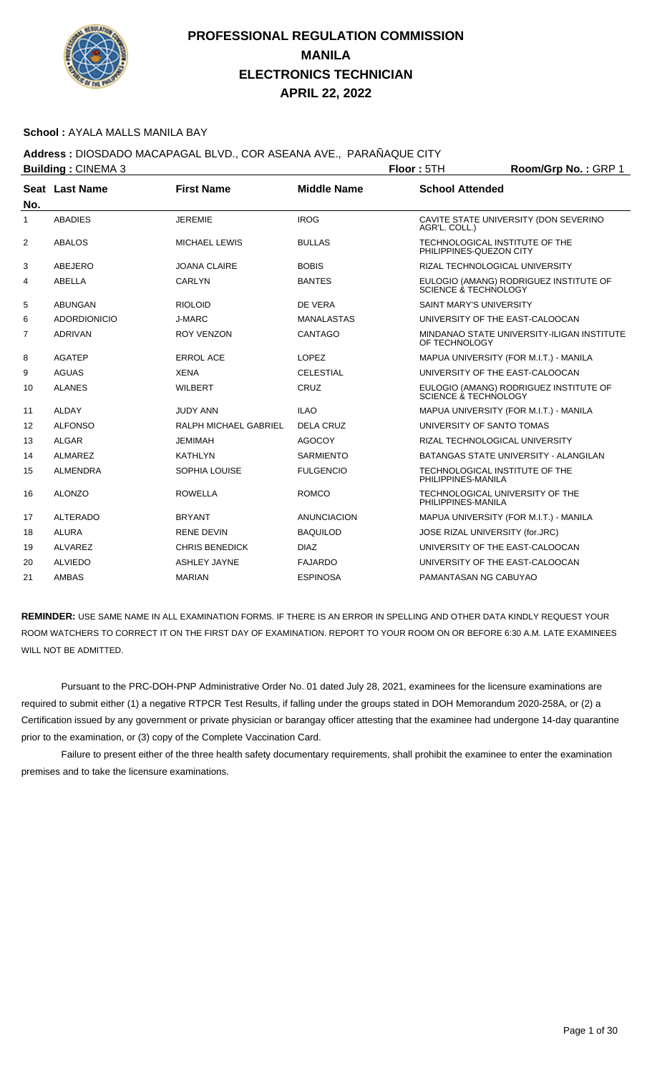

#### **School :** AYALA MALLS MANILA BAY

**Address :** DIOSDADO MACAPAGAL BLVD., COR ASEANA AVE., PARAÑAQUE CITY

|              | <b>Building: CINEMA 3</b> |                       |                    | Floor: 5TH                     | Room/Grp No.: GRP 1                        |
|--------------|---------------------------|-----------------------|--------------------|--------------------------------|--------------------------------------------|
|              | Seat Last Name            | <b>First Name</b>     | <b>Middle Name</b> | <b>School Attended</b>         |                                            |
| No.          |                           |                       |                    |                                |                                            |
| $\mathbf{1}$ | <b>ABADIES</b>            | <b>JEREMIE</b>        | <b>IROG</b>        | AGR'L. COLL.)                  | CAVITE STATE UNIVERSITY (DON SEVERINO      |
| 2            | <b>ABALOS</b>             | <b>MICHAEL LEWIS</b>  | <b>BULLAS</b>      | PHILIPPINES-QUEZON CITY        | TECHNOLOGICAL INSTITUTE OF THE             |
| 3            | ABEJERO                   | <b>JOANA CLAIRE</b>   | <b>BOBIS</b>       |                                | RIZAL TECHNOLOGICAL UNIVERSITY             |
| 4            | <b>ABELLA</b>             | CARLYN                | <b>BANTES</b>      | SCIENCE & TECHNOLOGY           | EULOGIO (AMANG) RODRIGUEZ INSTITUTE OF     |
| 5            | <b>ABUNGAN</b>            | <b>RIOLOID</b>        | DE VERA            | <b>SAINT MARY'S UNIVERSITY</b> |                                            |
| 6            | <b>ADORDIONICIO</b>       | <b>J-MARC</b>         | <b>MANALASTAS</b>  |                                | UNIVERSITY OF THE EAST-CALOOCAN            |
| 7            | <b>ADRIVAN</b>            | <b>ROY VENZON</b>     | CANTAGO            | OF TECHNOLOGY                  | MINDANAO STATE UNIVERSITY-ILIGAN INSTITUTE |
| 8            | <b>AGATEP</b>             | <b>ERROL ACE</b>      | <b>LOPEZ</b>       |                                | MAPUA UNIVERSITY (FOR M.I.T.) - MANILA     |
| 9            | <b>AGUAS</b>              | <b>XENA</b>           | <b>CELESTIAL</b>   |                                | UNIVERSITY OF THE EAST-CALOOCAN            |
| 10           | <b>ALANES</b>             | <b>WILBERT</b>        | CRUZ               | SCIENCE & TECHNOLOGY           | EULOGIO (AMANG) RODRIGUEZ INSTITUTE OF     |
| 11           | <b>ALDAY</b>              | <b>JUDY ANN</b>       | <b>ILAO</b>        |                                | MAPUA UNIVERSITY (FOR M.I.T.) - MANILA     |
| 12           | <b>ALFONSO</b>            | RALPH MICHAEL GABRIEL | DELA CRUZ          | UNIVERSITY OF SANTO TOMAS      |                                            |
| 13           | <b>ALGAR</b>              | <b>JEMIMAH</b>        | <b>AGOCOY</b>      |                                | RIZAL TECHNOLOGICAL UNIVERSITY             |
| 14           | <b>ALMAREZ</b>            | <b>KATHLYN</b>        | <b>SARMIENTO</b>   |                                | BATANGAS STATE UNIVERSITY - ALANGILAN      |
| 15           | <b>ALMENDRA</b>           | SOPHIA LOUISE         | <b>FULGENCIO</b>   | PHILIPPINES-MANILA             | TECHNOLOGICAL INSTITUTE OF THE             |
| 16           | <b>ALONZO</b>             | <b>ROWELLA</b>        | <b>ROMCO</b>       | PHILIPPINES-MANILA             | TECHNOLOGICAL UNIVERSITY OF THE            |
| 17           | <b>ALTERADO</b>           | <b>BRYANT</b>         | ANUNCIACION        |                                | MAPUA UNIVERSITY (FOR M.I.T.) - MANILA     |
| 18           | <b>ALURA</b>              | RENE DEVIN            | <b>BAQUILOD</b>    |                                | JOSE RIZAL UNIVERSITY (for.JRC)            |
| 19           | <b>ALVAREZ</b>            | <b>CHRIS BENEDICK</b> | <b>DIAZ</b>        |                                | UNIVERSITY OF THE EAST-CALOOCAN            |
| 20           | <b>ALVIEDO</b>            | <b>ASHLEY JAYNE</b>   | <b>FAJARDO</b>     |                                | UNIVERSITY OF THE EAST-CALOOCAN            |
| 21           | <b>AMBAS</b>              | <b>MARIAN</b>         | <b>ESPINOSA</b>    | PAMANTASAN NG CABUYAO          |                                            |

**REMINDER:** USE SAME NAME IN ALL EXAMINATION FORMS. IF THERE IS AN ERROR IN SPELLING AND OTHER DATA KINDLY REQUEST YOUR ROOM WATCHERS TO CORRECT IT ON THE FIRST DAY OF EXAMINATION. REPORT TO YOUR ROOM ON OR BEFORE 6:30 A.M. LATE EXAMINEES WILL NOT BE ADMITTED.

 Pursuant to the PRC-DOH-PNP Administrative Order No. 01 dated July 28, 2021, examinees for the licensure examinations are required to submit either (1) a negative RTPCR Test Results, if falling under the groups stated in DOH Memorandum 2020-258A, or (2) a Certification issued by any government or private physician or barangay officer attesting that the examinee had undergone 14-day quarantine prior to the examination, or (3) copy of the Complete Vaccination Card.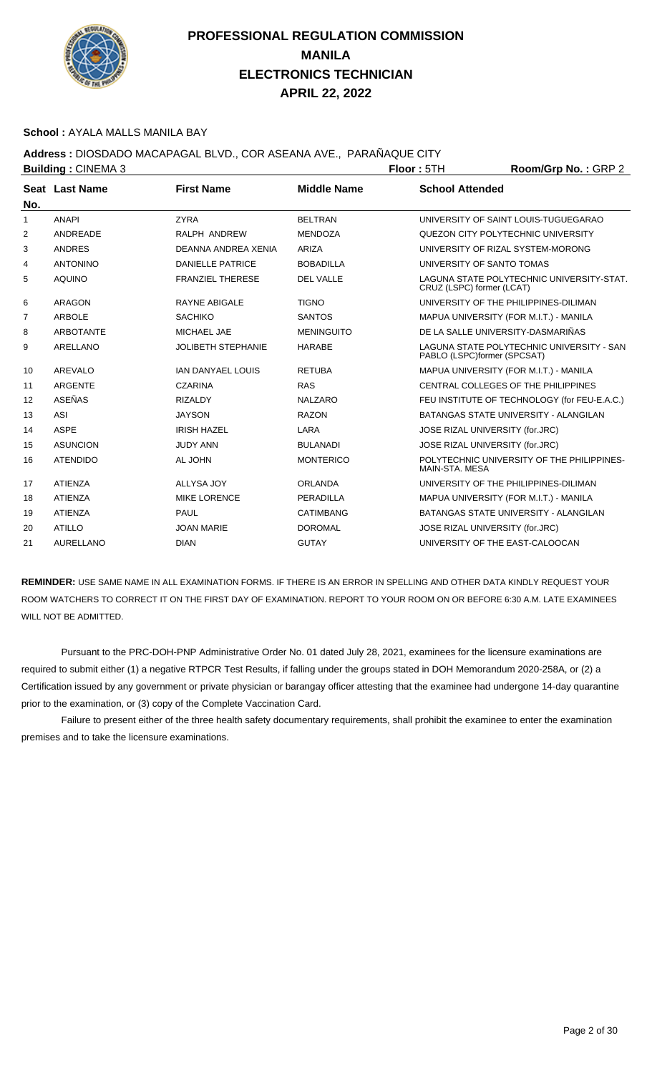

#### **School :** AYALA MALLS MANILA BAY

## **Address :** DIOSDADO MACAPAGAL BLVD., COR ASEANA AVE., PARAÑAQUE CITY

|                | <b>Building: CINEMA 3</b> |                           |                    | Floor: 5TH                        | Room/Grp No.: GRP 2                          |
|----------------|---------------------------|---------------------------|--------------------|-----------------------------------|----------------------------------------------|
|                | Seat Last Name            | <b>First Name</b>         | <b>Middle Name</b> | <b>School Attended</b>            |                                              |
| No.            |                           |                           |                    |                                   |                                              |
| 1              | <b>ANAPI</b>              | <b>ZYRA</b>               | <b>BELTRAN</b>     |                                   | UNIVERSITY OF SAINT LOUIS-TUGUEGARAO         |
| 2              | ANDREADE                  | RALPH ANDREW              | <b>MENDOZA</b>     |                                   | QUEZON CITY POLYTECHNIC UNIVERSITY           |
| 3              | <b>ANDRES</b>             | DEANNA ANDREA XENIA       | ARIZA              |                                   | UNIVERSITY OF RIZAL SYSTEM-MORONG            |
| 4              | <b>ANTONINO</b>           | <b>DANIELLE PATRICE</b>   | <b>BOBADILLA</b>   | UNIVERSITY OF SANTO TOMAS         |                                              |
| 5              | <b>AQUINO</b>             | <b>FRANZIEL THERESE</b>   | <b>DEL VALLE</b>   | CRUZ (LSPC) former (LCAT)         | LAGUNA STATE POLYTECHNIC UNIVERSITY-STAT.    |
| 6              | <b>ARAGON</b>             | <b>RAYNE ABIGALE</b>      | <b>TIGNO</b>       |                                   | UNIVERSITY OF THE PHILIPPINES-DILIMAN        |
| $\overline{7}$ | <b>ARBOLE</b>             | <b>SACHIKO</b>            | <b>SANTOS</b>      |                                   | MAPUA UNIVERSITY (FOR M.I.T.) - MANILA       |
| 8              | <b>ARBOTANTE</b>          | MICHAEL JAE               | <b>MENINGUITO</b>  | DE LA SALLE UNIVERSITY-DASMARIÑAS |                                              |
| 9              | ARELLANO                  | <b>JOLIBETH STEPHANIE</b> | <b>HARABE</b>      | PABLO (LSPC)former (SPCSAT)       | LAGUNA STATE POLYTECHNIC UNIVERSITY - SAN    |
| 10             | AREVALO                   | <b>IAN DANYAEL LOUIS</b>  | <b>RETUBA</b>      |                                   | MAPUA UNIVERSITY (FOR M.I.T.) - MANILA       |
| 11             | ARGENTE                   | <b>CZARINA</b>            | <b>RAS</b>         |                                   | CENTRAL COLLEGES OF THE PHILIPPINES          |
| 12             | ASEÑAS                    | <b>RIZALDY</b>            | <b>NALZARO</b>     |                                   | FEU INSTITUTE OF TECHNOLOGY (for FEU-E.A.C.) |
| 13             | <b>ASI</b>                | <b>JAYSON</b>             | <b>RAZON</b>       |                                   | BATANGAS STATE UNIVERSITY - ALANGILAN        |
| 14             | <b>ASPE</b>               | <b>IRISH HAZEL</b>        | LARA               | JOSE RIZAL UNIVERSITY (for.JRC)   |                                              |
| 15             | <b>ASUNCION</b>           | <b>JUDY ANN</b>           | <b>BULANADI</b>    | JOSE RIZAL UNIVERSITY (for.JRC)   |                                              |
| 16             | <b>ATENDIDO</b>           | AL JOHN                   | <b>MONTERICO</b>   | MAIN-STA, MESA                    | POLYTECHNIC UNIVERSITY OF THE PHILIPPINES-   |
| 17             | <b>ATIENZA</b>            | ALLYSA JOY                | <b>ORLANDA</b>     |                                   | UNIVERSITY OF THE PHILIPPINES-DILIMAN        |
| 18             | <b>ATIENZA</b>            | <b>MIKE LORENCE</b>       | PERADILLA          |                                   | MAPUA UNIVERSITY (FOR M.I.T.) - MANILA       |
| 19             | <b>ATIENZA</b>            | PAUL                      | <b>CATIMBANG</b>   |                                   | BATANGAS STATE UNIVERSITY - ALANGILAN        |
| 20             | <b>ATILLO</b>             | <b>JOAN MARIE</b>         | <b>DOROMAL</b>     | JOSE RIZAL UNIVERSITY (for.JRC)   |                                              |
| 21             | <b>AURELLANO</b>          | <b>DIAN</b>               | <b>GUTAY</b>       | UNIVERSITY OF THE EAST-CALOOCAN   |                                              |
|                |                           |                           |                    |                                   |                                              |

**REMINDER:** USE SAME NAME IN ALL EXAMINATION FORMS. IF THERE IS AN ERROR IN SPELLING AND OTHER DATA KINDLY REQUEST YOUR ROOM WATCHERS TO CORRECT IT ON THE FIRST DAY OF EXAMINATION. REPORT TO YOUR ROOM ON OR BEFORE 6:30 A.M. LATE EXAMINEES WILL NOT BE ADMITTED.

 Pursuant to the PRC-DOH-PNP Administrative Order No. 01 dated July 28, 2021, examinees for the licensure examinations are required to submit either (1) a negative RTPCR Test Results, if falling under the groups stated in DOH Memorandum 2020-258A, or (2) a Certification issued by any government or private physician or barangay officer attesting that the examinee had undergone 14-day quarantine prior to the examination, or (3) copy of the Complete Vaccination Card.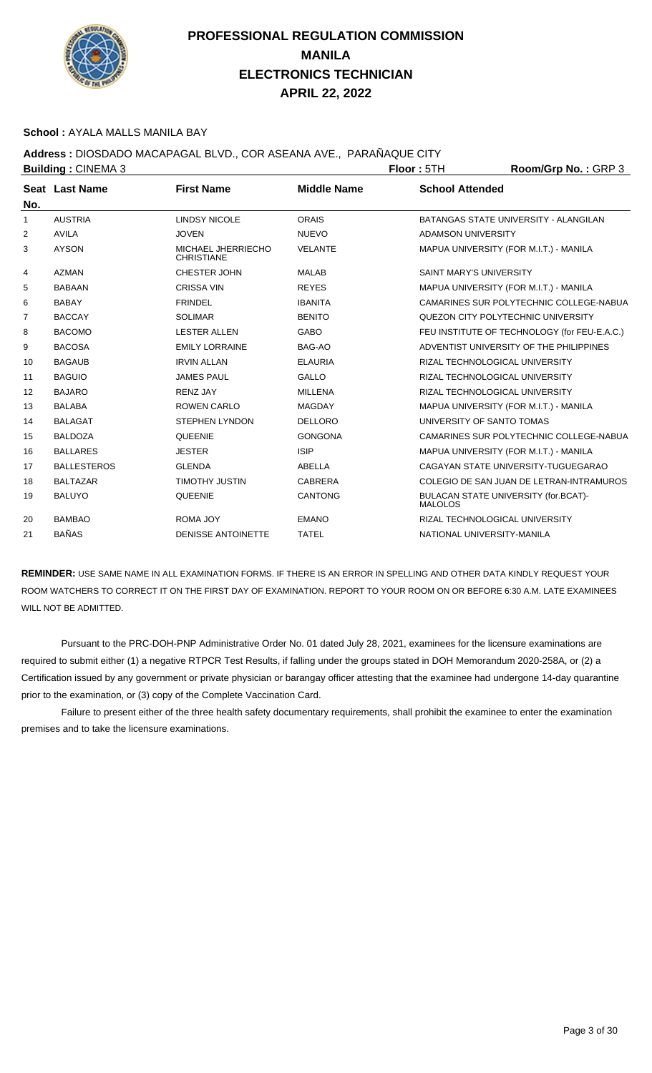

#### **School :** AYALA MALLS MANILA BAY

**Address :** DIOSDADO MACAPAGAL BLVD., COR ASEANA AVE., PARAÑAQUE CITY

| <b>Building: CINEMA 3</b> |                    |                                         |                    | Floor: 5TH                     | Room/Grp No.: GRP 3                          |
|---------------------------|--------------------|-----------------------------------------|--------------------|--------------------------------|----------------------------------------------|
| No.                       | Seat Last Name     | <b>First Name</b>                       | <b>Middle Name</b> | <b>School Attended</b>         |                                              |
| 1                         | <b>AUSTRIA</b>     | <b>LINDSY NICOLE</b>                    | <b>ORAIS</b>       |                                | BATANGAS STATE UNIVERSITY - ALANGILAN        |
| 2                         | <b>AVILA</b>       | <b>JOVEN</b>                            | <b>NUEVO</b>       | <b>ADAMSON UNIVERSITY</b>      |                                              |
| 3                         | <b>AYSON</b>       | MICHAEL JHERRIECHO<br><b>CHRISTIANE</b> | <b>VELANTE</b>     |                                | MAPUA UNIVERSITY (FOR M.I.T.) - MANILA       |
| 4                         | <b>AZMAN</b>       | <b>CHESTER JOHN</b>                     | <b>MALAB</b>       | <b>SAINT MARY'S UNIVERSITY</b> |                                              |
| 5                         | <b>BABAAN</b>      | <b>CRISSA VIN</b>                       | <b>REYES</b>       |                                | MAPUA UNIVERSITY (FOR M.I.T.) - MANILA       |
| 6                         | <b>BABAY</b>       | <b>FRINDEL</b>                          | <b>IBANITA</b>     |                                | CAMARINES SUR POLYTECHNIC COLLEGE-NABUA      |
| 7                         | <b>BACCAY</b>      | <b>SOLIMAR</b>                          | <b>BENITO</b>      |                                | QUEZON CITY POLYTECHNIC UNIVERSITY           |
| 8                         | <b>BACOMO</b>      | <b>LESTER ALLEN</b>                     | <b>GABO</b>        |                                | FEU INSTITUTE OF TECHNOLOGY (for FEU-E.A.C.) |
| 9                         | <b>BACOSA</b>      | <b>EMILY LORRAINE</b>                   | BAG-AO             |                                | ADVENTIST UNIVERSITY OF THE PHILIPPINES      |
| 10                        | <b>BAGAUB</b>      | <b>IRVIN ALLAN</b>                      | <b>ELAURIA</b>     | RIZAL TECHNOLOGICAL UNIVERSITY |                                              |
| 11                        | <b>BAGUIO</b>      | <b>JAMES PAUL</b>                       | <b>GALLO</b>       | RIZAL TECHNOLOGICAL UNIVERSITY |                                              |
| 12                        | <b>BAJARO</b>      | <b>RENZ JAY</b>                         | <b>MILLENA</b>     | RIZAL TECHNOLOGICAL UNIVERSITY |                                              |
| 13                        | <b>BALABA</b>      | <b>ROWEN CARLO</b>                      | <b>MAGDAY</b>      |                                | MAPUA UNIVERSITY (FOR M.I.T.) - MANILA       |
| 14                        | <b>BALAGAT</b>     | <b>STEPHEN LYNDON</b>                   | <b>DELLORO</b>     | UNIVERSITY OF SANTO TOMAS      |                                              |
| 15                        | <b>BALDOZA</b>     | QUEENIE                                 | <b>GONGONA</b>     |                                | CAMARINES SUR POLYTECHNIC COLLEGE-NABUA      |
| 16                        | <b>BALLARES</b>    | <b>JESTER</b>                           | <b>ISIP</b>        |                                | MAPUA UNIVERSITY (FOR M.I.T.) - MANILA       |
| 17                        | <b>BALLESTEROS</b> | <b>GLENDA</b>                           | ABELLA             |                                | CAGAYAN STATE UNIVERSITY-TUGUEGARAO          |
| 18                        | <b>BALTAZAR</b>    | <b>TIMOTHY JUSTIN</b>                   | <b>CABRERA</b>     |                                | COLEGIO DE SAN JUAN DE LETRAN-INTRAMUROS     |
| 19                        | <b>BALUYO</b>      | <b>QUEENIE</b>                          | <b>CANTONG</b>     | <b>MALOLOS</b>                 | BULACAN STATE UNIVERSITY (for.BCAT)-         |
| 20                        | <b>BAMBAO</b>      | <b>ROMA JOY</b>                         | <b>EMANO</b>       | RIZAL TECHNOLOGICAL UNIVERSITY |                                              |
| 21                        | <b>BAÑAS</b>       | <b>DENISSE ANTOINETTE</b>               | <b>TATEL</b>       | NATIONAL UNIVERSITY-MANILA     |                                              |
|                           |                    |                                         |                    |                                |                                              |

**REMINDER:** USE SAME NAME IN ALL EXAMINATION FORMS. IF THERE IS AN ERROR IN SPELLING AND OTHER DATA KINDLY REQUEST YOUR ROOM WATCHERS TO CORRECT IT ON THE FIRST DAY OF EXAMINATION. REPORT TO YOUR ROOM ON OR BEFORE 6:30 A.M. LATE EXAMINEES WILL NOT BE ADMITTED.

 Pursuant to the PRC-DOH-PNP Administrative Order No. 01 dated July 28, 2021, examinees for the licensure examinations are required to submit either (1) a negative RTPCR Test Results, if falling under the groups stated in DOH Memorandum 2020-258A, or (2) a Certification issued by any government or private physician or barangay officer attesting that the examinee had undergone 14-day quarantine prior to the examination, or (3) copy of the Complete Vaccination Card.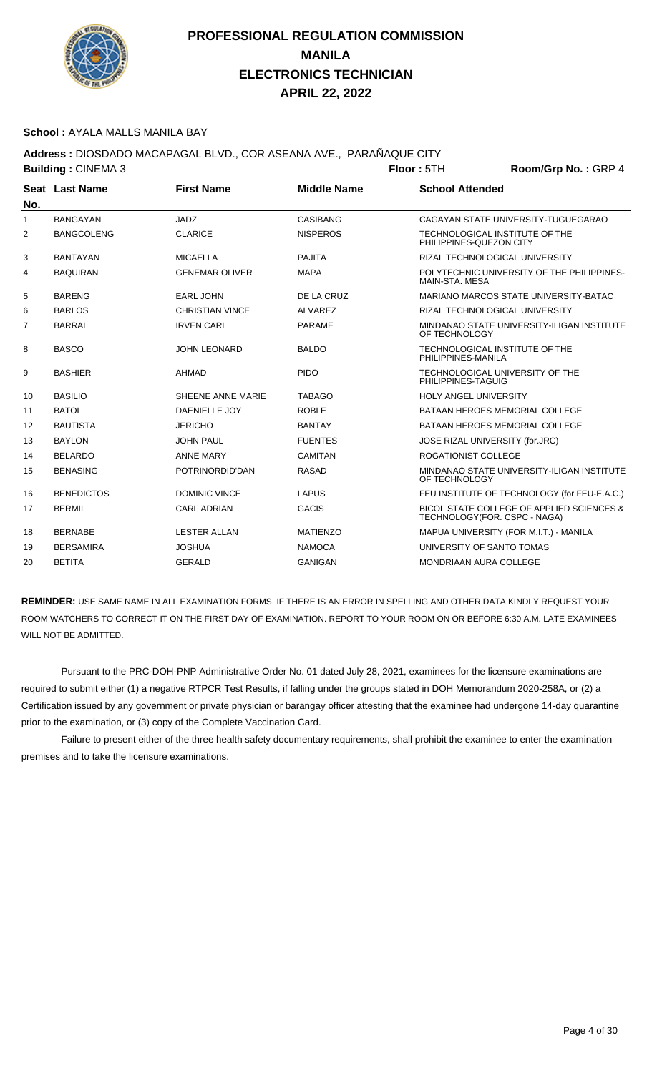

#### **School :** AYALA MALLS MANILA BAY

### **Address :** DIOSDADO MACAPAGAL BLVD., COR ASEANA AVE., PARAÑAQUE CITY

|                | <b>Building: CINEMA 3</b> |                        |                    | Floor: 5TH                                                | Room/Grp No.: GRP 4                          |
|----------------|---------------------------|------------------------|--------------------|-----------------------------------------------------------|----------------------------------------------|
|                | Seat Last Name            | <b>First Name</b>      | <b>Middle Name</b> | <b>School Attended</b>                                    |                                              |
| No.            |                           |                        |                    |                                                           |                                              |
| $\mathbf{1}$   | <b>BANGAYAN</b>           | JADZ                   | <b>CASIBANG</b>    |                                                           | CAGAYAN STATE UNIVERSITY-TUGUEGARAO          |
| 2              | <b>BANGCOLENG</b>         | <b>CLARICE</b>         | <b>NISPEROS</b>    | TECHNOLOGICAL INSTITUTE OF THE<br>PHILIPPINES-QUEZON CITY |                                              |
| 3              | <b>BANTAYAN</b>           | <b>MICAELLA</b>        | <b>PAJITA</b>      | RIZAL TECHNOLOGICAL UNIVERSITY                            |                                              |
| 4              | <b>BAQUIRAN</b>           | <b>GENEMAR OLIVER</b>  | <b>MAPA</b>        | MAIN-STA, MESA                                            | POLYTECHNIC UNIVERSITY OF THE PHILIPPINES-   |
| 5              | <b>BARENG</b>             | <b>EARL JOHN</b>       | DE LA CRUZ         |                                                           | MARIANO MARCOS STATE UNIVERSITY-BATAC        |
| 6              | <b>BARLOS</b>             | <b>CHRISTIAN VINCE</b> | <b>ALVAREZ</b>     | RIZAL TECHNOLOGICAL UNIVERSITY                            |                                              |
| $\overline{7}$ | <b>BARRAL</b>             | <b>IRVEN CARL</b>      | <b>PARAME</b>      | OF TECHNOLOGY                                             | MINDANAO STATE UNIVERSITY-ILIGAN INSTITUTE   |
| 8              | <b>BASCO</b>              | <b>JOHN LEONARD</b>    | <b>BALDO</b>       | TECHNOLOGICAL INSTITUTE OF THE<br>PHILIPPINES-MANILA      |                                              |
| 9              | <b>BASHIER</b>            | AHMAD                  | <b>PIDO</b>        | TECHNOLOGICAL UNIVERSITY OF THE<br>PHILIPPINES-TAGUIG     |                                              |
| 10             | <b>BASILIO</b>            | SHEENE ANNE MARIE      | <b>TABAGO</b>      | <b>HOLY ANGEL UNIVERSITY</b>                              |                                              |
| 11             | <b>BATOL</b>              | <b>DAENIELLE JOY</b>   | <b>ROBLE</b>       | <b>BATAAN HEROES MEMORIAL COLLEGE</b>                     |                                              |
| 12             | <b>BAUTISTA</b>           | <b>JERICHO</b>         | <b>BANTAY</b>      | <b>BATAAN HEROES MEMORIAL COLLEGE</b>                     |                                              |
| 13             | <b>BAYLON</b>             | <b>JOHN PAUL</b>       | <b>FUENTES</b>     | JOSE RIZAL UNIVERSITY (for.JRC)                           |                                              |
| 14             | <b>BELARDO</b>            | <b>ANNE MARY</b>       | <b>CAMITAN</b>     | <b>ROGATIONIST COLLEGE</b>                                |                                              |
| 15             | <b>BENASING</b>           | POTRINORDID'DAN        | <b>RASAD</b>       | OF TECHNOLOGY                                             | MINDANAO STATE UNIVERSITY-ILIGAN INSTITUTE   |
| 16             | <b>BENEDICTOS</b>         | <b>DOMINIC VINCE</b>   | <b>LAPUS</b>       |                                                           | FEU INSTITUTE OF TECHNOLOGY (for FEU-E.A.C.) |
| 17             | <b>BERMIL</b>             | <b>CARL ADRIAN</b>     | <b>GACIS</b>       | TECHNOLOGY(FOR. CSPC - NAGA)                              | BICOL STATE COLLEGE OF APPLIED SCIENCES &    |
| 18             | <b>BERNABE</b>            | <b>LESTER ALLAN</b>    | <b>MATIENZO</b>    |                                                           | MAPUA UNIVERSITY (FOR M.I.T.) - MANILA       |
| 19             | <b>BERSAMIRA</b>          | <b>JOSHUA</b>          | <b>NAMOCA</b>      | UNIVERSITY OF SANTO TOMAS                                 |                                              |
| 20             | <b>BETITA</b>             | <b>GERALD</b>          | <b>GANIGAN</b>     | <b>MONDRIAAN AURA COLLEGE</b>                             |                                              |

**REMINDER:** USE SAME NAME IN ALL EXAMINATION FORMS. IF THERE IS AN ERROR IN SPELLING AND OTHER DATA KINDLY REQUEST YOUR ROOM WATCHERS TO CORRECT IT ON THE FIRST DAY OF EXAMINATION. REPORT TO YOUR ROOM ON OR BEFORE 6:30 A.M. LATE EXAMINEES WILL NOT BE ADMITTED.

 Pursuant to the PRC-DOH-PNP Administrative Order No. 01 dated July 28, 2021, examinees for the licensure examinations are required to submit either (1) a negative RTPCR Test Results, if falling under the groups stated in DOH Memorandum 2020-258A, or (2) a Certification issued by any government or private physician or barangay officer attesting that the examinee had undergone 14-day quarantine prior to the examination, or (3) copy of the Complete Vaccination Card.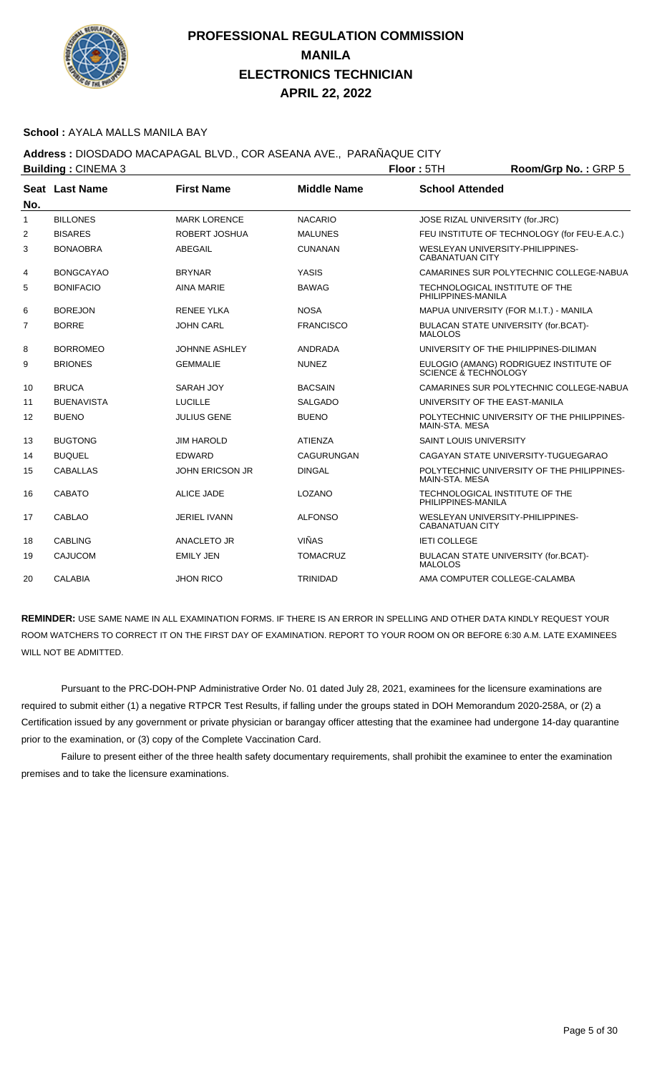

#### **School :** AYALA MALLS MANILA BAY

### **Address :** DIOSDADO MACAPAGAL BLVD., COR ASEANA AVE., PARAÑAQUE CITY

|                   | <b>Building: CINEMA 3</b> |                        |                    | Floor: 5TH                      | Room/Grp No.: GRP 5                          |
|-------------------|---------------------------|------------------------|--------------------|---------------------------------|----------------------------------------------|
|                   | Seat Last Name            | <b>First Name</b>      | <b>Middle Name</b> | <b>School Attended</b>          |                                              |
| No.               |                           |                        |                    |                                 |                                              |
| 1                 | <b>BILLONES</b>           | <b>MARK LORENCE</b>    | <b>NACARIO</b>     | JOSE RIZAL UNIVERSITY (for.JRC) |                                              |
| 2                 | <b>BISARES</b>            | <b>ROBERT JOSHUA</b>   | <b>MALUNES</b>     |                                 | FEU INSTITUTE OF TECHNOLOGY (for FEU-E.A.C.) |
| 3                 | <b>BONAOBRA</b>           | ABEGAIL                | <b>CUNANAN</b>     | <b>CABANATUAN CITY</b>          | WESLEYAN UNIVERSITY-PHILIPPINES-             |
| 4                 | <b>BONGCAYAO</b>          | <b>BRYNAR</b>          | <b>YASIS</b>       |                                 | CAMARINES SUR POLYTECHNIC COLLEGE-NABUA      |
| 5                 | <b>BONIFACIO</b>          | <b>AINA MARIE</b>      | <b>BAWAG</b>       | PHILIPPINES-MANILA              | TECHNOLOGICAL INSTITUTE OF THE               |
| 6                 | <b>BOREJON</b>            | <b>RENEE YLKA</b>      | <b>NOSA</b>        |                                 | MAPUA UNIVERSITY (FOR M.I.T.) - MANILA       |
| $\overline{7}$    | <b>BORRE</b>              | <b>JOHN CARL</b>       | <b>FRANCISCO</b>   | <b>MALOLOS</b>                  | BULACAN STATE UNIVERSITY (for.BCAT)-         |
| 8                 | <b>BORROMEO</b>           | <b>JOHNNE ASHLEY</b>   | <b>ANDRADA</b>     |                                 | UNIVERSITY OF THE PHILIPPINES-DILIMAN        |
| 9                 | <b>BRIONES</b>            | <b>GEMMALIE</b>        | <b>NUNEZ</b>       | SCIENCE & TECHNOLOGY            | EULOGIO (AMANG) RODRIGUEZ INSTITUTE OF       |
| 10                | <b>BRUCA</b>              | SARAH JOY              | <b>BACSAIN</b>     |                                 | CAMARINES SUR POLYTECHNIC COLLEGE-NABUA      |
| 11                | <b>BUENAVISTA</b>         | <b>LUCILLE</b>         | <b>SALGADO</b>     | UNIVERSITY OF THE EAST-MANILA   |                                              |
| $12 \overline{ }$ | <b>BUENO</b>              | <b>JULIUS GENE</b>     | <b>BUENO</b>       | MAIN-STA, MESA                  | POLYTECHNIC UNIVERSITY OF THE PHILIPPINES-   |
| 13                | <b>BUGTONG</b>            | <b>JIM HAROLD</b>      | <b>ATIENZA</b>     | <b>SAINT LOUIS UNIVERSITY</b>   |                                              |
| 14                | <b>BUQUEL</b>             | <b>EDWARD</b>          | CAGURUNGAN         |                                 | CAGAYAN STATE UNIVERSITY-TUGUEGARAO          |
| 15                | <b>CABALLAS</b>           | <b>JOHN ERICSON JR</b> | <b>DINGAL</b>      | MAIN-STA, MESA                  | POLYTECHNIC UNIVERSITY OF THE PHILIPPINES-   |
| 16                | CABATO                    | <b>ALICE JADE</b>      | LOZANO             | PHILIPPINES-MANILA              | TECHNOLOGICAL INSTITUTE OF THE               |
| 17                | <b>CABLAO</b>             | <b>JERIEL IVANN</b>    | <b>ALFONSO</b>     | <b>CABANATUAN CITY</b>          | WESLEYAN UNIVERSITY-PHILIPPINES-             |
| 18                | <b>CABLING</b>            | <b>ANACLETO JR</b>     | <b>VIÑAS</b>       | <b>IETI COLLEGE</b>             |                                              |
| 19                | <b>CAJUCOM</b>            | <b>EMILY JEN</b>       | <b>TOMACRUZ</b>    | <b>MALOLOS</b>                  | BULACAN STATE UNIVERSITY (for.BCAT)-         |
| 20                | CALABIA                   | <b>JHON RICO</b>       | <b>TRINIDAD</b>    |                                 | AMA COMPUTER COLLEGE-CALAMBA                 |

**REMINDER:** USE SAME NAME IN ALL EXAMINATION FORMS. IF THERE IS AN ERROR IN SPELLING AND OTHER DATA KINDLY REQUEST YOUR ROOM WATCHERS TO CORRECT IT ON THE FIRST DAY OF EXAMINATION. REPORT TO YOUR ROOM ON OR BEFORE 6:30 A.M. LATE EXAMINEES WILL NOT BE ADMITTED.

 Pursuant to the PRC-DOH-PNP Administrative Order No. 01 dated July 28, 2021, examinees for the licensure examinations are required to submit either (1) a negative RTPCR Test Results, if falling under the groups stated in DOH Memorandum 2020-258A, or (2) a Certification issued by any government or private physician or barangay officer attesting that the examinee had undergone 14-day quarantine prior to the examination, or (3) copy of the Complete Vaccination Card.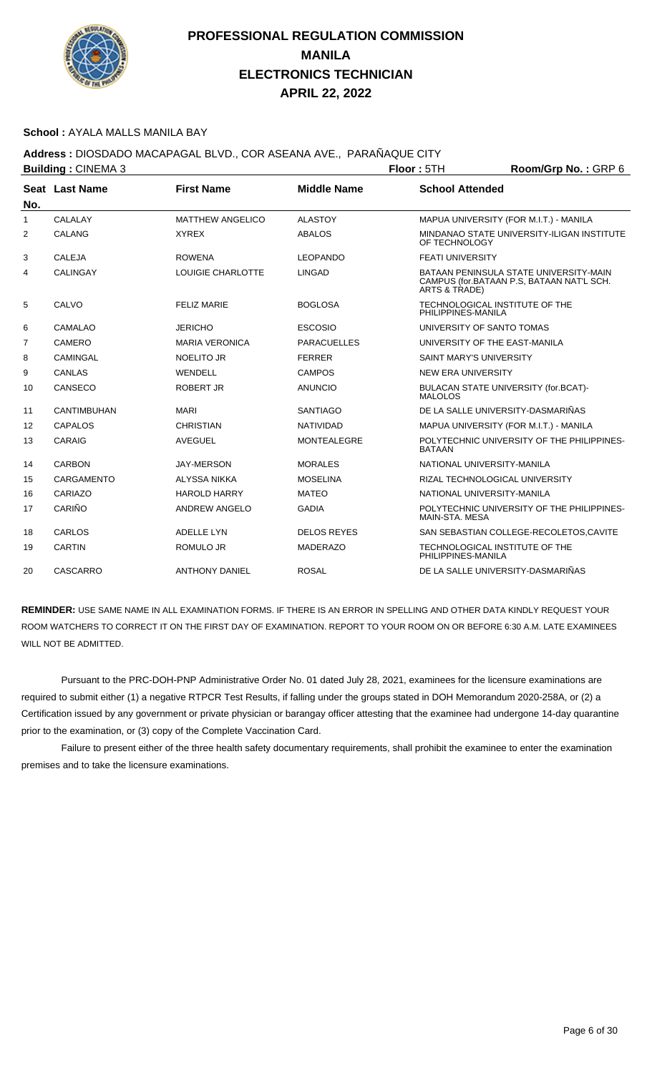

#### **School :** AYALA MALLS MANILA BAY

## **Address :** DIOSDADO MACAPAGAL BLVD., COR ASEANA AVE., PARAÑAQUE CITY

|                | <b>Building: CINEMA 3</b> |                         |                    | <b>Floor: 5TH</b>              | Room/Grp No.: GRP 6                                                                 |
|----------------|---------------------------|-------------------------|--------------------|--------------------------------|-------------------------------------------------------------------------------------|
| No.            | Seat Last Name            | <b>First Name</b>       | <b>Middle Name</b> | <b>School Attended</b>         |                                                                                     |
| $\mathbf{1}$   | <b>CALALAY</b>            | <b>MATTHEW ANGELICO</b> | <b>ALASTOY</b>     |                                | MAPUA UNIVERSITY (FOR M.I.T.) - MANILA                                              |
| 2              | CALANG                    | <b>XYREX</b>            | <b>ABALOS</b>      | OF TECHNOLOGY                  | MINDANAO STATE UNIVERSITY-ILIGAN INSTITUTE                                          |
| 3              | CALEJA                    | <b>ROWENA</b>           | <b>LEOPANDO</b>    | <b>FEATI UNIVERSITY</b>        |                                                                                     |
| 4              | <b>CALINGAY</b>           | LOUIGIE CHARLOTTE       | <b>LINGAD</b>      | ARTS & TRADE)                  | BATAAN PENINSULA STATE UNIVERSITY-MAIN<br>CAMPUS (for.BATAAN P.S, BATAAN NAT'L SCH. |
| 5              | CALVO                     | <b>FELIZ MARIE</b>      | <b>BOGLOSA</b>     | PHILIPPINES-MANILA             | TECHNOLOGICAL INSTITUTE OF THE                                                      |
| 6              | <b>CAMALAO</b>            | <b>JERICHO</b>          | <b>ESCOSIO</b>     | UNIVERSITY OF SANTO TOMAS      |                                                                                     |
| $\overline{7}$ | CAMERO                    | <b>MARIA VERONICA</b>   | <b>PARACUELLES</b> |                                | UNIVERSITY OF THE EAST-MANILA                                                       |
| 8              | <b>CAMINGAL</b>           | <b>NOELITO JR</b>       | <b>FERRER</b>      | <b>SAINT MARY'S UNIVERSITY</b> |                                                                                     |
| 9              | CANLAS                    | WENDELL                 | <b>CAMPOS</b>      | <b>NEW ERA UNIVERSITY</b>      |                                                                                     |
| 10             | CANSECO                   | ROBERT JR               | <b>ANUNCIO</b>     | <b>MALOLOS</b>                 | BULACAN STATE UNIVERSITY (for.BCAT)-                                                |
| 11             | <b>CANTIMBUHAN</b>        | <b>MARI</b>             | <b>SANTIAGO</b>    |                                | DE LA SALLE UNIVERSITY-DASMARIÑAS                                                   |
| 12             | <b>CAPALOS</b>            | <b>CHRISTIAN</b>        | <b>NATIVIDAD</b>   |                                | MAPUA UNIVERSITY (FOR M.I.T.) - MANILA                                              |
| 13             | CARAIG                    | <b>AVEGUEL</b>          | <b>MONTEALEGRE</b> | <b>BATAAN</b>                  | POLYTECHNIC UNIVERSITY OF THE PHILIPPINES-                                          |
| 14             | <b>CARBON</b>             | <b>JAY-MERSON</b>       | <b>MORALES</b>     | NATIONAL UNIVERSITY-MANILA     |                                                                                     |
| 15             | CARGAMENTO                | <b>ALYSSA NIKKA</b>     | <b>MOSELINA</b>    |                                | RIZAL TECHNOLOGICAL UNIVERSITY                                                      |
| 16             | CARIAZO                   | <b>HAROLD HARRY</b>     | <b>MATEO</b>       | NATIONAL UNIVERSITY-MANILA     |                                                                                     |
| 17             | CARIÑO                    | <b>ANDREW ANGELO</b>    | <b>GADIA</b>       | <b>MAIN-STA, MESA</b>          | POLYTECHNIC UNIVERSITY OF THE PHILIPPINES-                                          |
| 18             | CARLOS                    | <b>ADELLE LYN</b>       | <b>DELOS REYES</b> |                                | SAN SEBASTIAN COLLEGE-RECOLETOS, CAVITE                                             |
| 19             | <b>CARTIN</b>             | <b>ROMULO JR</b>        | <b>MADERAZO</b>    | PHILIPPINES-MANILA             | TECHNOLOGICAL INSTITUTE OF THE                                                      |
| 20             | <b>CASCARRO</b>           | <b>ANTHONY DANIEL</b>   | <b>ROSAL</b>       |                                | DE LA SALLE UNIVERSITY-DASMARIÑAS                                                   |

**REMINDER:** USE SAME NAME IN ALL EXAMINATION FORMS. IF THERE IS AN ERROR IN SPELLING AND OTHER DATA KINDLY REQUEST YOUR ROOM WATCHERS TO CORRECT IT ON THE FIRST DAY OF EXAMINATION. REPORT TO YOUR ROOM ON OR BEFORE 6:30 A.M. LATE EXAMINEES WILL NOT BE ADMITTED.

 Pursuant to the PRC-DOH-PNP Administrative Order No. 01 dated July 28, 2021, examinees for the licensure examinations are required to submit either (1) a negative RTPCR Test Results, if falling under the groups stated in DOH Memorandum 2020-258A, or (2) a Certification issued by any government or private physician or barangay officer attesting that the examinee had undergone 14-day quarantine prior to the examination, or (3) copy of the Complete Vaccination Card.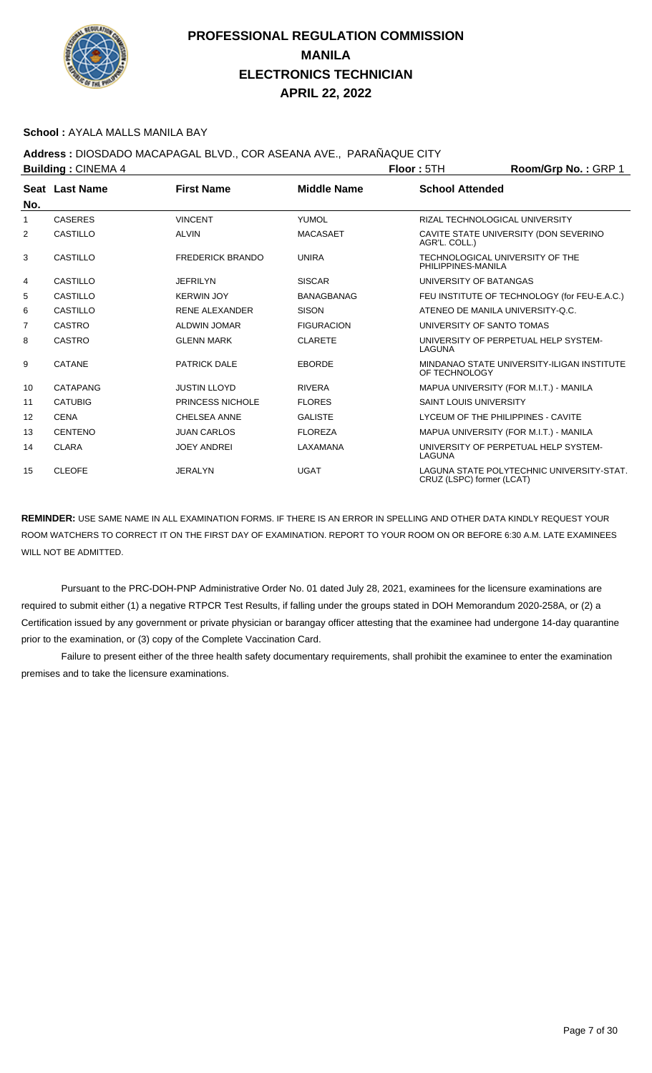

#### **School :** AYALA MALLS MANILA BAY

## **Address :** DIOSDADO MACAPAGAL BLVD., COR ASEANA AVE., PARAÑAQUE CITY

| <b>Building: CINEMA 4</b> |                |                         | Floor: 5TH         | Room/Grp No.: GRP 1           |                                              |
|---------------------------|----------------|-------------------------|--------------------|-------------------------------|----------------------------------------------|
|                           | Seat Last Name | <b>First Name</b>       | <b>Middle Name</b> | <b>School Attended</b>        |                                              |
| No.                       |                |                         |                    |                               |                                              |
| 1                         | <b>CASERES</b> | <b>VINCENT</b>          | <b>YUMOL</b>       |                               | RIZAL TECHNOLOGICAL UNIVERSITY               |
| 2                         | CASTILLO       | <b>ALVIN</b>            | <b>MACASAET</b>    | AGR'L. COLL.)                 | CAVITE STATE UNIVERSITY (DON SEVERINO        |
| 3                         | CASTILLO       | <b>FREDERICK BRANDO</b> | <b>UNIRA</b>       | PHILIPPINES-MANILA            | TECHNOLOGICAL UNIVERSITY OF THE              |
| 4                         | CASTILLO       | <b>JEFRILYN</b>         | <b>SISCAR</b>      | UNIVERSITY OF BATANGAS        |                                              |
| 5                         | CASTILLO       | <b>KERWIN JOY</b>       | <b>BANAGBANAG</b>  |                               | FEU INSTITUTE OF TECHNOLOGY (for FEU-E.A.C.) |
| 6                         | CASTILLO       | <b>RENE ALEXANDER</b>   | <b>SISON</b>       |                               | ATENEO DE MANILA UNIVERSITY-O.C.             |
| $\overline{7}$            | <b>CASTRO</b>  | ALDWIN JOMAR            | <b>FIGURACION</b>  | UNIVERSITY OF SANTO TOMAS     |                                              |
| 8                         | CASTRO         | <b>GLENN MARK</b>       | <b>CLARETE</b>     | LAGUNA                        | UNIVERSITY OF PERPETUAL HELP SYSTEM-         |
| 9                         | CATANE         | <b>PATRICK DALE</b>     | <b>EBORDE</b>      | OF TECHNOLOGY                 | MINDANAO STATE UNIVERSITY-ILIGAN INSTITUTE   |
| 10                        | CATAPANG       | <b>JUSTIN LLOYD</b>     | <b>RIVERA</b>      |                               | MAPUA UNIVERSITY (FOR M.I.T.) - MANILA       |
| 11                        | <b>CATUBIG</b> | PRINCESS NICHOLE        | <b>FLORES</b>      | <b>SAINT LOUIS UNIVERSITY</b> |                                              |
| $12 \overline{ }$         | <b>CENA</b>    | <b>CHELSEA ANNE</b>     | <b>GALISTE</b>     |                               | LYCEUM OF THE PHILIPPINES - CAVITE           |
| 13                        | <b>CENTENO</b> | <b>JUAN CARLOS</b>      | <b>FLOREZA</b>     |                               | MAPUA UNIVERSITY (FOR M.I.T.) - MANILA       |
| 14                        | <b>CLARA</b>   | <b>JOEY ANDREI</b>      | LAXAMANA           | LAGUNA                        | UNIVERSITY OF PERPETUAL HELP SYSTEM-         |
| 15                        | <b>CLEOFE</b>  | <b>JERALYN</b>          | <b>UGAT</b>        | CRUZ (LSPC) former (LCAT)     | LAGUNA STATE POLYTECHNIC UNIVERSITY-STAT.    |

**REMINDER:** USE SAME NAME IN ALL EXAMINATION FORMS. IF THERE IS AN ERROR IN SPELLING AND OTHER DATA KINDLY REQUEST YOUR ROOM WATCHERS TO CORRECT IT ON THE FIRST DAY OF EXAMINATION. REPORT TO YOUR ROOM ON OR BEFORE 6:30 A.M. LATE EXAMINEES WILL NOT BE ADMITTED.

 Pursuant to the PRC-DOH-PNP Administrative Order No. 01 dated July 28, 2021, examinees for the licensure examinations are required to submit either (1) a negative RTPCR Test Results, if falling under the groups stated in DOH Memorandum 2020-258A, or (2) a Certification issued by any government or private physician or barangay officer attesting that the examinee had undergone 14-day quarantine prior to the examination, or (3) copy of the Complete Vaccination Card.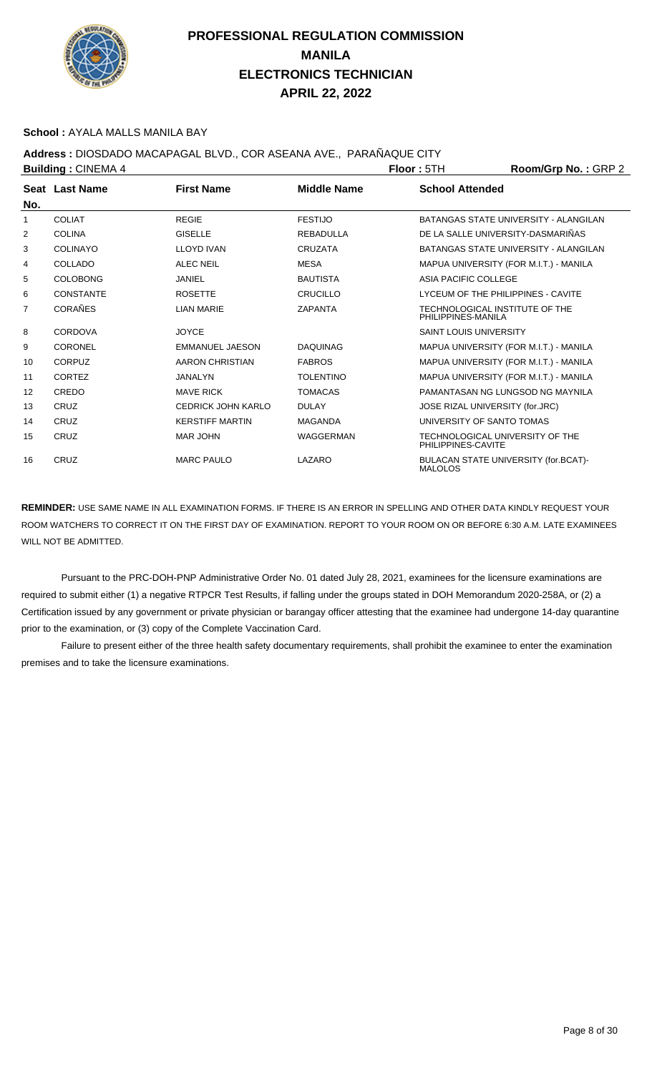

#### **School :** AYALA MALLS MANILA BAY

## **Address :** DIOSDADO MACAPAGAL BLVD., COR ASEANA AVE., PARAÑAQUE CITY

| <b>Building: CINEMA 4</b> |                  |                        | <b>Floor: 5TH</b>  | Room/Grp No.: GRP 2                                  |                                        |
|---------------------------|------------------|------------------------|--------------------|------------------------------------------------------|----------------------------------------|
| No.                       | Seat Last Name   | <b>First Name</b>      | <b>Middle Name</b> | <b>School Attended</b>                               |                                        |
| 1                         | <b>COLIAT</b>    | <b>REGIE</b>           | <b>FESTIJO</b>     |                                                      | BATANGAS STATE UNIVERSITY - ALANGILAN  |
| 2                         | <b>COLINA</b>    | <b>GISELLE</b>         | <b>REBADULLA</b>   |                                                      | DE LA SALLE UNIVERSITY-DASMARIÑAS      |
| 3                         | <b>COLINAYO</b>  | <b>LLOYD IVAN</b>      | <b>CRUZATA</b>     |                                                      | BATANGAS STATE UNIVERSITY - ALANGILAN  |
| 4                         | COLLADO          | <b>ALEC NEIL</b>       | <b>MESA</b>        |                                                      | MAPUA UNIVERSITY (FOR M.I.T.) - MANILA |
| 5                         | <b>COLOBONG</b>  | <b>JANIEL</b>          | <b>BAUTISTA</b>    | ASIA PACIFIC COLLEGE                                 |                                        |
| 6                         | <b>CONSTANTE</b> | <b>ROSETTE</b>         | <b>CRUCILLO</b>    |                                                      | LYCEUM OF THE PHILIPPINES - CAVITE     |
| 7                         | <b>CORAÑES</b>   | <b>LIAN MARIE</b>      | <b>ZAPANTA</b>     | TECHNOLOGICAL INSTITUTE OF THE<br>PHILIPPINES-MANILA |                                        |
| 8                         | CORDOVA          | <b>JOYCE</b>           |                    | <b>SAINT LOUIS UNIVERSITY</b>                        |                                        |
| 9                         | <b>CORONEL</b>   | <b>EMMANUEL JAESON</b> | <b>DAQUINAG</b>    |                                                      | MAPUA UNIVERSITY (FOR M.I.T.) - MANILA |
| 10                        | <b>CORPUZ</b>    | <b>AARON CHRISTIAN</b> | <b>FABROS</b>      |                                                      | MAPUA UNIVERSITY (FOR M.I.T.) - MANILA |
| 11                        | <b>CORTEZ</b>    | <b>JANALYN</b>         | <b>TOLENTINO</b>   |                                                      | MAPUA UNIVERSITY (FOR M.I.T.) - MANILA |
| $12 \overline{ }$         | CREDO            | <b>MAVE RICK</b>       | <b>TOMACAS</b>     |                                                      | PAMANTASAN NG LUNGSOD NG MAYNILA       |
| 13                        | CRUZ             | CEDRICK JOHN KARLO     | <b>DULAY</b>       | JOSE RIZAL UNIVERSITY (for.JRC)                      |                                        |
| 14                        | CRUZ             | <b>KERSTIFF MARTIN</b> | <b>MAGANDA</b>     | UNIVERSITY OF SANTO TOMAS                            |                                        |
| 15                        | CRUZ             | MAR JOHN               | <b>WAGGERMAN</b>   | PHILIPPINES-CAVITE                                   | TECHNOLOGICAL UNIVERSITY OF THE        |
| 16                        | CRUZ             | <b>MARC PAULO</b>      | LAZARO             | <b>MALOLOS</b>                                       | BULACAN STATE UNIVERSITY (for.BCAT)-   |

**REMINDER:** USE SAME NAME IN ALL EXAMINATION FORMS. IF THERE IS AN ERROR IN SPELLING AND OTHER DATA KINDLY REQUEST YOUR ROOM WATCHERS TO CORRECT IT ON THE FIRST DAY OF EXAMINATION. REPORT TO YOUR ROOM ON OR BEFORE 6:30 A.M. LATE EXAMINEES WILL NOT BE ADMITTED.

 Pursuant to the PRC-DOH-PNP Administrative Order No. 01 dated July 28, 2021, examinees for the licensure examinations are required to submit either (1) a negative RTPCR Test Results, if falling under the groups stated in DOH Memorandum 2020-258A, or (2) a Certification issued by any government or private physician or barangay officer attesting that the examinee had undergone 14-day quarantine prior to the examination, or (3) copy of the Complete Vaccination Card.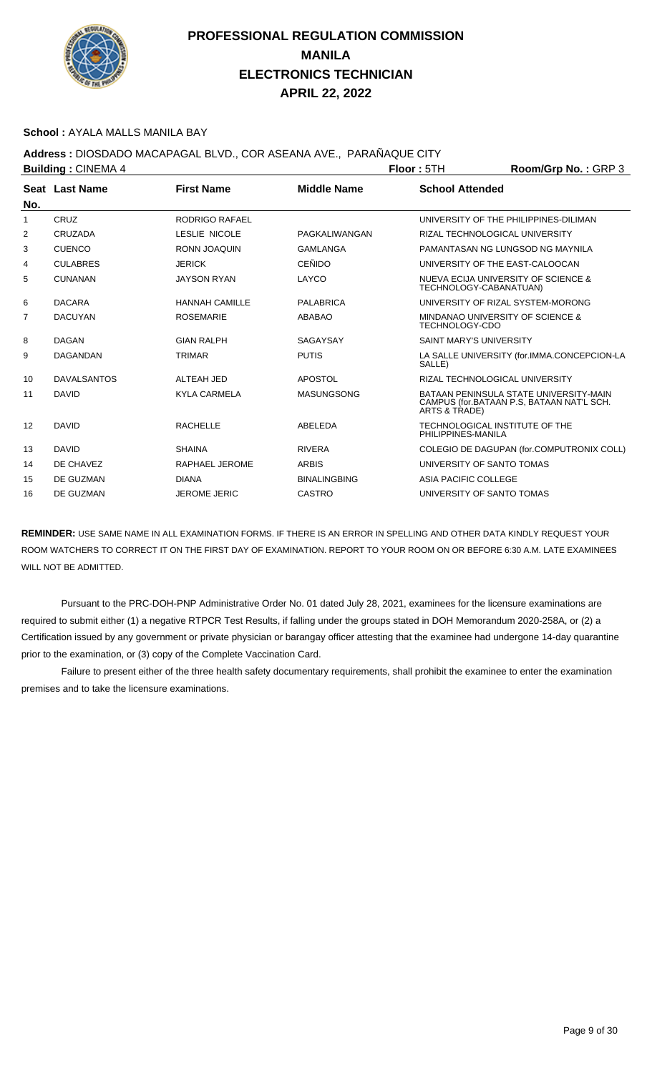

#### **School :** AYALA MALLS MANILA BAY

**Address :** DIOSDADO MACAPAGAL BLVD., COR ASEANA AVE., PARAÑAQUE CITY

|     | <b>Building: CINEMA 4</b> |                       |                     | Floor: 5TH                                                | Room/Grp No.: GRP 3                                                                 |
|-----|---------------------------|-----------------------|---------------------|-----------------------------------------------------------|-------------------------------------------------------------------------------------|
| No. | Seat Last Name            | <b>First Name</b>     | <b>Middle Name</b>  | <b>School Attended</b>                                    |                                                                                     |
| 1   | CRUZ                      | <b>RODRIGO RAFAEL</b> |                     |                                                           | UNIVERSITY OF THE PHILIPPINES-DILIMAN                                               |
| 2   | CRUZADA                   | LESLIE NICOLE         | PAGKALIWANGAN       | RIZAL TECHNOLOGICAL UNIVERSITY                            |                                                                                     |
| 3   | <b>CUENCO</b>             | <b>RONN JOAQUIN</b>   | <b>GAMLANGA</b>     |                                                           | PAMANTASAN NG LUNGSOD NG MAYNILA                                                    |
| 4   | <b>CULABRES</b>           | <b>JERICK</b>         | <b>CEÑIDO</b>       | UNIVERSITY OF THE EAST-CALOOCAN                           |                                                                                     |
| 5   | <b>CUNANAN</b>            | <b>JAYSON RYAN</b>    | LAYCO               | TECHNOLOGY-CABANATUAN)                                    | NUEVA ECIJA UNIVERSITY OF SCIENCE &                                                 |
| 6   | <b>DACARA</b>             | <b>HANNAH CAMILLE</b> | PALABRICA           |                                                           | UNIVERSITY OF RIZAL SYSTEM-MORONG                                                   |
| 7   | <b>DACUYAN</b>            | <b>ROSEMARIE</b>      | <b>ABABAO</b>       | MINDANAO UNIVERSITY OF SCIENCE &<br><b>TECHNOLOGY-CDO</b> |                                                                                     |
| 8   | <b>DAGAN</b>              | <b>GIAN RALPH</b>     | SAGAYSAY            | <b>SAINT MARY'S UNIVERSITY</b>                            |                                                                                     |
| 9   | DAGANDAN                  | <b>TRIMAR</b>         | <b>PUTIS</b>        | SALLE)                                                    | LA SALLE UNIVERSITY (for.IMMA.CONCEPCION-LA                                         |
| 10  | <b>DAVALSANTOS</b>        | ALTEAH JED            | <b>APOSTOL</b>      | RIZAL TECHNOLOGICAL UNIVERSITY                            |                                                                                     |
| 11  | <b>DAVID</b>              | <b>KYLA CARMELA</b>   | <b>MASUNGSONG</b>   | ARTS & TRADE)                                             | BATAAN PENINSULA STATE UNIVERSITY-MAIN<br>CAMPUS (for.BATAAN P.S. BATAAN NAT'L SCH. |
| 12  | <b>DAVID</b>              | <b>RACHELLE</b>       | ABELEDA             | TECHNOLOGICAL INSTITUTE OF THE<br>PHILIPPINES-MANILA      |                                                                                     |
| 13  | <b>DAVID</b>              | <b>SHAINA</b>         | <b>RIVERA</b>       |                                                           | COLEGIO DE DAGUPAN (for.COMPUTRONIX COLL)                                           |
| 14  | DE CHAVEZ                 | RAPHAEL JEROME        | <b>ARBIS</b>        | UNIVERSITY OF SANTO TOMAS                                 |                                                                                     |
| 15  | DE GUZMAN                 | <b>DIANA</b>          | <b>BINALINGBING</b> | ASIA PACIFIC COLLEGE                                      |                                                                                     |
| 16  | DE GUZMAN                 | <b>JEROME JERIC</b>   | <b>CASTRO</b>       | UNIVERSITY OF SANTO TOMAS                                 |                                                                                     |

**REMINDER:** USE SAME NAME IN ALL EXAMINATION FORMS. IF THERE IS AN ERROR IN SPELLING AND OTHER DATA KINDLY REQUEST YOUR ROOM WATCHERS TO CORRECT IT ON THE FIRST DAY OF EXAMINATION. REPORT TO YOUR ROOM ON OR BEFORE 6:30 A.M. LATE EXAMINEES WILL NOT BE ADMITTED.

 Pursuant to the PRC-DOH-PNP Administrative Order No. 01 dated July 28, 2021, examinees for the licensure examinations are required to submit either (1) a negative RTPCR Test Results, if falling under the groups stated in DOH Memorandum 2020-258A, or (2) a Certification issued by any government or private physician or barangay officer attesting that the examinee had undergone 14-day quarantine prior to the examination, or (3) copy of the Complete Vaccination Card.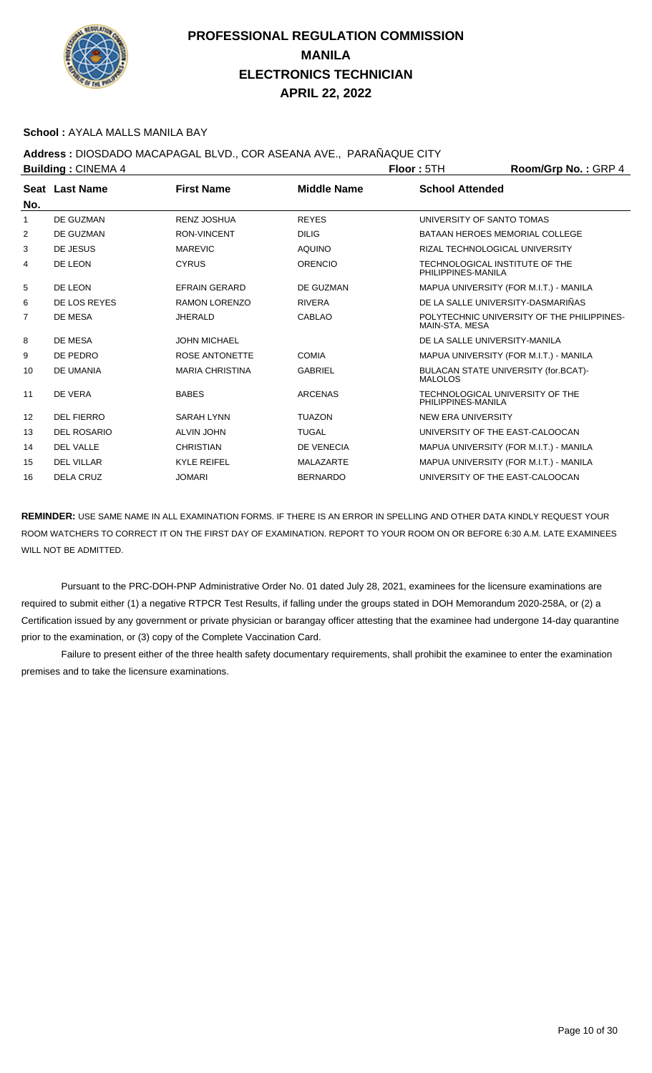

#### **School :** AYALA MALLS MANILA BAY

### **Address :** DIOSDADO MACAPAGAL BLVD., COR ASEANA AVE., PARAÑAQUE CITY

| <b>Building: CINEMA 4</b> |                    |                        |                    | <b>Floor: 5TH</b>                                      | Room/Grp No.: GRP 4                        |
|---------------------------|--------------------|------------------------|--------------------|--------------------------------------------------------|--------------------------------------------|
|                           | Seat Last Name     | <b>First Name</b>      | <b>Middle Name</b> | <b>School Attended</b>                                 |                                            |
| No.                       |                    |                        |                    |                                                        |                                            |
| 1                         | DE GUZMAN          | <b>RENZ JOSHUA</b>     | <b>REYES</b>       | UNIVERSITY OF SANTO TOMAS                              |                                            |
| 2                         | DE GUZMAN          | <b>RON-VINCENT</b>     | <b>DILIG</b>       | <b>BATAAN HEROES MEMORIAL COLLEGE</b>                  |                                            |
| 3                         | DE JESUS           | <b>MAREVIC</b>         | <b>AQUINO</b>      | RIZAL TECHNOLOGICAL UNIVERSITY                         |                                            |
| 4                         | DE LEON            | <b>CYRUS</b>           | <b>ORENCIO</b>     | TECHNOLOGICAL INSTITUTE OF THE<br>PHILIPPINES-MANILA   |                                            |
| 5                         | DE LEON            | <b>EFRAIN GERARD</b>   | DE GUZMAN          |                                                        | MAPUA UNIVERSITY (FOR M.I.T.) - MANILA     |
| 6                         | DE LOS REYES       | <b>RAMON LORENZO</b>   | <b>RIVERA</b>      | DE LA SALLE UNIVERSITY-DASMARIÑAS                      |                                            |
| 7                         | DE MESA            | <b>JHERALD</b>         | <b>CABLAO</b>      | MAIN-STA, MESA                                         | POLYTECHNIC UNIVERSITY OF THE PHILIPPINES- |
| 8                         | DE MESA            | <b>JOHN MICHAEL</b>    |                    | DE LA SALLE UNIVERSITY-MANILA                          |                                            |
| 9                         | DE PEDRO           | ROSE ANTONETTE         | <b>COMIA</b>       |                                                        | MAPUA UNIVERSITY (FOR M.I.T.) - MANILA     |
| 10                        | DE UMANIA          | <b>MARIA CHRISTINA</b> | <b>GABRIEL</b>     | BULACAN STATE UNIVERSITY (for.BCAT)-<br><b>MALOLOS</b> |                                            |
| 11                        | DE VERA            | <b>BABES</b>           | <b>ARCENAS</b>     | TECHNOLOGICAL UNIVERSITY OF THE<br>PHILIPPINES-MANILA  |                                            |
| 12                        | <b>DEL FIERRO</b>  | <b>SARAH LYNN</b>      | <b>TUAZON</b>      | NEW ERA UNIVERSITY                                     |                                            |
| 13                        | <b>DEL ROSARIO</b> | <b>ALVIN JOHN</b>      | <b>TUGAL</b>       | UNIVERSITY OF THE EAST-CALOOCAN                        |                                            |
| 14                        | <b>DEL VALLE</b>   | <b>CHRISTIAN</b>       | DE VENECIA         |                                                        | MAPUA UNIVERSITY (FOR M.I.T.) - MANILA     |
| 15                        | <b>DEL VILLAR</b>  | <b>KYLE REIFEL</b>     | <b>MALAZARTE</b>   |                                                        | MAPUA UNIVERSITY (FOR M.I.T.) - MANILA     |
| 16                        | <b>DELA CRUZ</b>   | <b>JOMARI</b>          | <b>BERNARDO</b>    | UNIVERSITY OF THE EAST-CALOOCAN                        |                                            |

**REMINDER:** USE SAME NAME IN ALL EXAMINATION FORMS. IF THERE IS AN ERROR IN SPELLING AND OTHER DATA KINDLY REQUEST YOUR ROOM WATCHERS TO CORRECT IT ON THE FIRST DAY OF EXAMINATION. REPORT TO YOUR ROOM ON OR BEFORE 6:30 A.M. LATE EXAMINEES WILL NOT BE ADMITTED.

 Pursuant to the PRC-DOH-PNP Administrative Order No. 01 dated July 28, 2021, examinees for the licensure examinations are required to submit either (1) a negative RTPCR Test Results, if falling under the groups stated in DOH Memorandum 2020-258A, or (2) a Certification issued by any government or private physician or barangay officer attesting that the examinee had undergone 14-day quarantine prior to the examination, or (3) copy of the Complete Vaccination Card.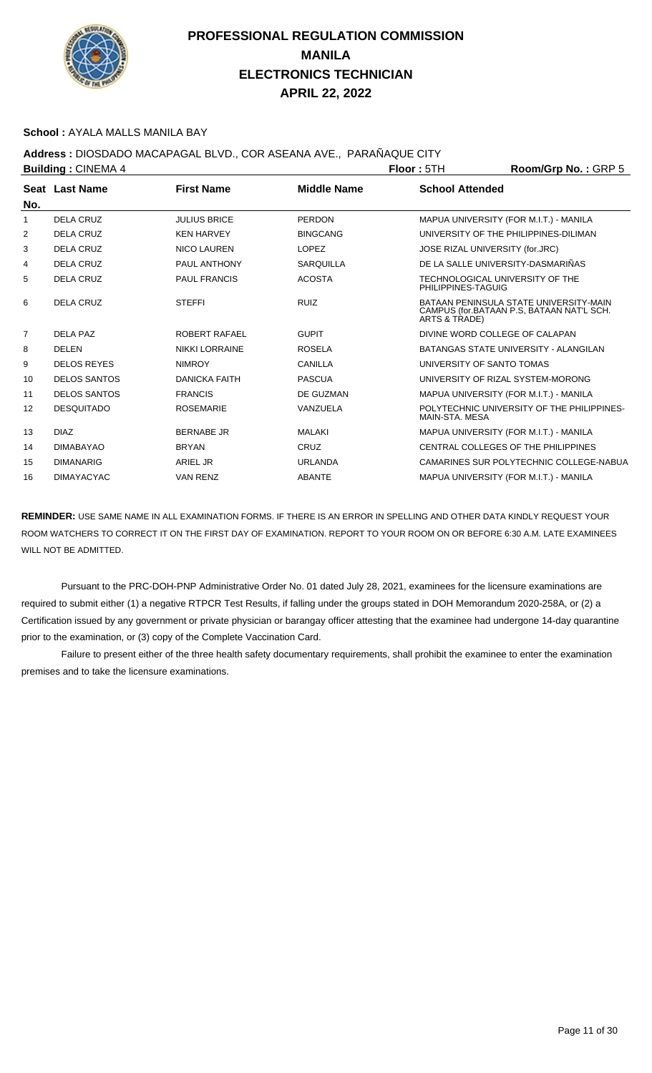

#### **School :** AYALA MALLS MANILA BAY

### **Address :** DIOSDADO MACAPAGAL BLVD., COR ASEANA AVE., PARAÑAQUE CITY

| <b>Building: CINEMA 4</b> |                     |                       |                    | <b>Floor: 5TH</b>                                     | Room/Grp No.: GRP 5                                                                 |
|---------------------------|---------------------|-----------------------|--------------------|-------------------------------------------------------|-------------------------------------------------------------------------------------|
| No.                       | Seat Last Name      | <b>First Name</b>     | <b>Middle Name</b> | <b>School Attended</b>                                |                                                                                     |
| 1                         | <b>DELA CRUZ</b>    | <b>JULIUS BRICE</b>   | <b>PERDON</b>      |                                                       | MAPUA UNIVERSITY (FOR M.I.T.) - MANILA                                              |
| 2                         | DELA CRUZ           | <b>KEN HARVEY</b>     | <b>BINGCANG</b>    |                                                       | UNIVERSITY OF THE PHILIPPINES-DILIMAN                                               |
| 3                         | DELA CRUZ           | <b>NICO LAUREN</b>    | <b>LOPEZ</b>       | JOSE RIZAL UNIVERSITY (for.JRC)                       |                                                                                     |
| 4                         | DELA CRUZ           | PAUL ANTHONY          | <b>SARQUILLA</b>   | DE LA SALLE UNIVERSITY-DASMARIÑAS                     |                                                                                     |
| 5                         | <b>DELA CRUZ</b>    | <b>PAUL FRANCIS</b>   | <b>ACOSTA</b>      | TECHNOLOGICAL UNIVERSITY OF THE<br>PHILIPPINES-TAGUIG |                                                                                     |
| 6                         | DELA CRUZ           | <b>STEFFI</b>         | <b>RUIZ</b>        | ARTS & TRADE)                                         | BATAAN PENINSULA STATE UNIVERSITY-MAIN<br>CAMPUS (for.BATAAN P.S, BATAAN NAT'L SCH. |
| 7                         | <b>DELA PAZ</b>     | ROBERT RAFAEL         | <b>GUPIT</b>       | DIVINE WORD COLLEGE OF CALAPAN                        |                                                                                     |
| 8                         | <b>DELEN</b>        | <b>NIKKI LORRAINE</b> | <b>ROSELA</b>      |                                                       | BATANGAS STATE UNIVERSITY - ALANGILAN                                               |
| 9                         | <b>DELOS REYES</b>  | <b>NIMROY</b>         | <b>CANILLA</b>     | UNIVERSITY OF SANTO TOMAS                             |                                                                                     |
| 10                        | <b>DELOS SANTOS</b> | <b>DANICKA FAITH</b>  | <b>PASCUA</b>      |                                                       | UNIVERSITY OF RIZAL SYSTEM-MORONG                                                   |
| 11                        | <b>DELOS SANTOS</b> | <b>FRANCIS</b>        | DE GUZMAN          |                                                       | MAPUA UNIVERSITY (FOR M.I.T.) - MANILA                                              |
| $12 \overline{ }$         | <b>DESQUITADO</b>   | <b>ROSEMARIE</b>      | VANZUELA           | MAIN-STA, MESA                                        | POLYTECHNIC UNIVERSITY OF THE PHILIPPINES-                                          |
| 13                        | <b>DIAZ</b>         | <b>BERNABE JR</b>     | <b>MALAKI</b>      |                                                       | MAPUA UNIVERSITY (FOR M.I.T.) - MANILA                                              |
| 14                        | <b>DIMABAYAO</b>    | <b>BRYAN</b>          | CRUZ               |                                                       | CENTRAL COLLEGES OF THE PHILIPPINES                                                 |
| 15                        | <b>DIMANARIG</b>    | <b>ARIEL JR</b>       | <b>URLANDA</b>     |                                                       | CAMARINES SUR POLYTECHNIC COLLEGE-NABUA                                             |
| 16                        | <b>DIMAYACYAC</b>   | <b>VAN RENZ</b>       | <b>ABANTE</b>      |                                                       | MAPUA UNIVERSITY (FOR M.I.T.) - MANILA                                              |

**REMINDER:** USE SAME NAME IN ALL EXAMINATION FORMS. IF THERE IS AN ERROR IN SPELLING AND OTHER DATA KINDLY REQUEST YOUR ROOM WATCHERS TO CORRECT IT ON THE FIRST DAY OF EXAMINATION. REPORT TO YOUR ROOM ON OR BEFORE 6:30 A.M. LATE EXAMINEES WILL NOT BE ADMITTED.

 Pursuant to the PRC-DOH-PNP Administrative Order No. 01 dated July 28, 2021, examinees for the licensure examinations are required to submit either (1) a negative RTPCR Test Results, if falling under the groups stated in DOH Memorandum 2020-258A, or (2) a Certification issued by any government or private physician or barangay officer attesting that the examinee had undergone 14-day quarantine prior to the examination, or (3) copy of the Complete Vaccination Card.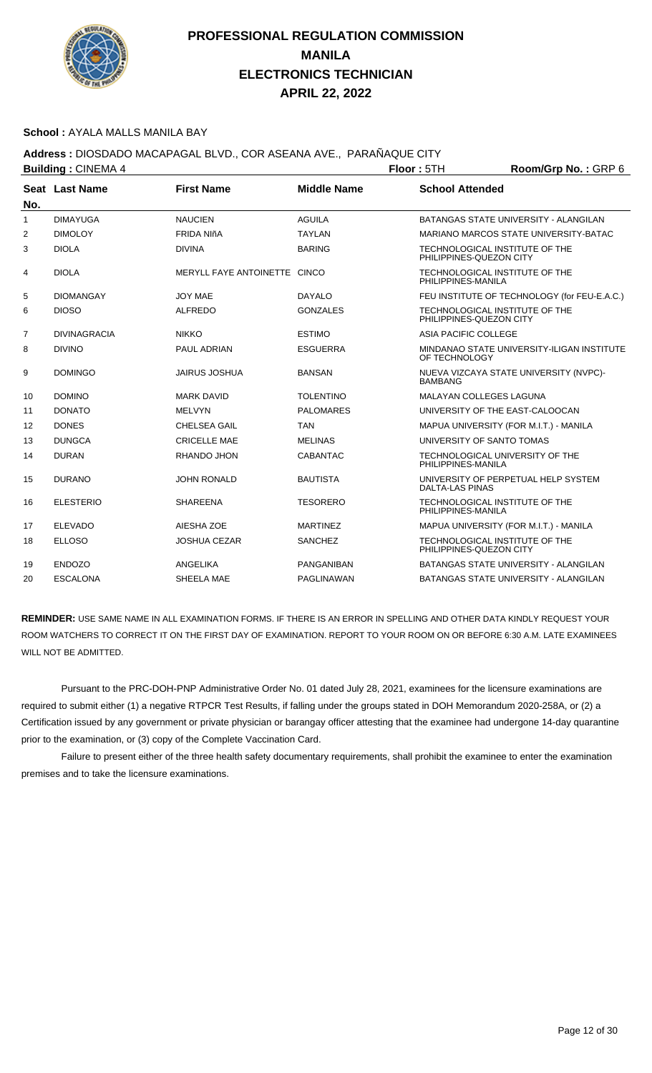

#### **School :** AYALA MALLS MANILA BAY

### **Address :** DIOSDADO MACAPAGAL BLVD., COR ASEANA AVE., PARAÑAQUE CITY

**Building : CINEMA 4 <b>Floor** : **Floor : 5TH Room/Grp No. : GRP 6 Seat** Last Name **No. Last Name First Name Middle Name School Attended** 1 DIMAYUGA NAUCIEN AGUILA BATANGAS STATE UNIVERSITY - ALANGILAN 2 DIMOLOY FRIDA NIñA TAYLAN MARIANO MARCOS STATE UNIVERSITY-RATAC 3 DIOLA DIVINA BARING TECHNOLOGICAL INSTITUTE OF THE PHILIPPINES-QUEZON CITY 4 DIOLA MERYLL FAYE ANTOINETTE CINCO TECHNOLOGICAL INSTITUTE OF THE PHILIPPINES-MANILA 5 DIOMANGAY JOY MAE DAYALO FEU INSTITUTE OF TECHNOLOGY (for FEU-E.A.C.) 6 DIOSO ALFREDO GONZALES TECHNOLOGICAL INSTITUTE OF THE PHILIPPINES-QUEZON CITY 7 DIVINAGRACIA NIKKO ESTIMO ASIA PACIFIC COLLEGE 8 DIVINO PAUL ADRIAN ESGUERRA MINDANAO STATE UNIVERSITY-ILIGAN INSTITUTE OF TECHNOLOG 9 DOMINGO JAIRUS JOSHUA BANSAN NUEVA VIZCAYA STATE UNIVERSITY (NVPC)- BAMBANG 10 DOMINO MARK DAVID TOLENTINO MALAYAN COLLEGES LAGUNA 11 DONATO MELVYN PALOMARES UNIVERSITY OF THE EAST-CALOOCAN 12 DONES CHELSEA GAIL TAN MAPUA UNIVERSITY (FOR M.I.T.) - MANILA 13 DUNGCA CRICELLE MAE MELINAS UNIVERSITY OF SANTO TOMAS 14 DURAN RHANDO JHON CABANTAC TECHNOLOGICAL UNIVERSITY OF THE PHILIPPINES-MANILA 15 DURANO JOHN RONALD BAUTISTA UNIVERSITY OF PERPETUAL HELP SYSTEM DALTA-LAS PINAS 16 ELESTERIO SHAREENA TESORERO TECHNOLOGICAL INSTITUTE OF THE PHILIPPINES-MANILA 17 ELEVADO AIESHA ZOE MARTINEZ MAPUA UNIVERSITY (FOR M.I.T.) - MANILA 18 ELLOSO JOSHUA CEZAR SANCHEZ TECHNOLOGICAL INSTITUTE OF THE PHILIPPINES-QUEZON CITY 19 ENDOZO ANGELIKA PANGANIBAN BATANGAS STATE UNIVERSITY - ALANGILAN 20 ESCALONA SHEELA MAE PAGLINAWAN BATANGAS STATE UNIVERSITY - ALANGILAN

**REMINDER:** USE SAME NAME IN ALL EXAMINATION FORMS. IF THERE IS AN ERROR IN SPELLING AND OTHER DATA KINDLY REQUEST YOUR ROOM WATCHERS TO CORRECT IT ON THE FIRST DAY OF EXAMINATION. REPORT TO YOUR ROOM ON OR BEFORE 6:30 A.M. LATE EXAMINEES WILL NOT BE ADMITTED.

 Pursuant to the PRC-DOH-PNP Administrative Order No. 01 dated July 28, 2021, examinees for the licensure examinations are required to submit either (1) a negative RTPCR Test Results, if falling under the groups stated in DOH Memorandum 2020-258A, or (2) a Certification issued by any government or private physician or barangay officer attesting that the examinee had undergone 14-day quarantine prior to the examination, or (3) copy of the Complete Vaccination Card.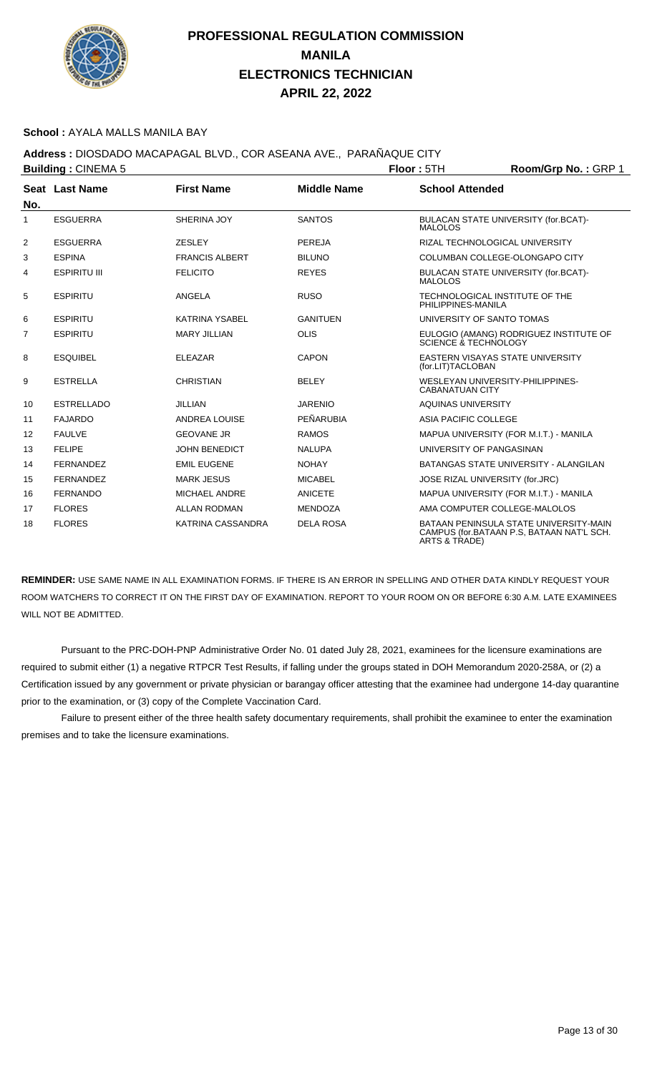

#### **School :** AYALA MALLS MANILA BAY

## **Address :** DIOSDADO MACAPAGAL BLVD., COR ASEANA AVE., PARAÑAQUE CITY

|                | <b>Building: CINEMA 5</b> |                       |                    | Floor: 5TH                                                 | Room/Grp No.: GRP 1                                                                 |
|----------------|---------------------------|-----------------------|--------------------|------------------------------------------------------------|-------------------------------------------------------------------------------------|
|                | Seat Last Name            | <b>First Name</b>     | <b>Middle Name</b> | <b>School Attended</b>                                     |                                                                                     |
| No.            |                           |                       |                    |                                                            |                                                                                     |
| $\mathbf{1}$   | <b>ESGUERRA</b>           | SHERINA JOY           | <b>SANTOS</b>      | <b>MALOLOS</b>                                             | BULACAN STATE UNIVERSITY (for.BCAT)-                                                |
| 2              | <b>ESGUERRA</b>           | <b>ZESLEY</b>         | <b>PEREJA</b>      | RIZAL TECHNOLOGICAL UNIVERSITY                             |                                                                                     |
| 3              | <b>ESPINA</b>             | <b>FRANCIS ALBERT</b> | <b>BILUNO</b>      | COLUMBAN COLLEGE-OLONGAPO CITY                             |                                                                                     |
| 4              | <b>ESPIRITU III</b>       | <b>FELICITO</b>       | <b>REYES</b>       | <b>MALOLOS</b>                                             | BULACAN STATE UNIVERSITY (for.BCAT)-                                                |
| 5              | <b>ESPIRITU</b>           | ANGELA                | <b>RUSO</b>        | TECHNOLOGICAL INSTITUTE OF THE<br>PHILIPPINES-MANILA       |                                                                                     |
| 6              | <b>ESPIRITU</b>           | <b>KATRINA YSABEL</b> | <b>GANITUEN</b>    | UNIVERSITY OF SANTO TOMAS                                  |                                                                                     |
| $\overline{7}$ | <b>ESPIRITU</b>           | <b>MARY JILLIAN</b>   | <b>OLIS</b>        | SCIENCE & TECHNOLOGY                                       | EULOGIO (AMANG) RODRIGUEZ INSTITUTE OF                                              |
| 8              | <b>ESQUIBEL</b>           | <b>ELEAZAR</b>        | <b>CAPON</b>       | EASTERN VISAYAS STATE UNIVERSITY<br>(for.LIT)TACLOBAN      |                                                                                     |
| 9              | <b>ESTRELLA</b>           | <b>CHRISTIAN</b>      | <b>BELEY</b>       | WESLEYAN UNIVERSITY-PHILIPPINES-<br><b>CABANATUAN CITY</b> |                                                                                     |
| 10             | <b>ESTRELLADO</b>         | <b>JILLIAN</b>        | <b>JARENIO</b>     | <b>AQUINAS UNIVERSITY</b>                                  |                                                                                     |
| 11             | <b>FAJARDO</b>            | <b>ANDREA LOUISE</b>  | PEÑARUBIA          | ASIA PACIFIC COLLEGE                                       |                                                                                     |
| 12             | <b>FAULVE</b>             | <b>GEOVANE JR</b>     | <b>RAMOS</b>       |                                                            | MAPUA UNIVERSITY (FOR M.I.T.) - MANILA                                              |
| 13             | <b>FELIPE</b>             | <b>JOHN BENEDICT</b>  | <b>NALUPA</b>      | UNIVERSITY OF PANGASINAN                                   |                                                                                     |
| 14             | <b>FERNANDEZ</b>          | <b>EMIL EUGENE</b>    | <b>NOHAY</b>       |                                                            | BATANGAS STATE UNIVERSITY - ALANGILAN                                               |
| 15             | <b>FERNANDEZ</b>          | <b>MARK JESUS</b>     | <b>MICABEL</b>     | JOSE RIZAL UNIVERSITY (for.JRC)                            |                                                                                     |
| 16             | <b>FERNANDO</b>           | <b>MICHAEL ANDRE</b>  | <b>ANICETE</b>     |                                                            | MAPUA UNIVERSITY (FOR M.I.T.) - MANILA                                              |
| 17             | <b>FLORES</b>             | <b>ALLAN RODMAN</b>   | <b>MENDOZA</b>     | AMA COMPUTER COLLEGE-MALOLOS                               |                                                                                     |
| 18             | <b>FLORES</b>             | KATRINA CASSANDRA     | <b>DELA ROSA</b>   | <b>ARTS &amp; TRADE)</b>                                   | BATAAN PENINSULA STATE UNIVERSITY-MAIN<br>CAMPUS (for.BATAAN P.S. BATAAN NAT'L SCH. |

**REMINDER:** USE SAME NAME IN ALL EXAMINATION FORMS. IF THERE IS AN ERROR IN SPELLING AND OTHER DATA KINDLY REQUEST YOUR ROOM WATCHERS TO CORRECT IT ON THE FIRST DAY OF EXAMINATION. REPORT TO YOUR ROOM ON OR BEFORE 6:30 A.M. LATE EXAMINEES WILL NOT BE ADMITTED.

 Pursuant to the PRC-DOH-PNP Administrative Order No. 01 dated July 28, 2021, examinees for the licensure examinations are required to submit either (1) a negative RTPCR Test Results, if falling under the groups stated in DOH Memorandum 2020-258A, or (2) a Certification issued by any government or private physician or barangay officer attesting that the examinee had undergone 14-day quarantine prior to the examination, or (3) copy of the Complete Vaccination Card.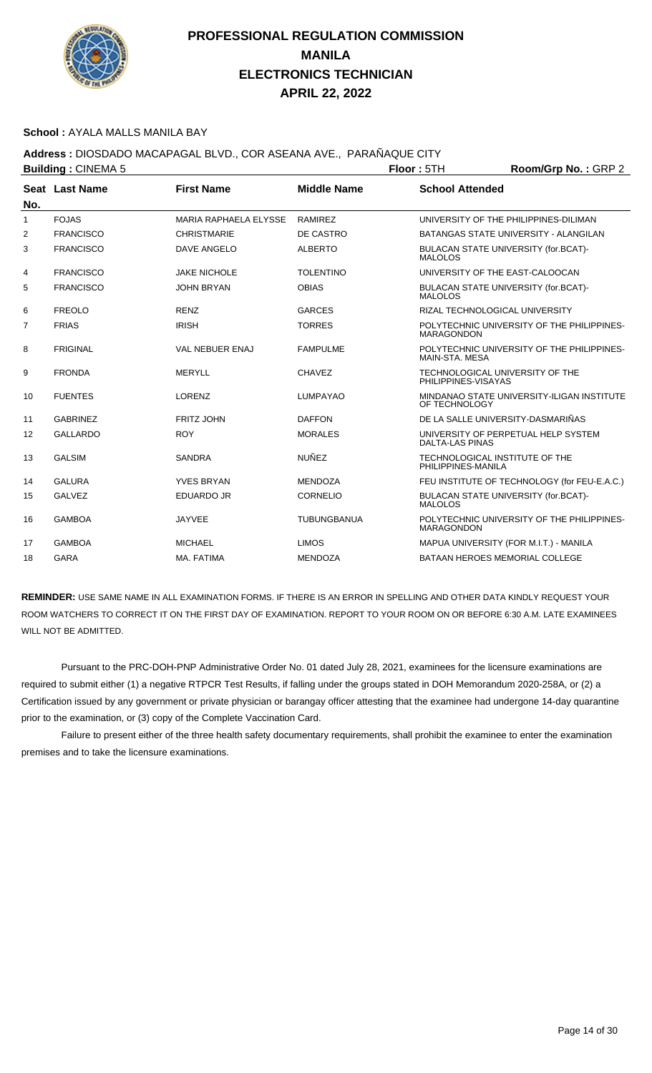

#### **School :** AYALA MALLS MANILA BAY

## **Address :** DIOSDADO MACAPAGAL BLVD., COR ASEANA AVE., PARAÑAQUE CITY

|                   | <b>Building: CINEMA 5</b> |                              |                    | Floor: 5TH<br>Room/Grp No.: GRP 2 |                                              |  |
|-------------------|---------------------------|------------------------------|--------------------|-----------------------------------|----------------------------------------------|--|
| No.               | Seat Last Name            | <b>First Name</b>            | <b>Middle Name</b> | <b>School Attended</b>            |                                              |  |
| $\mathbf{1}$      | <b>FOJAS</b>              | <b>MARIA RAPHAELA ELYSSE</b> | <b>RAMIREZ</b>     |                                   | UNIVERSITY OF THE PHILIPPINES-DILIMAN        |  |
| 2                 | <b>FRANCISCO</b>          | <b>CHRISTMARIE</b>           | DE CASTRO          |                                   | BATANGAS STATE UNIVERSITY - ALANGILAN        |  |
| 3                 | <b>FRANCISCO</b>          | DAVE ANGELO                  | <b>ALBERTO</b>     | <b>MALOLOS</b>                    | BULACAN STATE UNIVERSITY (for.BCAT)-         |  |
| 4                 | <b>FRANCISCO</b>          | <b>JAKE NICHOLE</b>          | <b>TOLENTINO</b>   |                                   | UNIVERSITY OF THE EAST-CALOOCAN              |  |
| 5                 | <b>FRANCISCO</b>          | <b>JOHN BRYAN</b>            | <b>OBIAS</b>       | <b>MALOLOS</b>                    | BULACAN STATE UNIVERSITY (for.BCAT)-         |  |
| 6                 | <b>FREOLO</b>             | <b>RENZ</b>                  | <b>GARCES</b>      |                                   | RIZAL TECHNOLOGICAL UNIVERSITY               |  |
| 7                 | <b>FRIAS</b>              | <b>IRISH</b>                 | <b>TORRES</b>      | <b>MARAGONDON</b>                 | POLYTECHNIC UNIVERSITY OF THE PHILIPPINES-   |  |
| 8                 | <b>FRIGINAL</b>           | VAL NEBUER ENAJ              | <b>FAMPULME</b>    | MAIN-STA, MESA                    | POLYTECHNIC UNIVERSITY OF THE PHILIPPINES-   |  |
| 9                 | <b>FRONDA</b>             | <b>MERYLL</b>                | <b>CHAVEZ</b>      | PHILIPPINES-VISAYAS               | TECHNOLOGICAL UNIVERSITY OF THE              |  |
| 10                | <b>FUENTES</b>            | LORENZ                       | <b>LUMPAYAO</b>    | OF TECHNOLOGY                     | MINDANAO STATE UNIVERSITY-ILIGAN INSTITUTE   |  |
| 11                | <b>GABRINEZ</b>           | <b>FRITZ JOHN</b>            | <b>DAFFON</b>      |                                   | DE LA SALLE UNIVERSITY-DASMARIÑAS            |  |
| $12 \overline{ }$ | <b>GALLARDO</b>           | <b>ROY</b>                   | <b>MORALES</b>     | <b>DALTA-LAS PINAS</b>            | UNIVERSITY OF PERPETUAL HELP SYSTEM          |  |
| 13                | <b>GALSIM</b>             | <b>SANDRA</b>                | <b>NUÑEZ</b>       | PHILIPPINES-MANILA                | TECHNOLOGICAL INSTITUTE OF THE               |  |
| 14                | <b>GALURA</b>             | <b>YVES BRYAN</b>            | <b>MENDOZA</b>     |                                   | FEU INSTITUTE OF TECHNOLOGY (for FEU-E.A.C.) |  |
| 15                | <b>GALVEZ</b>             | <b>EDUARDO JR</b>            | <b>CORNELIO</b>    | <b>MALOLOS</b>                    | BULACAN STATE UNIVERSITY (for.BCAT)-         |  |
| 16                | <b>GAMBOA</b>             | <b>JAYVEE</b>                | <b>TUBUNGBANUA</b> | <b>MARAGONDON</b>                 | POLYTECHNIC UNIVERSITY OF THE PHILIPPINES-   |  |
| 17                | <b>GAMBOA</b>             | <b>MICHAEL</b>               | <b>LIMOS</b>       |                                   | MAPUA UNIVERSITY (FOR M.I.T.) - MANILA       |  |
| 18                | <b>GARA</b>               | MA. FATIMA                   | <b>MENDOZA</b>     |                                   | BATAAN HEROES MEMORIAL COLLEGE               |  |

**REMINDER:** USE SAME NAME IN ALL EXAMINATION FORMS. IF THERE IS AN ERROR IN SPELLING AND OTHER DATA KINDLY REQUEST YOUR ROOM WATCHERS TO CORRECT IT ON THE FIRST DAY OF EXAMINATION. REPORT TO YOUR ROOM ON OR BEFORE 6:30 A.M. LATE EXAMINEES WILL NOT BE ADMITTED.

 Pursuant to the PRC-DOH-PNP Administrative Order No. 01 dated July 28, 2021, examinees for the licensure examinations are required to submit either (1) a negative RTPCR Test Results, if falling under the groups stated in DOH Memorandum 2020-258A, or (2) a Certification issued by any government or private physician or barangay officer attesting that the examinee had undergone 14-day quarantine prior to the examination, or (3) copy of the Complete Vaccination Card.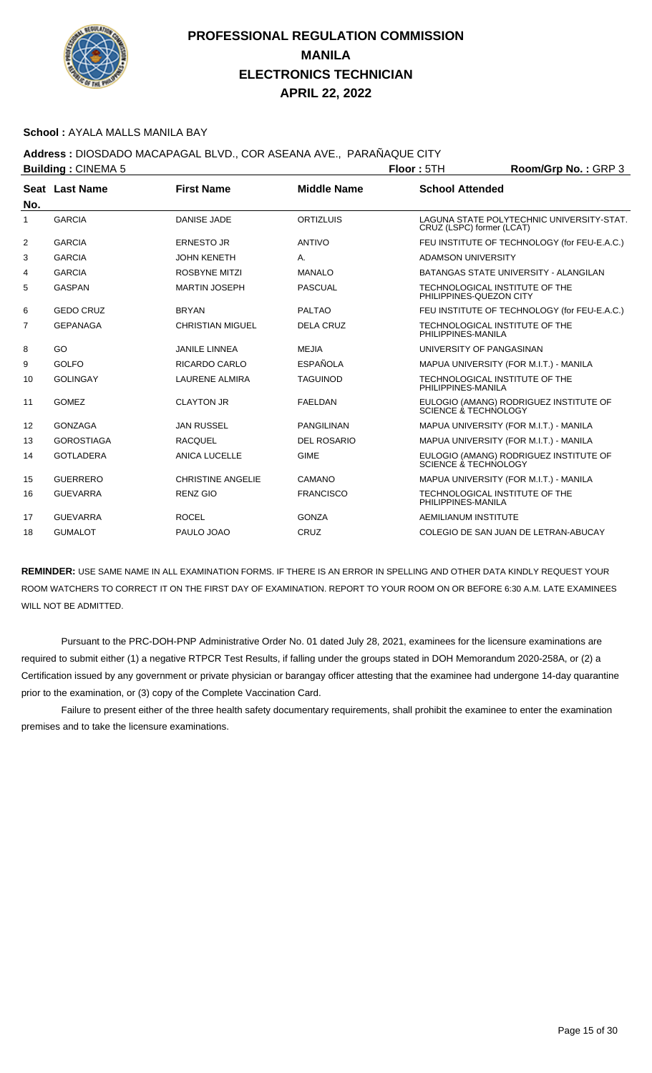

#### **School :** AYALA MALLS MANILA BAY

**Address :** DIOSDADO MACAPAGAL BLVD., COR ASEANA AVE., PARAÑAQUE CITY

|                   | <b>Building: CINEMA 5</b> |                          |                    | Floor: 5TH                | Room/Grp No.: GRP 3                          |
|-------------------|---------------------------|--------------------------|--------------------|---------------------------|----------------------------------------------|
|                   | Seat Last Name            | <b>First Name</b>        | <b>Middle Name</b> | <b>School Attended</b>    |                                              |
| No.               |                           |                          |                    |                           |                                              |
| 1                 | <b>GARCIA</b>             | <b>DANISE JADE</b>       | <b>ORTIZLUIS</b>   | CRUZ (LSPC) former (LCAT) | LAGUNA STATE POLYTECHNIC UNIVERSITY-STAT.    |
| 2                 | <b>GARCIA</b>             | <b>ERNESTO JR</b>        | <b>ANTIVO</b>      |                           | FEU INSTITUTE OF TECHNOLOGY (for FEU-E.A.C.) |
| 3                 | <b>GARCIA</b>             | <b>JOHN KENETH</b>       | A.                 | <b>ADAMSON UNIVERSITY</b> |                                              |
| 4                 | <b>GARCIA</b>             | <b>ROSBYNE MITZI</b>     | <b>MANALO</b>      |                           | BATANGAS STATE UNIVERSITY - ALANGILAN        |
| 5                 | <b>GASPAN</b>             | <b>MARTIN JOSEPH</b>     | <b>PASCUAL</b>     | PHILIPPINES-QUEZON CITY   | TECHNOLOGICAL INSTITUTE OF THE               |
| 6                 | <b>GEDO CRUZ</b>          | <b>BRYAN</b>             | <b>PALTAO</b>      |                           | FEU INSTITUTE OF TECHNOLOGY (for FEU-E.A.C.) |
| 7                 | <b>GEPANAGA</b>           | <b>CHRISTIAN MIGUEL</b>  | <b>DELA CRUZ</b>   | PHILIPPINES-MANILA        | TECHNOLOGICAL INSTITUTE OF THE               |
| 8                 | GO                        | <b>JANILE LINNEA</b>     | <b>MEJIA</b>       | UNIVERSITY OF PANGASINAN  |                                              |
| 9                 | <b>GOLFO</b>              | RICARDO CARLO            | <b>ESPAÑOLA</b>    |                           | MAPUA UNIVERSITY (FOR M.I.T.) - MANILA       |
| 10                | <b>GOLINGAY</b>           | <b>LAURENE ALMIRA</b>    | <b>TAGUINOD</b>    | PHILIPPINES-MANILA        | TECHNOLOGICAL INSTITUTE OF THE               |
| 11                | <b>GOMEZ</b>              | <b>CLAYTON JR</b>        | <b>FAELDAN</b>     | SCIENCE & TECHNOLOGY      | EULOGIO (AMANG) RODRIGUEZ INSTITUTE OF       |
| $12 \overline{ }$ | <b>GONZAGA</b>            | <b>JAN RUSSEL</b>        | <b>PANGILINAN</b>  |                           | MAPUA UNIVERSITY (FOR M.I.T.) - MANILA       |
| 13                | <b>GOROSTIAGA</b>         | <b>RACQUEL</b>           | <b>DEL ROSARIO</b> |                           | MAPUA UNIVERSITY (FOR M.I.T.) - MANILA       |
| 14                | <b>GOTLADERA</b>          | <b>ANICA LUCELLE</b>     | <b>GIME</b>        | SCIENCE & TECHNOLOGY      | EULOGIO (AMANG) RODRIGUEZ INSTITUTE OF       |
| 15                | <b>GUERRERO</b>           | <b>CHRISTINE ANGELIE</b> | CAMANO             |                           | MAPUA UNIVERSITY (FOR M.I.T.) - MANILA       |
| 16                | <b>GUEVARRA</b>           | <b>RENZ GIO</b>          | <b>FRANCISCO</b>   | PHILIPPINES-MANILA        | TECHNOLOGICAL INSTITUTE OF THE               |
| 17                | <b>GUEVARRA</b>           | <b>ROCEL</b>             | <b>GONZA</b>       | AEMILIANUM INSTITUTE      |                                              |
| 18                | <b>GUMALOT</b>            | PAULO JOAO               | CRUZ               |                           | COLEGIO DE SAN JUAN DE LETRAN-ABUCAY         |

**REMINDER:** USE SAME NAME IN ALL EXAMINATION FORMS. IF THERE IS AN ERROR IN SPELLING AND OTHER DATA KINDLY REQUEST YOUR ROOM WATCHERS TO CORRECT IT ON THE FIRST DAY OF EXAMINATION. REPORT TO YOUR ROOM ON OR BEFORE 6:30 A.M. LATE EXAMINEES WILL NOT BE ADMITTED.

 Pursuant to the PRC-DOH-PNP Administrative Order No. 01 dated July 28, 2021, examinees for the licensure examinations are required to submit either (1) a negative RTPCR Test Results, if falling under the groups stated in DOH Memorandum 2020-258A, or (2) a Certification issued by any government or private physician or barangay officer attesting that the examinee had undergone 14-day quarantine prior to the examination, or (3) copy of the Complete Vaccination Card.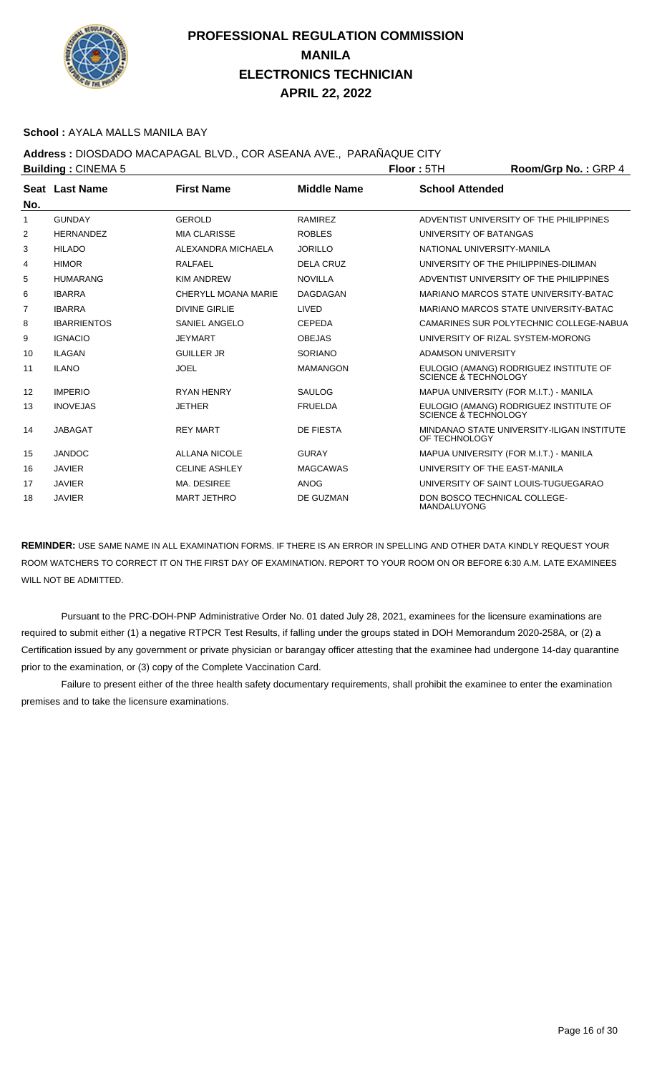

#### **School :** AYALA MALLS MANILA BAY

**Address :** DIOSDADO MACAPAGAL BLVD., COR ASEANA AVE., PARAÑAQUE CITY

|     | <b>Building: CINEMA 5</b> |                      |                    | Room/Grp No.: GRP 4<br>Floor: 5TH |                                            |
|-----|---------------------------|----------------------|--------------------|-----------------------------------|--------------------------------------------|
|     | Seat Last Name            | <b>First Name</b>    | <b>Middle Name</b> | <b>School Attended</b>            |                                            |
| No. |                           |                      |                    |                                   |                                            |
| 1   | <b>GUNDAY</b>             | <b>GEROLD</b>        | <b>RAMIREZ</b>     |                                   | ADVENTIST UNIVERSITY OF THE PHILIPPINES    |
| 2   | <b>HERNANDEZ</b>          | <b>MIA CLARISSE</b>  | <b>ROBLES</b>      | UNIVERSITY OF BATANGAS            |                                            |
| 3   | <b>HILADO</b>             | ALEXANDRA MICHAELA   | <b>JORILLO</b>     | NATIONAL UNIVERSITY-MANILA        |                                            |
| 4   | <b>HIMOR</b>              | <b>RALFAEL</b>       | <b>DELA CRUZ</b>   |                                   | UNIVERSITY OF THE PHILIPPINES-DILIMAN      |
| 5   | <b>HUMARANG</b>           | <b>KIM ANDREW</b>    | <b>NOVILLA</b>     |                                   | ADVENTIST UNIVERSITY OF THE PHILIPPINES    |
| 6   | <b>IBARRA</b>             | CHERYLL MOANA MARIE  | <b>DAGDAGAN</b>    |                                   | MARIANO MARCOS STATE UNIVERSITY-BATAC      |
| 7   | <b>IBARRA</b>             | <b>DIVINE GIRLIE</b> | <b>LIVED</b>       |                                   | MARIANO MARCOS STATE UNIVERSITY-BATAC      |
| 8   | <b>IBARRIENTOS</b>        | <b>SANIEL ANGELO</b> | <b>CEPEDA</b>      |                                   | CAMARINES SUR POLYTECHNIC COLLEGE-NABUA    |
| 9   | <b>IGNACIO</b>            | <b>JEYMART</b>       | <b>OBEJAS</b>      |                                   | UNIVERSITY OF RIZAL SYSTEM-MORONG          |
| 10  | <b>ILAGAN</b>             | <b>GUILLER JR</b>    | <b>SORIANO</b>     | <b>ADAMSON UNIVERSITY</b>         |                                            |
| 11  | <b>ILANO</b>              | <b>JOEL</b>          | <b>MAMANGON</b>    | SCIENCE & TECHNOLOGY              | EULOGIO (AMANG) RODRIGUEZ INSTITUTE OF     |
| 12  | <b>IMPERIO</b>            | <b>RYAN HENRY</b>    | <b>SAULOG</b>      |                                   | MAPUA UNIVERSITY (FOR M.I.T.) - MANILA     |
| 13  | <b>INOVEJAS</b>           | <b>JETHER</b>        | <b>FRUELDA</b>     | SCIENCE & TECHNOLOGY              | EULOGIO (AMANG) RODRIGUEZ INSTITUTE OF     |
| 14  | <b>JABAGAT</b>            | <b>REY MART</b>      | <b>DE FIESTA</b>   | OF TECHNOLOGY                     | MINDANAO STATE UNIVERSITY-ILIGAN INSTITUTE |
| 15  | <b>JANDOC</b>             | <b>ALLANA NICOLE</b> | <b>GURAY</b>       |                                   | MAPUA UNIVERSITY (FOR M.I.T.) - MANILA     |
| 16  | <b>JAVIER</b>             | <b>CELINE ASHLEY</b> | <b>MAGCAWAS</b>    |                                   | UNIVERSITY OF THE EAST-MANILA              |
| 17  | <b>JAVIER</b>             | MA. DESIREE          | <b>ANOG</b>        |                                   | UNIVERSITY OF SAINT LOUIS-TUGUEGARAO       |
| 18  | <b>JAVIER</b>             | <b>MART JETHRO</b>   | DE GUZMAN          | MANDALUYONG                       | DON BOSCO TECHNICAL COLLEGE-               |

**REMINDER:** USE SAME NAME IN ALL EXAMINATION FORMS. IF THERE IS AN ERROR IN SPELLING AND OTHER DATA KINDLY REQUEST YOUR ROOM WATCHERS TO CORRECT IT ON THE FIRST DAY OF EXAMINATION. REPORT TO YOUR ROOM ON OR BEFORE 6:30 A.M. LATE EXAMINEES WILL NOT BE ADMITTED.

 Pursuant to the PRC-DOH-PNP Administrative Order No. 01 dated July 28, 2021, examinees for the licensure examinations are required to submit either (1) a negative RTPCR Test Results, if falling under the groups stated in DOH Memorandum 2020-258A, or (2) a Certification issued by any government or private physician or barangay officer attesting that the examinee had undergone 14-day quarantine prior to the examination, or (3) copy of the Complete Vaccination Card.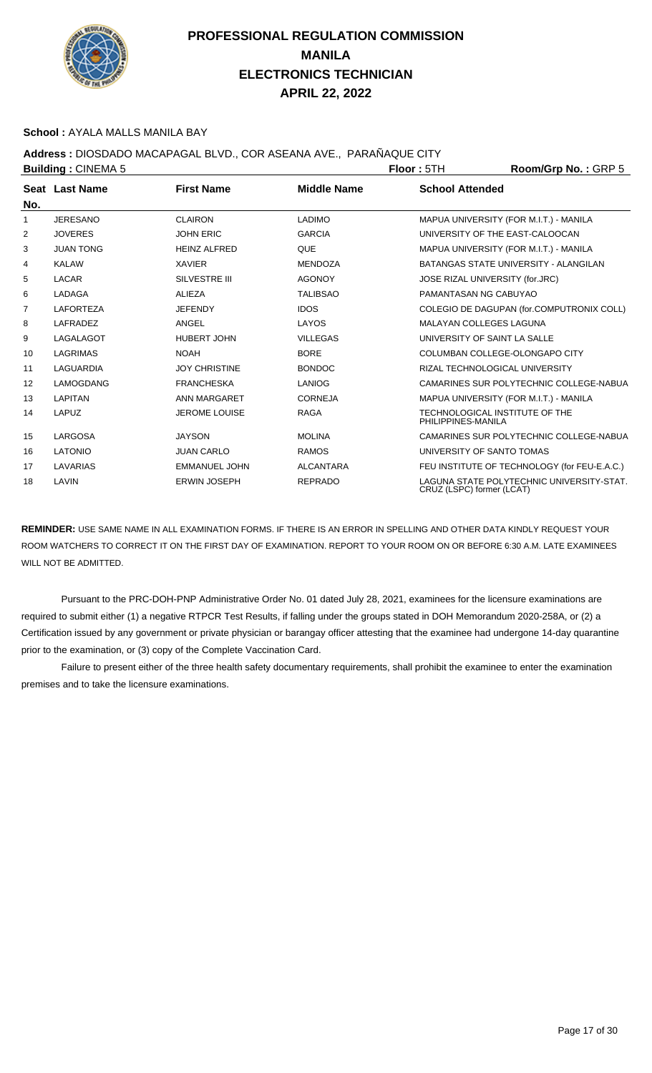

#### **School :** AYALA MALLS MANILA BAY

## **Address :** DIOSDADO MACAPAGAL BLVD., COR ASEANA AVE., PARAÑAQUE CITY

| <b>Building: CINEMA 5</b> |                  |                      | Floor: 5TH         | Room/Grp No.: GRP 5                                  |                                              |
|---------------------------|------------------|----------------------|--------------------|------------------------------------------------------|----------------------------------------------|
|                           | Seat Last Name   | <b>First Name</b>    | <b>Middle Name</b> | <b>School Attended</b>                               |                                              |
| No.                       |                  |                      |                    |                                                      |                                              |
| 1                         | <b>JERESANO</b>  | <b>CLAIRON</b>       | <b>LADIMO</b>      |                                                      | MAPUA UNIVERSITY (FOR M.I.T.) - MANILA       |
| 2                         | <b>JOVERES</b>   | <b>JOHN ERIC</b>     | <b>GARCIA</b>      | UNIVERSITY OF THE EAST-CALOOCAN                      |                                              |
| 3                         | <b>JUAN TONG</b> | <b>HEINZ ALFRED</b>  | <b>QUE</b>         |                                                      | MAPUA UNIVERSITY (FOR M.I.T.) - MANILA       |
| 4                         | <b>KALAW</b>     | <b>XAVIER</b>        | <b>MENDOZA</b>     |                                                      | BATANGAS STATE UNIVERSITY - ALANGILAN        |
| 5                         | <b>LACAR</b>     | <b>SILVESTRE III</b> | <b>AGONOY</b>      | JOSE RIZAL UNIVERSITY (for.JRC)                      |                                              |
| 6                         | LADAGA           | <b>ALIEZA</b>        | <b>TALIBSAO</b>    | PAMANTASAN NG CABUYAO                                |                                              |
| 7                         | <b>LAFORTEZA</b> | <b>JEFENDY</b>       | <b>IDOS</b>        |                                                      | COLEGIO DE DAGUPAN (for.COMPUTRONIX COLL)    |
| 8                         | LAFRADEZ         | ANGEL                | LAYOS              | <b>MALAYAN COLLEGES LAGUNA</b>                       |                                              |
| 9                         | <b>LAGALAGOT</b> | <b>HUBERT JOHN</b>   | <b>VILLEGAS</b>    | UNIVERSITY OF SAINT LA SALLE                         |                                              |
| 10                        | <b>LAGRIMAS</b>  | <b>NOAH</b>          | <b>BORE</b>        |                                                      | COLUMBAN COLLEGE-OLONGAPO CITY               |
| 11                        | LAGUARDIA        | <b>JOY CHRISTINE</b> | <b>BONDOC</b>      | RIZAL TECHNOLOGICAL UNIVERSITY                       |                                              |
| 12                        | LAMOGDANG        | <b>FRANCHESKA</b>    | <b>LANIOG</b>      |                                                      | CAMARINES SUR POLYTECHNIC COLLEGE-NABUA      |
| 13                        | <b>LAPITAN</b>   | ANN MARGARET         | <b>CORNEJA</b>     |                                                      | MAPUA UNIVERSITY (FOR M.I.T.) - MANILA       |
| 14                        | LAPUZ            | <b>JEROME LOUISE</b> | <b>RAGA</b>        | TECHNOLOGICAL INSTITUTE OF THE<br>PHILIPPINES-MANILA |                                              |
| 15                        | LARGOSA          | <b>JAYSON</b>        | <b>MOLINA</b>      |                                                      | CAMARINES SUR POLYTECHNIC COLLEGE-NABUA      |
| 16                        | <b>LATONIO</b>   | <b>JUAN CARLO</b>    | <b>RAMOS</b>       | UNIVERSITY OF SANTO TOMAS                            |                                              |
| 17                        | LAVARIAS         | <b>EMMANUEL JOHN</b> | <b>ALCANTARA</b>   |                                                      | FEU INSTITUTE OF TECHNOLOGY (for FEU-E.A.C.) |
| 18                        | LAVIN            | <b>ERWIN JOSEPH</b>  | <b>REPRADO</b>     | CRUZ (LSPC) former (LCAT)                            | LAGUNA STATE POLYTECHNIC UNIVERSITY-STAT.    |

**REMINDER:** USE SAME NAME IN ALL EXAMINATION FORMS. IF THERE IS AN ERROR IN SPELLING AND OTHER DATA KINDLY REQUEST YOUR ROOM WATCHERS TO CORRECT IT ON THE FIRST DAY OF EXAMINATION. REPORT TO YOUR ROOM ON OR BEFORE 6:30 A.M. LATE EXAMINEES WILL NOT BE ADMITTED.

 Pursuant to the PRC-DOH-PNP Administrative Order No. 01 dated July 28, 2021, examinees for the licensure examinations are required to submit either (1) a negative RTPCR Test Results, if falling under the groups stated in DOH Memorandum 2020-258A, or (2) a Certification issued by any government or private physician or barangay officer attesting that the examinee had undergone 14-day quarantine prior to the examination, or (3) copy of the Complete Vaccination Card.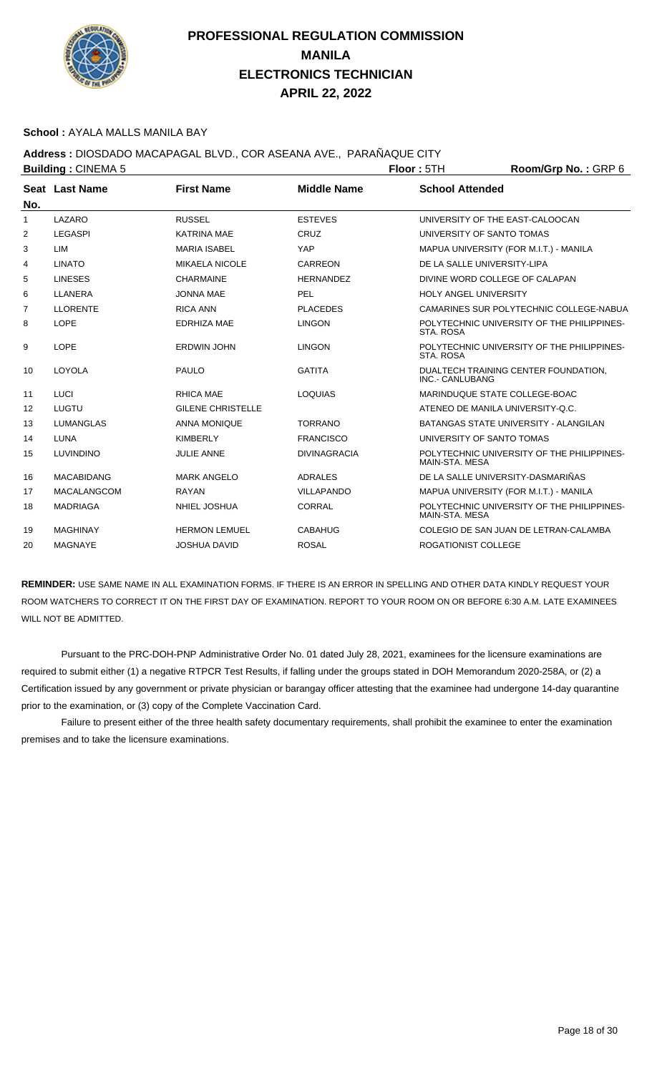

#### **School :** AYALA MALLS MANILA BAY

## **Address :** DIOSDADO MACAPAGAL BLVD., COR ASEANA AVE., PARAÑAQUE CITY

|                | <b>Building: CINEMA 5</b> |                          |                     | Room/Grp No.: GRP 6<br>Floor: 5TH |                                            |  |
|----------------|---------------------------|--------------------------|---------------------|-----------------------------------|--------------------------------------------|--|
|                | Seat Last Name            | <b>First Name</b>        | <b>Middle Name</b>  | <b>School Attended</b>            |                                            |  |
| No.            |                           |                          |                     |                                   |                                            |  |
| $\mathbf{1}$   | LAZARO                    | <b>RUSSEL</b>            | <b>ESTEVES</b>      | UNIVERSITY OF THE EAST-CALOOCAN   |                                            |  |
| 2              | <b>LEGASPI</b>            | <b>KATRINA MAE</b>       | CRUZ                | UNIVERSITY OF SANTO TOMAS         |                                            |  |
| 3              | LIM                       | <b>MARIA ISABEL</b>      | YAP                 |                                   | MAPUA UNIVERSITY (FOR M.I.T.) - MANILA     |  |
| 4              | <b>LINATO</b>             | <b>MIKAELA NICOLE</b>    | CARREON             | DE LA SALLE UNIVERSITY-LIPA       |                                            |  |
| 5              | <b>LINESES</b>            | <b>CHARMAINE</b>         | <b>HERNANDEZ</b>    | DIVINE WORD COLLEGE OF CALAPAN    |                                            |  |
| 6              | <b>LLANERA</b>            | <b>JONNA MAE</b>         | <b>PEL</b>          | <b>HOLY ANGEL UNIVERSITY</b>      |                                            |  |
| $\overline{7}$ | <b>LLORENTE</b>           | <b>RICA ANN</b>          | <b>PLACEDES</b>     |                                   | CAMARINES SUR POLYTECHNIC COLLEGE-NABUA    |  |
| 8              | <b>LOPE</b>               | <b>EDRHIZA MAE</b>       | <b>LINGON</b>       | STA, ROSA                         | POLYTECHNIC UNIVERSITY OF THE PHILIPPINES- |  |
| 9              | LOPE                      | <b>ERDWIN JOHN</b>       | <b>LINGON</b>       | <b>STA, ROSA</b>                  | POLYTECHNIC UNIVERSITY OF THE PHILIPPINES- |  |
| 10             | LOYOLA                    | <b>PAULO</b>             | <b>GATITA</b>       | INC.- CANLUBANG                   | DUALTECH TRAINING CENTER FOUNDATION,       |  |
| 11             | <b>LUCI</b>               | RHICA MAE                | <b>LOQUIAS</b>      | MARINDUQUE STATE COLLEGE-BOAC     |                                            |  |
| 12             | LUGTU                     | <b>GILENE CHRISTELLE</b> |                     | ATENEO DE MANILA UNIVERSITY-Q.C.  |                                            |  |
| 13             | <b>LUMANGLAS</b>          | <b>ANNA MONIQUE</b>      | <b>TORRANO</b>      |                                   | BATANGAS STATE UNIVERSITY - ALANGILAN      |  |
| 14             | LUNA                      | <b>KIMBERLY</b>          | <b>FRANCISCO</b>    | UNIVERSITY OF SANTO TOMAS         |                                            |  |
| 15             | <b>LUVINDINO</b>          | <b>JULIE ANNE</b>        | <b>DIVINAGRACIA</b> | MAIN-STA, MESA                    | POLYTECHNIC UNIVERSITY OF THE PHILIPPINES- |  |
| 16             | <b>MACABIDANG</b>         | <b>MARK ANGELO</b>       | <b>ADRALES</b>      | DE LA SALLE UNIVERSITY-DASMARIÑAS |                                            |  |
| 17             | <b>MACALANGCOM</b>        | <b>RAYAN</b>             | <b>VILLAPANDO</b>   |                                   | MAPUA UNIVERSITY (FOR M.I.T.) - MANILA     |  |
| 18             | <b>MADRIAGA</b>           | NHIEL JOSHUA             | <b>CORRAL</b>       | MAIN-STA, MESA                    | POLYTECHNIC UNIVERSITY OF THE PHILIPPINES- |  |
| 19             | <b>MAGHINAY</b>           | <b>HERMON LEMUEL</b>     | <b>CABAHUG</b>      |                                   | COLEGIO DE SAN JUAN DE LETRAN-CALAMBA      |  |
| 20             | <b>MAGNAYE</b>            | <b>JOSHUA DAVID</b>      | <b>ROSAL</b>        | <b>ROGATIONIST COLLEGE</b>        |                                            |  |
|                |                           |                          |                     |                                   |                                            |  |

**REMINDER:** USE SAME NAME IN ALL EXAMINATION FORMS. IF THERE IS AN ERROR IN SPELLING AND OTHER DATA KINDLY REQUEST YOUR ROOM WATCHERS TO CORRECT IT ON THE FIRST DAY OF EXAMINATION. REPORT TO YOUR ROOM ON OR BEFORE 6:30 A.M. LATE EXAMINEES WILL NOT BE ADMITTED.

 Pursuant to the PRC-DOH-PNP Administrative Order No. 01 dated July 28, 2021, examinees for the licensure examinations are required to submit either (1) a negative RTPCR Test Results, if falling under the groups stated in DOH Memorandum 2020-258A, or (2) a Certification issued by any government or private physician or barangay officer attesting that the examinee had undergone 14-day quarantine prior to the examination, or (3) copy of the Complete Vaccination Card.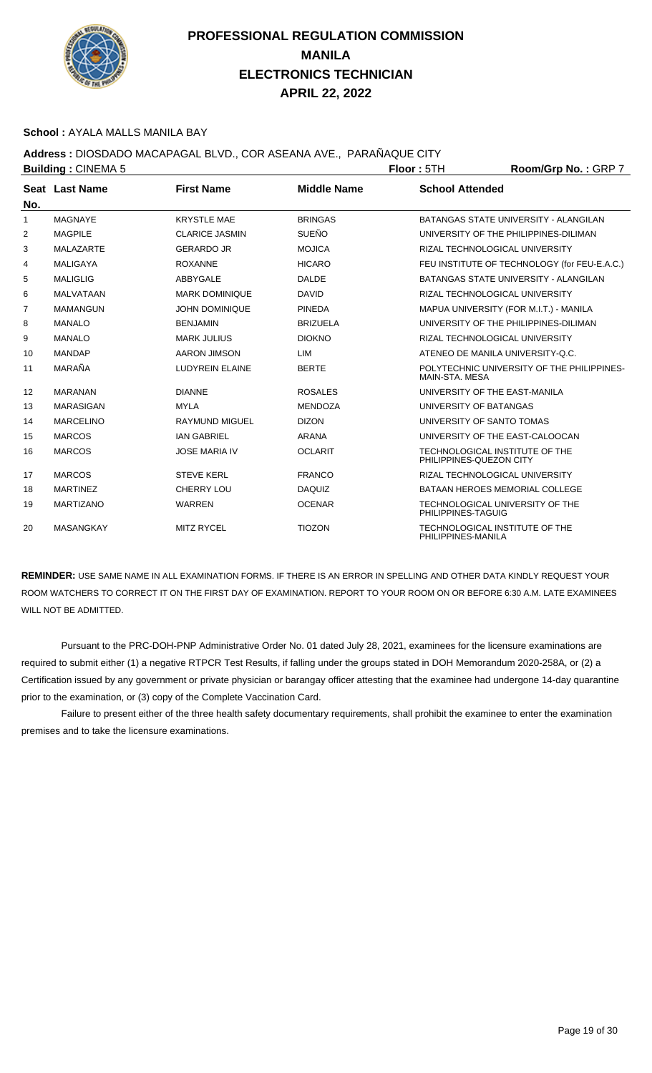

#### **School :** AYALA MALLS MANILA BAY

## **Address :** DIOSDADO MACAPAGAL BLVD., COR ASEANA AVE., PARAÑAQUE CITY

|              | <b>Building: CINEMA 5</b> |                        |                    | <b>Floor: 5TH</b>         | Room/Grp No.: GRP 7                          |
|--------------|---------------------------|------------------------|--------------------|---------------------------|----------------------------------------------|
| No.          | Seat Last Name            | <b>First Name</b>      | <b>Middle Name</b> | <b>School Attended</b>    |                                              |
| $\mathbf{1}$ | <b>MAGNAYE</b>            | <b>KRYSTLE MAE</b>     | <b>BRINGAS</b>     |                           | BATANGAS STATE UNIVERSITY - ALANGILAN        |
| 2            | <b>MAGPILE</b>            | <b>CLARICE JASMIN</b>  | <b>SUEÑO</b>       |                           | UNIVERSITY OF THE PHILIPPINES-DILIMAN        |
| 3            | <b>MALAZARTE</b>          | <b>GERARDO JR</b>      | <b>MOJICA</b>      |                           | RIZAL TECHNOLOGICAL UNIVERSITY               |
| 4            | <b>MALIGAYA</b>           | <b>ROXANNE</b>         | <b>HICARO</b>      |                           | FEU INSTITUTE OF TECHNOLOGY (for FEU-E.A.C.) |
| 5            | <b>MALIGLIG</b>           | ABBYGALE               | <b>DALDE</b>       |                           | <b>BATANGAS STATE UNIVERSITY - ALANGILAN</b> |
| 6            | <b>MALVATAAN</b>          | <b>MARK DOMINIQUE</b>  | <b>DAVID</b>       |                           | RIZAL TECHNOLOGICAL UNIVERSITY               |
| 7            | <b>MAMANGUN</b>           | <b>JOHN DOMINIQUE</b>  | <b>PINEDA</b>      |                           | MAPUA UNIVERSITY (FOR M.I.T.) - MANILA       |
| 8            | <b>MANALO</b>             | <b>BENJAMIN</b>        | <b>BRIZUELA</b>    |                           | UNIVERSITY OF THE PHILIPPINES-DILIMAN        |
| 9            | <b>MANALO</b>             | <b>MARK JULIUS</b>     | <b>DIOKNO</b>      |                           | RIZAL TECHNOLOGICAL UNIVERSITY               |
| 10           | <b>MANDAP</b>             | AARON JIMSON           | LIM                |                           | ATENEO DE MANILA UNIVERSITY-Q.C.             |
| 11           | MARAÑA                    | <b>LUDYREIN ELAINE</b> | <b>BERTE</b>       | MAIN-STA, MESA            | POLYTECHNIC UNIVERSITY OF THE PHILIPPINES-   |
| 12           | <b>MARANAN</b>            | <b>DIANNE</b>          | <b>ROSALES</b>     |                           | UNIVERSITY OF THE EAST-MANILA                |
| 13           | <b>MARASIGAN</b>          | <b>MYLA</b>            | <b>MENDOZA</b>     | UNIVERSITY OF BATANGAS    |                                              |
| 14           | <b>MARCELINO</b>          | <b>RAYMUND MIGUEL</b>  | <b>DIZON</b>       | UNIVERSITY OF SANTO TOMAS |                                              |
| 15           | <b>MARCOS</b>             | <b>IAN GABRIEL</b>     | <b>ARANA</b>       |                           | UNIVERSITY OF THE EAST-CALOOCAN              |
| 16           | <b>MARCOS</b>             | <b>JOSE MARIA IV</b>   | <b>OCLARIT</b>     | PHILIPPINES-QUEZON CITY   | TECHNOLOGICAL INSTITUTE OF THE               |
| 17           | <b>MARCOS</b>             | <b>STEVE KERL</b>      | <b>FRANCO</b>      |                           | RIZAL TECHNOLOGICAL UNIVERSITY               |
| 18           | <b>MARTINEZ</b>           | <b>CHERRY LOU</b>      | <b>DAQUIZ</b>      |                           | <b>BATAAN HEROES MEMORIAL COLLEGE</b>        |
| 19           | <b>MARTIZANO</b>          | <b>WARREN</b>          | <b>OCENAR</b>      | PHILIPPINES-TAGUIG        | TECHNOLOGICAL UNIVERSITY OF THE              |
| 20           | <b>MASANGKAY</b>          | <b>MITZ RYCEL</b>      | <b>TIOZON</b>      | PHILIPPINES-MANILA        | TECHNOLOGICAL INSTITUTE OF THE               |

**REMINDER:** USE SAME NAME IN ALL EXAMINATION FORMS. IF THERE IS AN ERROR IN SPELLING AND OTHER DATA KINDLY REQUEST YOUR ROOM WATCHERS TO CORRECT IT ON THE FIRST DAY OF EXAMINATION. REPORT TO YOUR ROOM ON OR BEFORE 6:30 A.M. LATE EXAMINEES WILL NOT BE ADMITTED.

 Pursuant to the PRC-DOH-PNP Administrative Order No. 01 dated July 28, 2021, examinees for the licensure examinations are required to submit either (1) a negative RTPCR Test Results, if falling under the groups stated in DOH Memorandum 2020-258A, or (2) a Certification issued by any government or private physician or barangay officer attesting that the examinee had undergone 14-day quarantine prior to the examination, or (3) copy of the Complete Vaccination Card.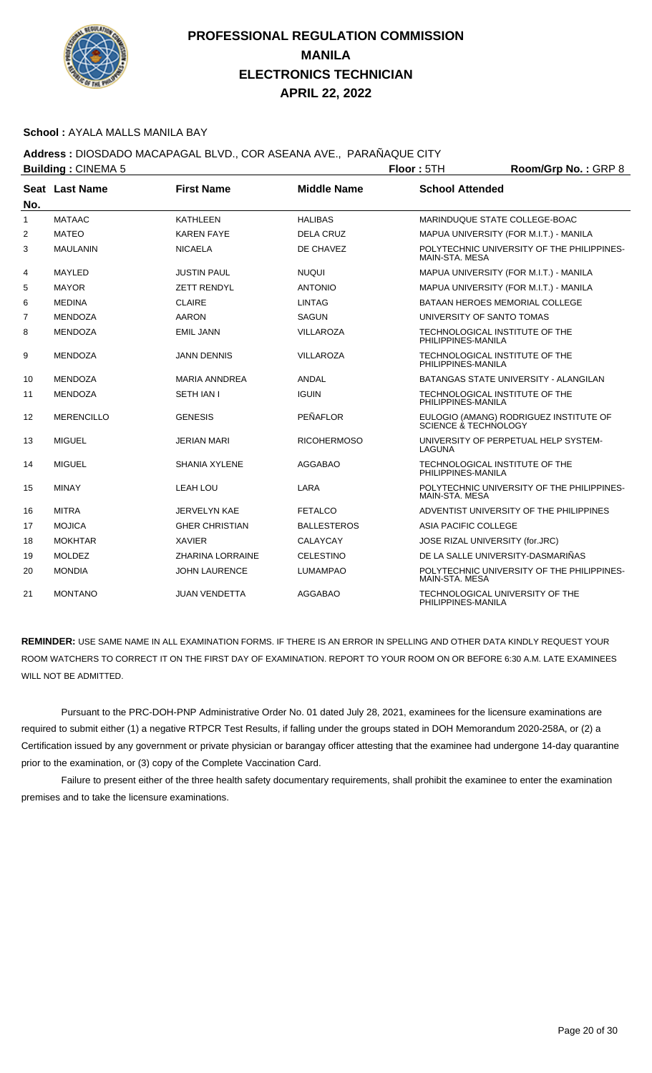

#### **School :** AYALA MALLS MANILA BAY

## **Address :** DIOSDADO MACAPAGAL BLVD., COR ASEANA AVE., PARAÑAQUE CITY

|              | <b>Building: CINEMA 5</b> |                         |                    | Room/Grp No.: GRP 8<br>Floor: 5TH                     |                                            |  |
|--------------|---------------------------|-------------------------|--------------------|-------------------------------------------------------|--------------------------------------------|--|
| No.          | Seat Last Name            | <b>First Name</b>       | <b>Middle Name</b> | <b>School Attended</b>                                |                                            |  |
| $\mathbf{1}$ | <b>MATAAC</b>             | <b>KATHLEEN</b>         | <b>HALIBAS</b>     | MARINDUQUE STATE COLLEGE-BOAC                         |                                            |  |
| 2            | <b>MATEO</b>              | <b>KAREN FAYE</b>       | <b>DELA CRUZ</b>   |                                                       | MAPUA UNIVERSITY (FOR M.I.T.) - MANILA     |  |
| 3            | <b>MAULANIN</b>           | <b>NICAELA</b>          | DE CHAVEZ          | MAIN-STA, MESA                                        | POLYTECHNIC UNIVERSITY OF THE PHILIPPINES- |  |
| 4            | MAYLED                    | <b>JUSTIN PAUL</b>      | <b>NUQUI</b>       |                                                       | MAPUA UNIVERSITY (FOR M.I.T.) - MANILA     |  |
| 5            | <b>MAYOR</b>              | <b>ZETT RENDYL</b>      | <b>ANTONIO</b>     |                                                       | MAPUA UNIVERSITY (FOR M.I.T.) - MANILA     |  |
| 6            | <b>MEDINA</b>             | <b>CLAIRE</b>           | <b>LINTAG</b>      | BATAAN HEROES MEMORIAL COLLEGE                        |                                            |  |
| 7            | <b>MENDOZA</b>            | <b>AARON</b>            | <b>SAGUN</b>       | UNIVERSITY OF SANTO TOMAS                             |                                            |  |
| 8            | <b>MENDOZA</b>            | <b>EMIL JANN</b>        | <b>VILLAROZA</b>   | TECHNOLOGICAL INSTITUTE OF THE<br>PHILIPPINES-MANILA  |                                            |  |
| 9            | <b>MENDOZA</b>            | <b>JANN DENNIS</b>      | <b>VILLAROZA</b>   | TECHNOLOGICAL INSTITUTE OF THE<br>PHILIPPINES-MANILA  |                                            |  |
| 10           | <b>MENDOZA</b>            | <b>MARIA ANNDREA</b>    | <b>ANDAL</b>       |                                                       | BATANGAS STATE UNIVERSITY - ALANGILAN      |  |
| 11           | <b>MENDOZA</b>            | <b>SETH JAN I</b>       | <b>IGUIN</b>       | TECHNOLOGICAL INSTITUTE OF THE<br>PHILIPPINES-MANILA  |                                            |  |
| 12           | <b>MERENCILLO</b>         | <b>GENESIS</b>          | PEÑAFLOR           | SCIENCE & TECHNOLOGY                                  | EULOGIO (AMANG) RODRIGUEZ INSTITUTE OF     |  |
| 13           | <b>MIGUEL</b>             | JERIAN MARI             | <b>RICOHERMOSO</b> | LAGUNA                                                | UNIVERSITY OF PERPETUAL HELP SYSTEM-       |  |
| 14           | <b>MIGUEL</b>             | <b>SHANIA XYLENE</b>    | <b>AGGABAO</b>     | TECHNOLOGICAL INSTITUTE OF THE<br>PHILIPPINES-MANILA  |                                            |  |
| 15           | <b>MINAY</b>              | LEAH LOU                | LARA               | MAIN-STA, MESA                                        | POLYTECHNIC UNIVERSITY OF THE PHILIPPINES- |  |
| 16           | <b>MITRA</b>              | JERVELYN KAE            | <b>FETALCO</b>     |                                                       | ADVENTIST UNIVERSITY OF THE PHILIPPINES    |  |
| 17           | <b>MOJICA</b>             | <b>GHER CHRISTIAN</b>   | <b>BALLESTEROS</b> | ASIA PACIFIC COLLEGE                                  |                                            |  |
| 18           | <b>MOKHTAR</b>            | <b>XAVIER</b>           | <b>CALAYCAY</b>    | JOSE RIZAL UNIVERSITY (for.JRC)                       |                                            |  |
| 19           | <b>MOLDEZ</b>             | <b>ZHARINA LORRAINE</b> | <b>CELESTINO</b>   | DE LA SALLE UNIVERSITY-DASMARIÑAS                     |                                            |  |
| 20           | <b>MONDIA</b>             | <b>JOHN LAURENCE</b>    | <b>LUMAMPAO</b>    | MAIN-STA, MESA                                        | POLYTECHNIC UNIVERSITY OF THE PHILIPPINES- |  |
| 21           | <b>MONTANO</b>            | <b>JUAN VENDETTA</b>    | <b>AGGABAO</b>     | TECHNOLOGICAL UNIVERSITY OF THE<br>PHILIPPINES-MANILA |                                            |  |

**REMINDER:** USE SAME NAME IN ALL EXAMINATION FORMS. IF THERE IS AN ERROR IN SPELLING AND OTHER DATA KINDLY REQUEST YOUR ROOM WATCHERS TO CORRECT IT ON THE FIRST DAY OF EXAMINATION. REPORT TO YOUR ROOM ON OR BEFORE 6:30 A.M. LATE EXAMINEES WILL NOT BE ADMITTED.

 Pursuant to the PRC-DOH-PNP Administrative Order No. 01 dated July 28, 2021, examinees for the licensure examinations are required to submit either (1) a negative RTPCR Test Results, if falling under the groups stated in DOH Memorandum 2020-258A, or (2) a Certification issued by any government or private physician or barangay officer attesting that the examinee had undergone 14-day quarantine prior to the examination, or (3) copy of the Complete Vaccination Card.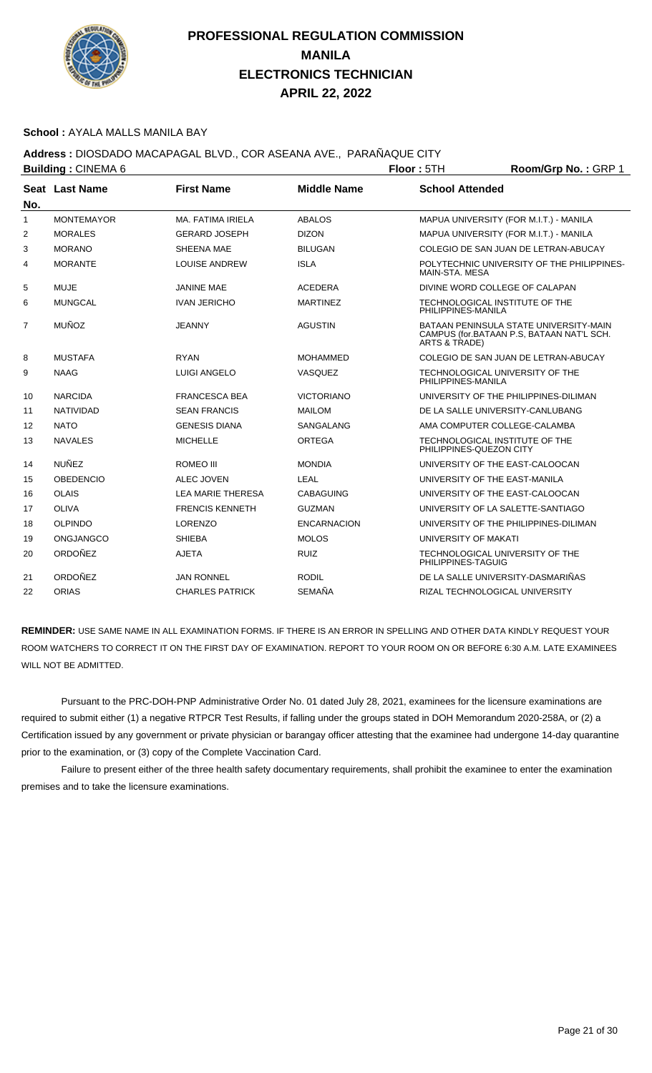

#### **School :** AYALA MALLS MANILA BAY

## **Address :** DIOSDADO MACAPAGAL BLVD., COR ASEANA AVE., PARAÑAQUE CITY

|     | <b>Building: CINEMA 6</b> |                          | Floor: 5TH         | Room/Grp No.: GRP 1                                       |                                                                                     |
|-----|---------------------------|--------------------------|--------------------|-----------------------------------------------------------|-------------------------------------------------------------------------------------|
| No. | Seat Last Name            | <b>First Name</b>        | <b>Middle Name</b> | <b>School Attended</b>                                    |                                                                                     |
| 1   | <b>MONTEMAYOR</b>         | MA, FATIMA IRIELA        | <b>ABALOS</b>      |                                                           | MAPUA UNIVERSITY (FOR M.I.T.) - MANILA                                              |
| 2   | <b>MORALES</b>            | <b>GERARD JOSEPH</b>     | <b>DIZON</b>       |                                                           | MAPUA UNIVERSITY (FOR M.I.T.) - MANILA                                              |
| 3   | <b>MORANO</b>             | SHEENA MAE               | <b>BILUGAN</b>     |                                                           | COLEGIO DE SAN JUAN DE LETRAN-ABUCAY                                                |
| 4   | <b>MORANTE</b>            | <b>LOUISE ANDREW</b>     | <b>ISLA</b>        | MAIN-STA, MESA                                            | POLYTECHNIC UNIVERSITY OF THE PHILIPPINES-                                          |
| 5   | <b>MUJE</b>               | <b>JANINE MAE</b>        | <b>ACEDERA</b>     | DIVINE WORD COLLEGE OF CALAPAN                            |                                                                                     |
| 6   | <b>MUNGCAL</b>            | <b>IVAN JERICHO</b>      | <b>MARTINEZ</b>    | TECHNOLOGICAL INSTITUTE OF THE<br>PHILIPPINES-MANILA      |                                                                                     |
| 7   | <b>MUÑOZ</b>              | <b>JEANNY</b>            | <b>AGUSTIN</b>     | ARTS & TRADE)                                             | BATAAN PENINSULA STATE UNIVERSITY-MAIN<br>CAMPUS (for.BATAAN P.S. BATAAN NAT'L SCH. |
| 8   | <b>MUSTAFA</b>            | <b>RYAN</b>              | <b>MOHAMMED</b>    |                                                           | COLEGIO DE SAN JUAN DE LETRAN-ABUCAY                                                |
| 9   | <b>NAAG</b>               | <b>LUIGI ANGELO</b>      | VASQUEZ            | TECHNOLOGICAL UNIVERSITY OF THE<br>PHILIPPINES-MANILA     |                                                                                     |
| 10  | <b>NARCIDA</b>            | <b>FRANCESCA BEA</b>     | <b>VICTORIANO</b>  |                                                           | UNIVERSITY OF THE PHILIPPINES-DILIMAN                                               |
| 11  | <b>NATIVIDAD</b>          | <b>SEAN FRANCIS</b>      | <b>MAILOM</b>      | DE LA SALLE UNIVERSITY-CANLUBANG                          |                                                                                     |
| 12  | <b>NATO</b>               | <b>GENESIS DIANA</b>     | SANGALANG          | AMA COMPUTER COLLEGE-CALAMBA                              |                                                                                     |
| 13  | <b>NAVALES</b>            | <b>MICHELLE</b>          | ORTEGA             | TECHNOLOGICAL INSTITUTE OF THE<br>PHILIPPINES-QUEZON CITY |                                                                                     |
| 14  | <b>NUÑEZ</b>              | ROMEO III                | <b>MONDIA</b>      | UNIVERSITY OF THE EAST-CALOOCAN                           |                                                                                     |
| 15  | <b>OBEDENCIO</b>          | <b>ALEC JOVEN</b>        | <b>LEAL</b>        | UNIVERSITY OF THE EAST-MANILA                             |                                                                                     |
| 16  | <b>OLAIS</b>              | <b>LEA MARIE THERESA</b> | <b>CABAGUING</b>   | UNIVERSITY OF THE EAST-CALOOCAN                           |                                                                                     |
| 17  | <b>OLIVA</b>              | <b>FRENCIS KENNETH</b>   | <b>GUZMAN</b>      | UNIVERSITY OF LA SALETTE-SANTIAGO                         |                                                                                     |
| 18  | <b>OLPINDO</b>            | <b>LORENZO</b>           | <b>ENCARNACION</b> |                                                           | UNIVERSITY OF THE PHILIPPINES-DILIMAN                                               |
| 19  | ONGJANGCO                 | <b>SHIEBA</b>            | <b>MOLOS</b>       | UNIVERSITY OF MAKATI                                      |                                                                                     |
| 20  | ORDOÑEZ                   | <b>AJETA</b>             | <b>RUIZ</b>        | TECHNOLOGICAL UNIVERSITY OF THE<br>PHILIPPINES-TAGUIG     |                                                                                     |
| 21  | ORDOÑEZ                   | <b>JAN RONNEL</b>        | <b>RODIL</b>       | DE LA SALLE UNIVERSITY-DASMARIÑAS                         |                                                                                     |
| 22  | <b>ORIAS</b>              | <b>CHARLES PATRICK</b>   | <b>SEMAÑA</b>      | RIZAL TECHNOLOGICAL UNIVERSITY                            |                                                                                     |

**REMINDER:** USE SAME NAME IN ALL EXAMINATION FORMS. IF THERE IS AN ERROR IN SPELLING AND OTHER DATA KINDLY REQUEST YOUR ROOM WATCHERS TO CORRECT IT ON THE FIRST DAY OF EXAMINATION. REPORT TO YOUR ROOM ON OR BEFORE 6:30 A.M. LATE EXAMINEES WILL NOT BE ADMITTED.

 Pursuant to the PRC-DOH-PNP Administrative Order No. 01 dated July 28, 2021, examinees for the licensure examinations are required to submit either (1) a negative RTPCR Test Results, if falling under the groups stated in DOH Memorandum 2020-258A, or (2) a Certification issued by any government or private physician or barangay officer attesting that the examinee had undergone 14-day quarantine prior to the examination, or (3) copy of the Complete Vaccination Card.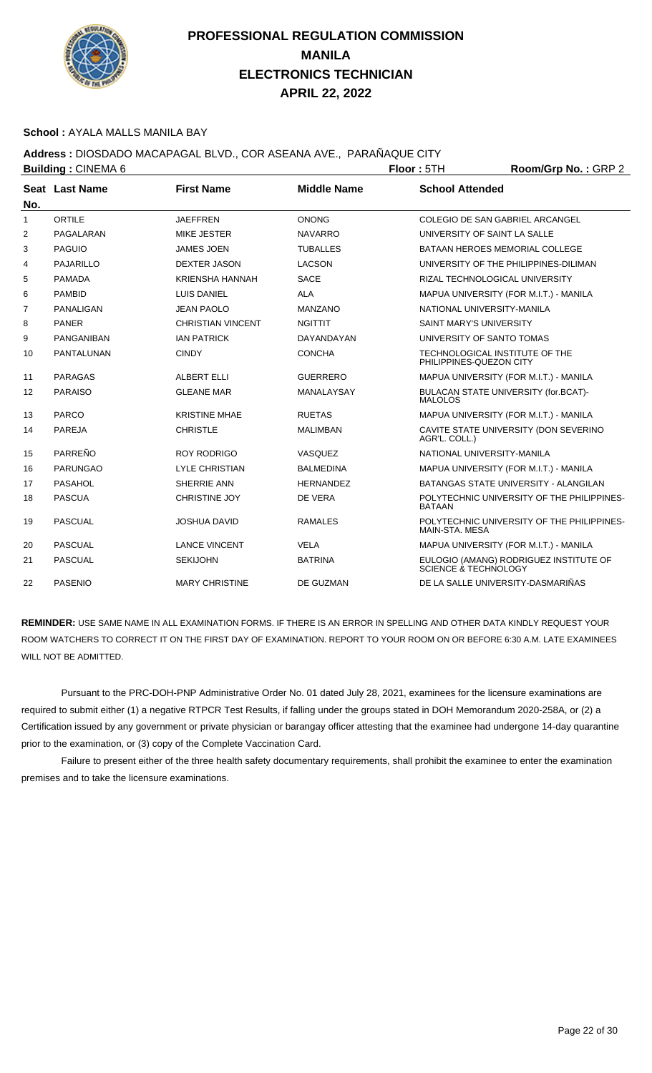

#### **School :** AYALA MALLS MANILA BAY

## **Address :** DIOSDADO MACAPAGAL BLVD., COR ASEANA AVE., PARAÑAQUE CITY

|              | <b>Building: CINEMA 6</b> | Floor: 5TH               |                    |                                | Room/Grp No.: GRP 2                        |
|--------------|---------------------------|--------------------------|--------------------|--------------------------------|--------------------------------------------|
|              | Seat Last Name            | <b>First Name</b>        | <b>Middle Name</b> | <b>School Attended</b>         |                                            |
| No.          |                           |                          |                    |                                |                                            |
| $\mathbf{1}$ | ORTILE                    | <b>JAEFFREN</b>          | <b>ONONG</b>       |                                | COLEGIO DE SAN GABRIEL ARCANGEL            |
| 2            | PAGALARAN                 | <b>MIKE JESTER</b>       | <b>NAVARRO</b>     |                                | UNIVERSITY OF SAINT LA SALLE               |
| 3            | <b>PAGUIO</b>             | <b>JAMES JOEN</b>        | <b>TUBALLES</b>    |                                | BATAAN HEROES MEMORIAL COLLEGE             |
| 4            | <b>PAJARILLO</b>          | <b>DEXTER JASON</b>      | <b>LACSON</b>      |                                | UNIVERSITY OF THE PHILIPPINES-DILIMAN      |
| 5            | <b>PAMADA</b>             | <b>KRIENSHA HANNAH</b>   | <b>SACE</b>        |                                | RIZAL TECHNOLOGICAL UNIVERSITY             |
| 6            | <b>PAMBID</b>             | LUIS DANIEL              | <b>ALA</b>         |                                | MAPUA UNIVERSITY (FOR M.I.T.) - MANILA     |
| 7            | <b>PANALIGAN</b>          | <b>JEAN PAOLO</b>        | <b>MANZANO</b>     | NATIONAL UNIVERSITY-MANILA     |                                            |
| 8            | <b>PANER</b>              | <b>CHRISTIAN VINCENT</b> | <b>NGITTIT</b>     | <b>SAINT MARY'S UNIVERSITY</b> |                                            |
| 9            | <b>PANGANIBAN</b>         | <b>IAN PATRICK</b>       | DAYANDAYAN         | UNIVERSITY OF SANTO TOMAS      |                                            |
| 10           | <b>PANTALUNAN</b>         | <b>CINDY</b>             | <b>CONCHA</b>      | PHILIPPINES-QUEZON CITY        | TECHNOLOGICAL INSTITUTE OF THE             |
| 11           | <b>PARAGAS</b>            | ALBERT ELLI              | <b>GUERRERO</b>    |                                | MAPUA UNIVERSITY (FOR M.I.T.) - MANILA     |
| 12           | <b>PARAISO</b>            | <b>GLEANE MAR</b>        | MANALAYSAY         | <b>MALOLOS</b>                 | BULACAN STATE UNIVERSITY (for.BCAT)-       |
| 13           | <b>PARCO</b>              | <b>KRISTINE MHAE</b>     | <b>RUETAS</b>      |                                | MAPUA UNIVERSITY (FOR M.I.T.) - MANILA     |
| 14           | <b>PAREJA</b>             | <b>CHRISTLE</b>          | <b>MALIMBAN</b>    | AGR'L. COLL.)                  | CAVITE STATE UNIVERSITY (DON SEVERINO      |
| 15           | PARREÑO                   | <b>ROY RODRIGO</b>       | VASQUEZ            | NATIONAL UNIVERSITY-MANILA     |                                            |
| 16           | <b>PARUNGAO</b>           | <b>LYLE CHRISTIAN</b>    | <b>BALMEDINA</b>   |                                | MAPUA UNIVERSITY (FOR M.I.T.) - MANILA     |
| 17           | PASAHOL                   | SHERRIE ANN              | <b>HERNANDEZ</b>   |                                | BATANGAS STATE UNIVERSITY - ALANGILAN      |
| 18           | <b>PASCUA</b>             | <b>CHRISTINE JOY</b>     | DE VERA            | <b>BATAAN</b>                  | POLYTECHNIC UNIVERSITY OF THE PHILIPPINES- |
| 19           | <b>PASCUAL</b>            | <b>JOSHUA DAVID</b>      | <b>RAMALES</b>     | MAIN-STA, MESA                 | POLYTECHNIC UNIVERSITY OF THE PHILIPPINES- |
| 20           | <b>PASCUAL</b>            | <b>LANCE VINCENT</b>     | <b>VELA</b>        |                                | MAPUA UNIVERSITY (FOR M.I.T.) - MANILA     |
| 21           | <b>PASCUAL</b>            | <b>SEKIJOHN</b>          | <b>BATRINA</b>     | SCIENCE & TECHNOLOGY           | EULOGIO (AMANG) RODRIGUEZ INSTITUTE OF     |
| 22           | <b>PASENIO</b>            | <b>MARY CHRISTINE</b>    | DE GUZMAN          |                                | DE LA SALLE UNIVERSITY-DASMARIÑAS          |

**REMINDER:** USE SAME NAME IN ALL EXAMINATION FORMS. IF THERE IS AN ERROR IN SPELLING AND OTHER DATA KINDLY REQUEST YOUR ROOM WATCHERS TO CORRECT IT ON THE FIRST DAY OF EXAMINATION. REPORT TO YOUR ROOM ON OR BEFORE 6:30 A.M. LATE EXAMINEES WILL NOT BE ADMITTED.

 Pursuant to the PRC-DOH-PNP Administrative Order No. 01 dated July 28, 2021, examinees for the licensure examinations are required to submit either (1) a negative RTPCR Test Results, if falling under the groups stated in DOH Memorandum 2020-258A, or (2) a Certification issued by any government or private physician or barangay officer attesting that the examinee had undergone 14-day quarantine prior to the examination, or (3) copy of the Complete Vaccination Card.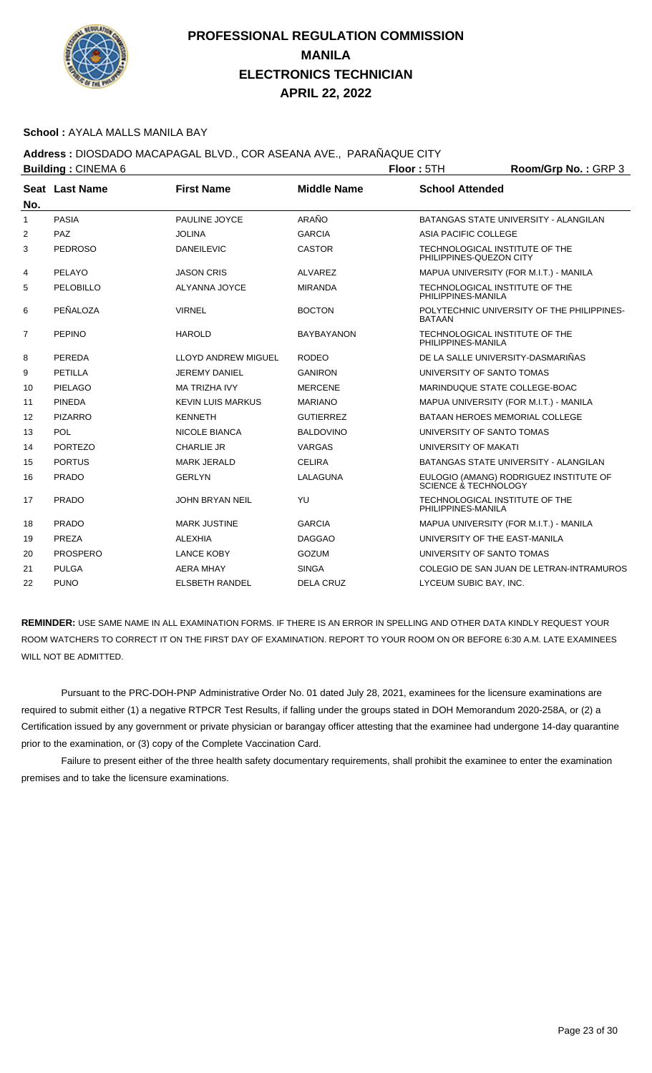

#### **School :** AYALA MALLS MANILA BAY

### **Address :** DIOSDADO MACAPAGAL BLVD., COR ASEANA AVE., PARAÑAQUE CITY

|                   | <b>Building: CINEMA 6</b> |                            |                    | Floor: 5TH                | Room/Grp No.: GRP 3                        |
|-------------------|---------------------------|----------------------------|--------------------|---------------------------|--------------------------------------------|
|                   | Seat Last Name            | <b>First Name</b>          | <b>Middle Name</b> | <b>School Attended</b>    |                                            |
| No.               |                           |                            |                    |                           |                                            |
| 1                 | <b>PASIA</b>              | PAULINE JOYCE              | ARAÑO              |                           | BATANGAS STATE UNIVERSITY - ALANGILAN      |
| 2                 | PAZ                       | <b>JOLINA</b>              | <b>GARCIA</b>      | ASIA PACIFIC COLLEGE      |                                            |
| 3                 | <b>PEDROSO</b>            | <b>DANEILEVIC</b>          | <b>CASTOR</b>      | PHILIPPINES-QUEZON CITY   | TECHNOLOGICAL INSTITUTE OF THE             |
| 4                 | PELAYO                    | <b>JASON CRIS</b>          | ALVAREZ            |                           | MAPUA UNIVERSITY (FOR M.I.T.) - MANILA     |
| 5                 | PELOBILLO                 | ALYANNA JOYCE              | <b>MIRANDA</b>     | PHILIPPINES-MANILA        | TECHNOLOGICAL INSTITUTE OF THE             |
| 6                 | PEÑALOZA                  | <b>VIRNEL</b>              | <b>BOCTON</b>      | <b>BATAAN</b>             | POLYTECHNIC UNIVERSITY OF THE PHILIPPINES- |
| $\overline{7}$    | <b>PEPINO</b>             | <b>HAROLD</b>              | <b>BAYBAYANON</b>  | PHILIPPINES-MANILA        | TECHNOLOGICAL INSTITUTE OF THE             |
| 8                 | PEREDA                    | <b>LLOYD ANDREW MIGUEL</b> | <b>RODEO</b>       |                           | DE LA SALLE UNIVERSITY-DASMARIÑAS          |
| 9                 | PETILLA                   | <b>JEREMY DANIEL</b>       | <b>GANIRON</b>     | UNIVERSITY OF SANTO TOMAS |                                            |
| 10                | <b>PIELAGO</b>            | <b>MA TRIZHA IVY</b>       | <b>MERCENE</b>     |                           | MARINDUQUE STATE COLLEGE-BOAC              |
| 11                | <b>PINEDA</b>             | <b>KEVIN LUIS MARKUS</b>   | <b>MARIANO</b>     |                           | MAPUA UNIVERSITY (FOR M.I.T.) - MANILA     |
| $12 \overline{ }$ | <b>PIZARRO</b>            | <b>KENNETH</b>             | <b>GUTIERREZ</b>   |                           | BATAAN HEROES MEMORIAL COLLEGE             |
| 13                | <b>POL</b>                | NICOLE BIANCA              | <b>BALDOVINO</b>   | UNIVERSITY OF SANTO TOMAS |                                            |
| 14                | <b>PORTEZO</b>            | <b>CHARLIE JR</b>          | <b>VARGAS</b>      | UNIVERSITY OF MAKATI      |                                            |
| 15                | <b>PORTUS</b>             | <b>MARK JERALD</b>         | <b>CELIRA</b>      |                           | BATANGAS STATE UNIVERSITY - ALANGILAN      |
| 16                | <b>PRADO</b>              | <b>GERLYN</b>              | LALAGUNA           | SCIENCE & TECHNOLOGY      | EULOGIO (AMANG) RODRIGUEZ INSTITUTE OF     |
| 17                | <b>PRADO</b>              | <b>JOHN BRYAN NEIL</b>     | YU                 | PHILIPPINES-MANILA        | TECHNOLOGICAL INSTITUTE OF THE             |
| 18                | <b>PRADO</b>              | <b>MARK JUSTINE</b>        | <b>GARCIA</b>      |                           | MAPUA UNIVERSITY (FOR M.I.T.) - MANILA     |
| 19                | PREZA                     | <b>ALEXHIA</b>             | <b>DAGGAO</b>      |                           | UNIVERSITY OF THE EAST-MANILA              |
| 20                | <b>PROSPERO</b>           | <b>LANCE KOBY</b>          | GOZUM              | UNIVERSITY OF SANTO TOMAS |                                            |
| 21                | <b>PULGA</b>              | <b>AERA MHAY</b>           | <b>SINGA</b>       |                           | COLEGIO DE SAN JUAN DE LETRAN-INTRAMUROS   |
| 22                | <b>PUNO</b>               | <b>ELSBETH RANDEL</b>      | <b>DELA CRUZ</b>   | LYCEUM SUBIC BAY, INC.    |                                            |

**REMINDER:** USE SAME NAME IN ALL EXAMINATION FORMS. IF THERE IS AN ERROR IN SPELLING AND OTHER DATA KINDLY REQUEST YOUR ROOM WATCHERS TO CORRECT IT ON THE FIRST DAY OF EXAMINATION. REPORT TO YOUR ROOM ON OR BEFORE 6:30 A.M. LATE EXAMINEES WILL NOT BE ADMITTED.

 Pursuant to the PRC-DOH-PNP Administrative Order No. 01 dated July 28, 2021, examinees for the licensure examinations are required to submit either (1) a negative RTPCR Test Results, if falling under the groups stated in DOH Memorandum 2020-258A, or (2) a Certification issued by any government or private physician or barangay officer attesting that the examinee had undergone 14-day quarantine prior to the examination, or (3) copy of the Complete Vaccination Card.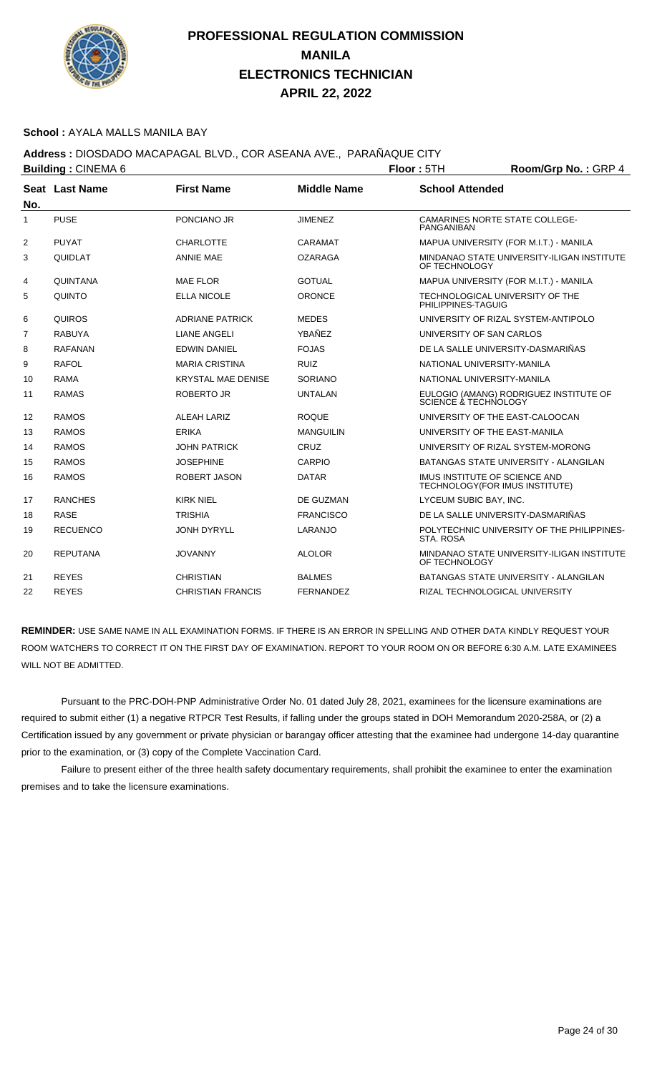

#### **School :** AYALA MALLS MANILA BAY

## **Address :** DIOSDADO MACAPAGAL BLVD., COR ASEANA AVE., PARAÑAQUE CITY

|                | <b>Building: CINEMA 6</b> |                           |                    | Floor: 5TH<br>Room/Grp No.: GRP 4 |                                                                 |  |
|----------------|---------------------------|---------------------------|--------------------|-----------------------------------|-----------------------------------------------------------------|--|
|                | Seat Last Name            | <b>First Name</b>         | <b>Middle Name</b> | <b>School Attended</b>            |                                                                 |  |
| No.            |                           |                           |                    |                                   |                                                                 |  |
| $\mathbf{1}$   | <b>PUSE</b>               | PONCIANO JR               | <b>JIMENEZ</b>     | <b>PANGANIBAN</b>                 | <b>CAMARINES NORTE STATE COLLEGE-</b>                           |  |
| 2              | <b>PUYAT</b>              | <b>CHARLOTTE</b>          | CARAMAT            |                                   | MAPUA UNIVERSITY (FOR M.I.T.) - MANILA                          |  |
| 3              | QUIDLAT                   | <b>ANNIE MAE</b>          | <b>OZARAGA</b>     | OF TECHNOLOGY                     | MINDANAO STATE UNIVERSITY-ILIGAN INSTITUTE                      |  |
| 4              | <b>QUINTANA</b>           | <b>MAE FLOR</b>           | <b>GOTUAL</b>      |                                   | MAPUA UNIVERSITY (FOR M.I.T.) - MANILA                          |  |
| 5              | <b>QUINTO</b>             | <b>ELLA NICOLE</b>        | <b>ORONCE</b>      | PHILIPPINES-TAGUIG                | TECHNOLOGICAL UNIVERSITY OF THE                                 |  |
| 6              | <b>QUIROS</b>             | <b>ADRIANE PATRICK</b>    | <b>MEDES</b>       |                                   | UNIVERSITY OF RIZAL SYSTEM-ANTIPOLO                             |  |
| $\overline{7}$ | <b>RABUYA</b>             | <b>LIANE ANGELI</b>       | YBAÑEZ             | UNIVERSITY OF SAN CARLOS          |                                                                 |  |
| 8              | <b>RAFANAN</b>            | <b>EDWIN DANIEL</b>       | <b>FOJAS</b>       |                                   | DE LA SALLE UNIVERSITY-DASMARIÑAS                               |  |
| 9              | <b>RAFOL</b>              | <b>MARIA CRISTINA</b>     | <b>RUIZ</b>        | NATIONAL UNIVERSITY-MANILA        |                                                                 |  |
| 10             | <b>RAMA</b>               | <b>KRYSTAL MAE DENISE</b> | <b>SORIANO</b>     | NATIONAL UNIVERSITY-MANILA        |                                                                 |  |
| 11             | <b>RAMAS</b>              | <b>ROBERTO JR</b>         | <b>UNTALAN</b>     | SCIENCE & TECHNOLOGY              | EULOGIO (AMANG) RODRIGUEZ INSTITUTE OF                          |  |
| 12             | <b>RAMOS</b>              | <b>ALEAH LARIZ</b>        | <b>ROQUE</b>       |                                   | UNIVERSITY OF THE EAST-CALOOCAN                                 |  |
| 13             | <b>RAMOS</b>              | <b>ERIKA</b>              | <b>MANGUILIN</b>   |                                   | UNIVERSITY OF THE EAST-MANILA                                   |  |
| 14             | <b>RAMOS</b>              | <b>JOHN PATRICK</b>       | CRUZ               |                                   | UNIVERSITY OF RIZAL SYSTEM-MORONG                               |  |
| 15             | <b>RAMOS</b>              | <b>JOSEPHINE</b>          | <b>CARPIO</b>      |                                   | BATANGAS STATE UNIVERSITY - ALANGILAN                           |  |
| 16             | <b>RAMOS</b>              | <b>ROBERT JASON</b>       | <b>DATAR</b>       |                                   | IMUS INSTITUTE OF SCIENCE AND<br>TECHNOLOGY(FOR IMUS INSTITUTE) |  |
| 17             | <b>RANCHES</b>            | <b>KIRK NIEL</b>          | DE GUZMAN          | LYCEUM SUBIC BAY, INC.            |                                                                 |  |
| 18             | <b>RASE</b>               | <b>TRISHIA</b>            | <b>FRANCISCO</b>   |                                   | DE LA SALLE UNIVERSITY-DASMARIÑAS                               |  |
| 19             | <b>RECUENCO</b>           | <b>JONH DYRYLL</b>        | LARANJO            | STA, ROSA                         | POLYTECHNIC UNIVERSITY OF THE PHILIPPINES-                      |  |
| 20             | <b>REPUTANA</b>           | <b>JOVANNY</b>            | <b>ALOLOR</b>      | OF TECHNOLOGY                     | MINDANAO STATE UNIVERSITY-ILIGAN INSTITUTE                      |  |
| 21             | <b>REYES</b>              | <b>CHRISTIAN</b>          | <b>BALMES</b>      |                                   | BATANGAS STATE UNIVERSITY - ALANGILAN                           |  |
| 22             | <b>REYES</b>              | <b>CHRISTIAN FRANCIS</b>  | <b>FERNANDEZ</b>   |                                   | RIZAL TECHNOLOGICAL UNIVERSITY                                  |  |

**REMINDER:** USE SAME NAME IN ALL EXAMINATION FORMS. IF THERE IS AN ERROR IN SPELLING AND OTHER DATA KINDLY REQUEST YOUR ROOM WATCHERS TO CORRECT IT ON THE FIRST DAY OF EXAMINATION. REPORT TO YOUR ROOM ON OR BEFORE 6:30 A.M. LATE EXAMINEES WILL NOT BE ADMITTED.

 Pursuant to the PRC-DOH-PNP Administrative Order No. 01 dated July 28, 2021, examinees for the licensure examinations are required to submit either (1) a negative RTPCR Test Results, if falling under the groups stated in DOH Memorandum 2020-258A, or (2) a Certification issued by any government or private physician or barangay officer attesting that the examinee had undergone 14-day quarantine prior to the examination, or (3) copy of the Complete Vaccination Card.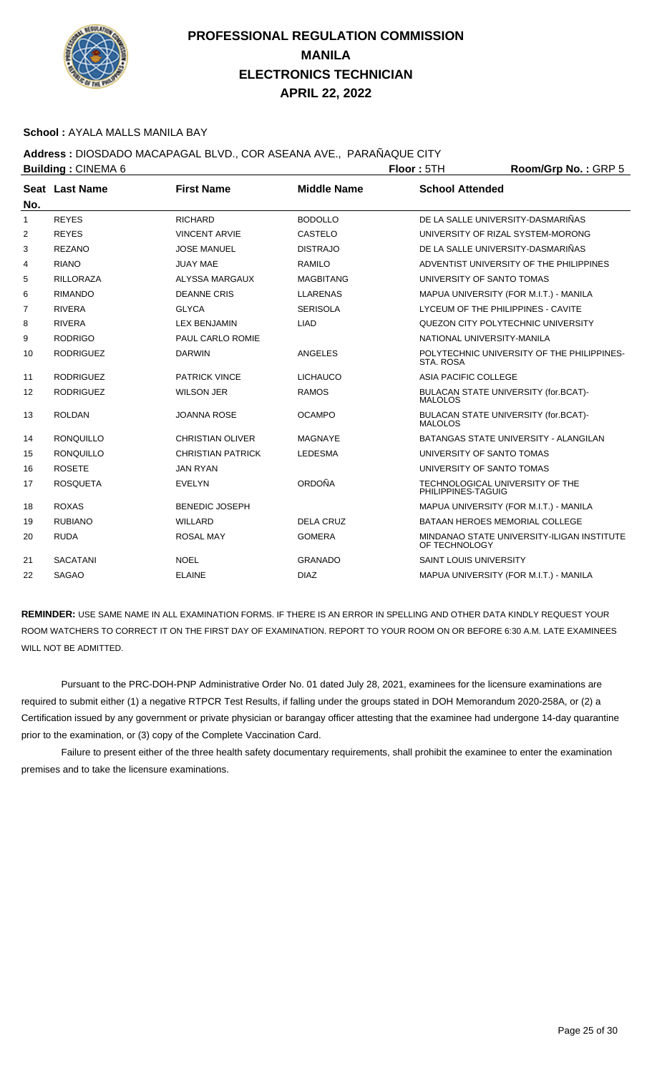

#### **School :** AYALA MALLS MANILA BAY

## **Address :** DIOSDADO MACAPAGAL BLVD., COR ASEANA AVE., PARAÑAQUE CITY

|     | <b>Building: CINEMA 6</b> |                          |                    | Floor: 5TH                    | Room/Grp No.: GRP 5                        |
|-----|---------------------------|--------------------------|--------------------|-------------------------------|--------------------------------------------|
| No. | Seat Last Name            | <b>First Name</b>        | <b>Middle Name</b> | <b>School Attended</b>        |                                            |
| 1   | <b>REYES</b>              | <b>RICHARD</b>           | <b>BODOLLO</b>     |                               | DE LA SALLE UNIVERSITY-DASMARIÑAS          |
| 2   | <b>REYES</b>              | <b>VINCENT ARVIE</b>     | CASTELO            |                               | UNIVERSITY OF RIZAL SYSTEM-MORONG          |
| 3   | <b>REZANO</b>             | <b>JOSE MANUEL</b>       | <b>DISTRAJO</b>    |                               | DE LA SALLE UNIVERSITY-DASMARIÑAS          |
| 4   | <b>RIANO</b>              | <b>JUAY MAE</b>          | <b>RAMILO</b>      |                               | ADVENTIST UNIVERSITY OF THE PHILIPPINES    |
| 5   | <b>RILLORAZA</b>          | ALYSSA MARGAUX           | <b>MAGBITANG</b>   | UNIVERSITY OF SANTO TOMAS     |                                            |
| 6   | <b>RIMANDO</b>            | <b>DEANNE CRIS</b>       | <b>LLARENAS</b>    |                               | MAPUA UNIVERSITY (FOR M.I.T.) - MANILA     |
| 7   | <b>RIVERA</b>             | <b>GLYCA</b>             | <b>SERISOLA</b>    |                               | LYCEUM OF THE PHILIPPINES - CAVITE         |
| 8   | <b>RIVERA</b>             | <b>LEX BENJAMIN</b>      | <b>LIAD</b>        |                               | QUEZON CITY POLYTECHNIC UNIVERSITY         |
| 9   | <b>RODRIGO</b>            | PAUL CARLO ROMIE         |                    | NATIONAL UNIVERSITY-MANILA    |                                            |
| 10  | <b>RODRIGUEZ</b>          | <b>DARWIN</b>            | <b>ANGELES</b>     | STA, ROSA                     | POLYTECHNIC UNIVERSITY OF THE PHILIPPINES- |
| 11  | <b>RODRIGUEZ</b>          | <b>PATRICK VINCE</b>     | <b>LICHAUCO</b>    | ASIA PACIFIC COLLEGE          |                                            |
| 12  | <b>RODRIGUEZ</b>          | <b>WILSON JER</b>        | <b>RAMOS</b>       | <b>MALOLOS</b>                | BULACAN STATE UNIVERSITY (for.BCAT)-       |
| 13  | <b>ROLDAN</b>             | <b>JOANNA ROSE</b>       | <b>OCAMPO</b>      | <b>MALOLOS</b>                | BULACAN STATE UNIVERSITY (for.BCAT)-       |
| 14  | <b>RONQUILLO</b>          | CHRISTIAN OLIVER         | <b>MAGNAYE</b>     |                               | BATANGAS STATE UNIVERSITY - ALANGILAN      |
| 15  | <b>RONQUILLO</b>          | <b>CHRISTIAN PATRICK</b> | <b>LEDESMA</b>     | UNIVERSITY OF SANTO TOMAS     |                                            |
| 16  | <b>ROSETE</b>             | <b>JAN RYAN</b>          |                    | UNIVERSITY OF SANTO TOMAS     |                                            |
| 17  | <b>ROSQUETA</b>           | <b>EVELYN</b>            | <b>ORDOÑA</b>      | PHILIPPINES-TAGUIG            | TECHNOLOGICAL UNIVERSITY OF THE            |
| 18  | <b>ROXAS</b>              | <b>BENEDIC JOSEPH</b>    |                    |                               | MAPUA UNIVERSITY (FOR M.I.T.) - MANILA     |
| 19  | <b>RUBIANO</b>            | <b>WILLARD</b>           | <b>DELA CRUZ</b>   |                               | <b>BATAAN HEROES MEMORIAL COLLEGE</b>      |
| 20  | <b>RUDA</b>               | <b>ROSAL MAY</b>         | <b>GOMERA</b>      | OF TECHNOLOGY                 | MINDANAO STATE UNIVERSITY-ILIGAN INSTITUTE |
| 21  | <b>SACATANI</b>           | <b>NOEL</b>              | <b>GRANADO</b>     | <b>SAINT LOUIS UNIVERSITY</b> |                                            |
| 22  | <b>SAGAO</b>              | <b>ELAINE</b>            | <b>DIAZ</b>        |                               | MAPUA UNIVERSITY (FOR M.I.T.) - MANILA     |

**REMINDER:** USE SAME NAME IN ALL EXAMINATION FORMS. IF THERE IS AN ERROR IN SPELLING AND OTHER DATA KINDLY REQUEST YOUR ROOM WATCHERS TO CORRECT IT ON THE FIRST DAY OF EXAMINATION. REPORT TO YOUR ROOM ON OR BEFORE 6:30 A.M. LATE EXAMINEES WILL NOT BE ADMITTED.

 Pursuant to the PRC-DOH-PNP Administrative Order No. 01 dated July 28, 2021, examinees for the licensure examinations are required to submit either (1) a negative RTPCR Test Results, if falling under the groups stated in DOH Memorandum 2020-258A, or (2) a Certification issued by any government or private physician or barangay officer attesting that the examinee had undergone 14-day quarantine prior to the examination, or (3) copy of the Complete Vaccination Card.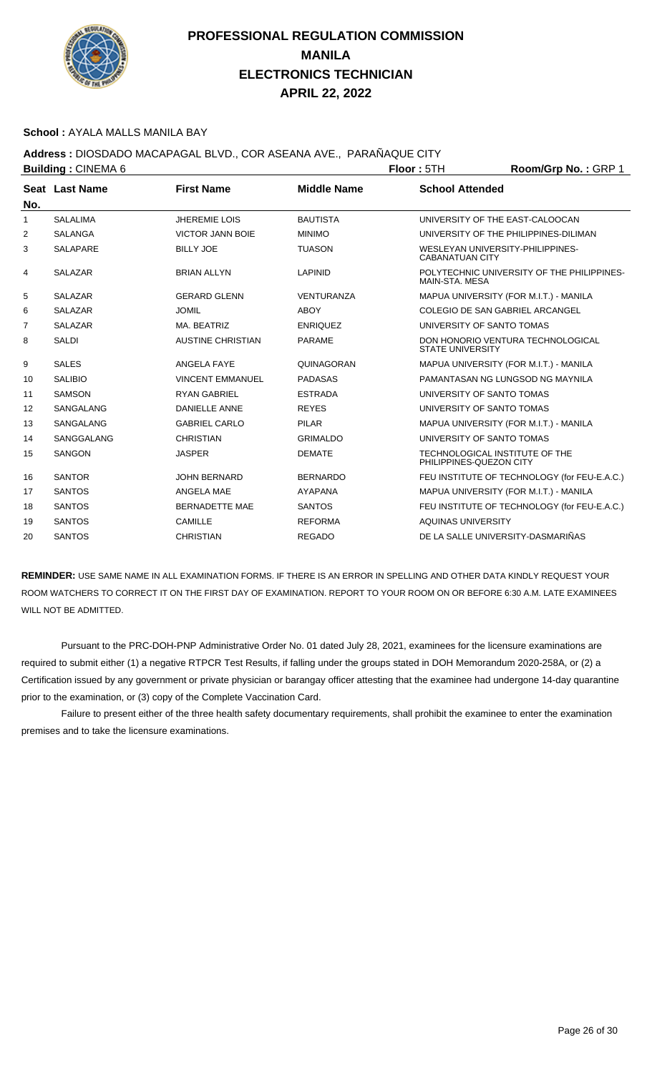

#### **School :** AYALA MALLS MANILA BAY

### **Address :** DIOSDADO MACAPAGAL BLVD., COR ASEANA AVE., PARAÑAQUE CITY

| <b>Building: CINEMA 6</b> |                 |                          |                    | Floor: 5TH                                                 | Room/Grp No.: GRP 1                          |
|---------------------------|-----------------|--------------------------|--------------------|------------------------------------------------------------|----------------------------------------------|
|                           | Seat Last Name  | <b>First Name</b>        | <b>Middle Name</b> | <b>School Attended</b>                                     |                                              |
| No.                       |                 |                          |                    |                                                            |                                              |
| -1                        | <b>SALALIMA</b> | <b>JHEREMIE LOIS</b>     | <b>BAUTISTA</b>    | UNIVERSITY OF THE EAST-CALOOCAN                            |                                              |
| 2                         | <b>SALANGA</b>  | <b>VICTOR JANN BOIE</b>  | <b>MINIMO</b>      |                                                            | UNIVERSITY OF THE PHILIPPINES-DILIMAN        |
| 3                         | <b>SALAPARE</b> | <b>BILLY JOE</b>         | <b>TUASON</b>      | WESLEYAN UNIVERSITY-PHILIPPINES-<br><b>CABANATUAN CITY</b> |                                              |
| 4                         | <b>SALAZAR</b>  | <b>BRIAN ALLYN</b>       | <b>LAPINID</b>     | MAIN-STA, MESA                                             | POLYTECHNIC UNIVERSITY OF THE PHILIPPINES-   |
| 5                         | <b>SALAZAR</b>  | <b>GERARD GLENN</b>      | <b>VENTURANZA</b>  |                                                            | MAPUA UNIVERSITY (FOR M.I.T.) - MANILA       |
| 6                         | <b>SALAZAR</b>  | <b>JOMIL</b>             | <b>ABOY</b>        | COLEGIO DE SAN GABRIEL ARCANGEL                            |                                              |
| 7                         | <b>SALAZAR</b>  | MA. BEATRIZ              | <b>ENRIQUEZ</b>    | UNIVERSITY OF SANTO TOMAS                                  |                                              |
| 8                         | <b>SALDI</b>    | <b>AUSTINE CHRISTIAN</b> | <b>PARAME</b>      | <b>STATE UNIVERSITY</b>                                    | DON HONORIO VENTURA TECHNOLOGICAL            |
| 9                         | <b>SALES</b>    | <b>ANGELA FAYE</b>       | QUINAGORAN         |                                                            | MAPUA UNIVERSITY (FOR M.I.T.) - MANILA       |
| 10                        | <b>SALIBIO</b>  | <b>VINCENT EMMANUEL</b>  | <b>PADASAS</b>     |                                                            | PAMANTASAN NG I UNGSOD NG MAYNILA            |
| 11                        | <b>SAMSON</b>   | <b>RYAN GABRIEL</b>      | <b>ESTRADA</b>     | UNIVERSITY OF SANTO TOMAS                                  |                                              |
| 12                        | SANGALANG       | <b>DANIELLE ANNE</b>     | <b>REYES</b>       | UNIVERSITY OF SANTO TOMAS                                  |                                              |
| 13                        | SANGALANG       | <b>GABRIEL CARLO</b>     | <b>PILAR</b>       |                                                            | MAPUA UNIVERSITY (FOR M.I.T.) - MANILA       |
| 14                        | SANGGALANG      | <b>CHRISTIAN</b>         | <b>GRIMALDO</b>    | UNIVERSITY OF SANTO TOMAS                                  |                                              |
| 15                        | <b>SANGON</b>   | <b>JASPER</b>            | <b>DEMATE</b>      | TECHNOLOGICAL INSTITUTE OF THE<br>PHILIPPINES-QUEZON CITY  |                                              |
| 16                        | <b>SANTOR</b>   | <b>JOHN BERNARD</b>      | <b>BERNARDO</b>    |                                                            | FEU INSTITUTE OF TECHNOLOGY (for FEU-E.A.C.) |
| 17                        | <b>SANTOS</b>   | ANGELA MAE               | <b>AYAPANA</b>     |                                                            | MAPUA UNIVERSITY (FOR M.I.T.) - MANILA       |
| 18                        | <b>SANTOS</b>   | <b>BERNADETTE MAE</b>    | <b>SANTOS</b>      |                                                            | FEU INSTITUTE OF TECHNOLOGY (for FEU-E.A.C.) |
| 19                        | <b>SANTOS</b>   | <b>CAMILLE</b>           | <b>REFORMA</b>     | AQUINAS UNIVERSITY                                         |                                              |
| 20                        | <b>SANTOS</b>   | <b>CHRISTIAN</b>         | <b>REGADO</b>      | DE LA SALLE UNIVERSITY-DASMARIÑAS                          |                                              |
|                           |                 |                          |                    |                                                            |                                              |

**REMINDER:** USE SAME NAME IN ALL EXAMINATION FORMS. IF THERE IS AN ERROR IN SPELLING AND OTHER DATA KINDLY REQUEST YOUR ROOM WATCHERS TO CORRECT IT ON THE FIRST DAY OF EXAMINATION. REPORT TO YOUR ROOM ON OR BEFORE 6:30 A.M. LATE EXAMINEES WILL NOT BE ADMITTED.

 Pursuant to the PRC-DOH-PNP Administrative Order No. 01 dated July 28, 2021, examinees for the licensure examinations are required to submit either (1) a negative RTPCR Test Results, if falling under the groups stated in DOH Memorandum 2020-258A, or (2) a Certification issued by any government or private physician or barangay officer attesting that the examinee had undergone 14-day quarantine prior to the examination, or (3) copy of the Complete Vaccination Card.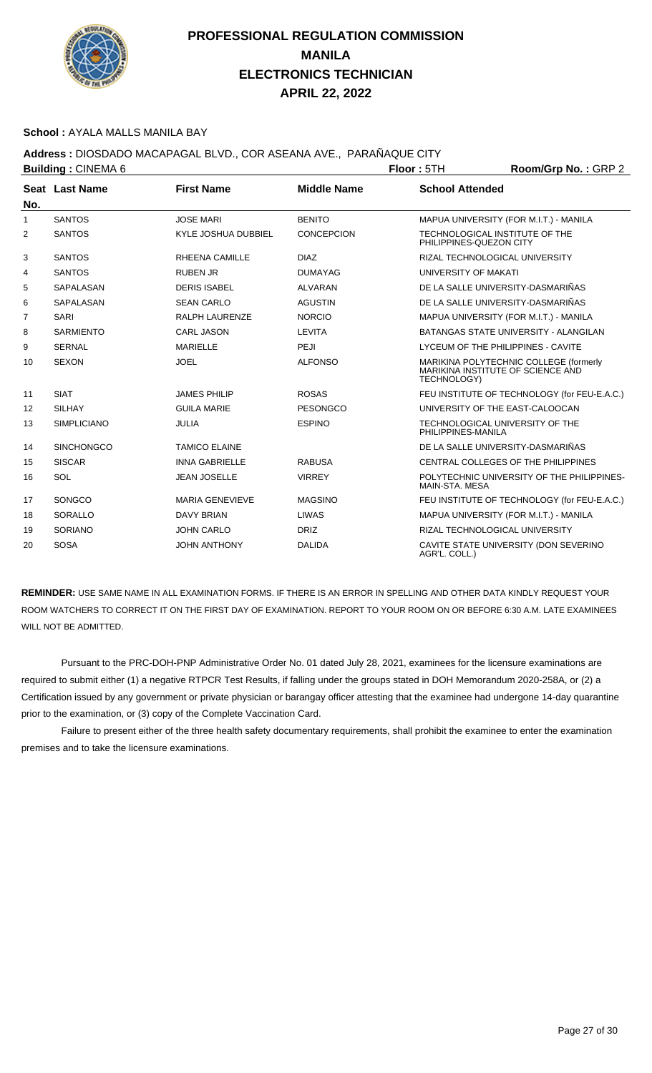

#### **School :** AYALA MALLS MANILA BAY

**Address :** DIOSDADO MACAPAGAL BLVD., COR ASEANA AVE., PARAÑAQUE CITY

| <b>Building: CINEMA 6</b> |                    |                            |                    | Floor: 5TH             | Room/Grp No.: GRP 2                                                         |  |
|---------------------------|--------------------|----------------------------|--------------------|------------------------|-----------------------------------------------------------------------------|--|
|                           | Seat Last Name     | <b>First Name</b>          | <b>Middle Name</b> | <b>School Attended</b> |                                                                             |  |
| No.                       |                    |                            |                    |                        |                                                                             |  |
| 1                         | <b>SANTOS</b>      | <b>JOSE MARI</b>           | <b>BENITO</b>      |                        | MAPUA UNIVERSITY (FOR M.I.T.) - MANILA                                      |  |
| 2                         | <b>SANTOS</b>      | <b>KYLE JOSHUA DUBBIEL</b> | <b>CONCEPCION</b>  |                        | TECHNOLOGICAL INSTITUTE OF THE<br>PHILIPPINES-QUEZON CITY                   |  |
| 3                         | <b>SANTOS</b>      | <b>RHEENA CAMILLE</b>      | <b>DIAZ</b>        |                        | RIZAL TECHNOLOGICAL UNIVERSITY                                              |  |
| 4                         | <b>SANTOS</b>      | <b>RUBEN JR</b>            | <b>DUMAYAG</b>     | UNIVERSITY OF MAKATI   |                                                                             |  |
| 5                         | SAPALASAN          | <b>DERIS ISABEL</b>        | <b>ALVARAN</b>     |                        | DE LA SALLE UNIVERSITY-DASMARIÑAS                                           |  |
| 6                         | SAPALASAN          | <b>SEAN CARLO</b>          | <b>AGUSTIN</b>     |                        | DE LA SALLE UNIVERSITY-DASMARIÑAS                                           |  |
| $\overline{7}$            | <b>SARI</b>        | <b>RALPH LAURENZE</b>      | <b>NORCIO</b>      |                        | MAPUA UNIVERSITY (FOR M.I.T.) - MANILA                                      |  |
| 8                         | <b>SARMIENTO</b>   | <b>CARL JASON</b>          | LEVITA             |                        | <b>BATANGAS STATE UNIVERSITY - ALANGILAN</b>                                |  |
| 9                         | <b>SERNAL</b>      | <b>MARIELLE</b>            | PEJI               |                        | LYCEUM OF THE PHILIPPINES - CAVITE                                          |  |
| 10                        | <b>SEXON</b>       | <b>JOEL</b>                | <b>ALFONSO</b>     | TECHNOLOGY)            | MARIKINA POLYTECHNIC COLLEGE (formerly<br>MARIKINA INSTITUTE OF SCIENCE AND |  |
| 11                        | <b>SIAT</b>        | <b>JAMES PHILIP</b>        | <b>ROSAS</b>       |                        | FEU INSTITUTE OF TECHNOLOGY (for FEU-E.A.C.)                                |  |
| 12                        | <b>SILHAY</b>      | <b>GUILA MARIE</b>         | <b>PESONGCO</b>    |                        | UNIVERSITY OF THE EAST-CALOOCAN                                             |  |
| 13                        | <b>SIMPLICIANO</b> | <b>JULIA</b>               | <b>ESPINO</b>      | PHILIPPINES-MANILA     | TECHNOLOGICAL UNIVERSITY OF THE                                             |  |
| 14                        | <b>SINCHONGCO</b>  | <b>TAMICO ELAINE</b>       |                    |                        | DE LA SALLE UNIVERSITY-DASMARIÑAS                                           |  |
| 15                        | <b>SISCAR</b>      | <b>INNA GABRIELLE</b>      | <b>RABUSA</b>      |                        | CENTRAL COLLEGES OF THE PHILIPPINES                                         |  |
| 16                        | SOL                | <b>JEAN JOSELLE</b>        | <b>VIRREY</b>      | MAIN-STA, MESA         | POLYTECHNIC UNIVERSITY OF THE PHILIPPINES-                                  |  |
| 17                        | SONGCO             | <b>MARIA GENEVIEVE</b>     | <b>MAGSINO</b>     |                        | FEU INSTITUTE OF TECHNOLOGY (for FEU-E.A.C.)                                |  |
| 18                        | SORALLO            | <b>DAVY BRIAN</b>          | <b>LIWAS</b>       |                        | MAPUA UNIVERSITY (FOR M.I.T.) - MANILA                                      |  |
| 19                        | <b>SORIANO</b>     | <b>JOHN CARLO</b>          | <b>DRIZ</b>        |                        | RIZAL TECHNOLOGICAL UNIVERSITY                                              |  |
| 20                        | <b>SOSA</b>        | <b>JOHN ANTHONY</b>        | <b>DALIDA</b>      | AGR'L. COLL.)          | CAVITE STATE UNIVERSITY (DON SEVERINO                                       |  |

**REMINDER:** USE SAME NAME IN ALL EXAMINATION FORMS. IF THERE IS AN ERROR IN SPELLING AND OTHER DATA KINDLY REQUEST YOUR ROOM WATCHERS TO CORRECT IT ON THE FIRST DAY OF EXAMINATION. REPORT TO YOUR ROOM ON OR BEFORE 6:30 A.M. LATE EXAMINEES WILL NOT BE ADMITTED.

 Pursuant to the PRC-DOH-PNP Administrative Order No. 01 dated July 28, 2021, examinees for the licensure examinations are required to submit either (1) a negative RTPCR Test Results, if falling under the groups stated in DOH Memorandum 2020-258A, or (2) a Certification issued by any government or private physician or barangay officer attesting that the examinee had undergone 14-day quarantine prior to the examination, or (3) copy of the Complete Vaccination Card.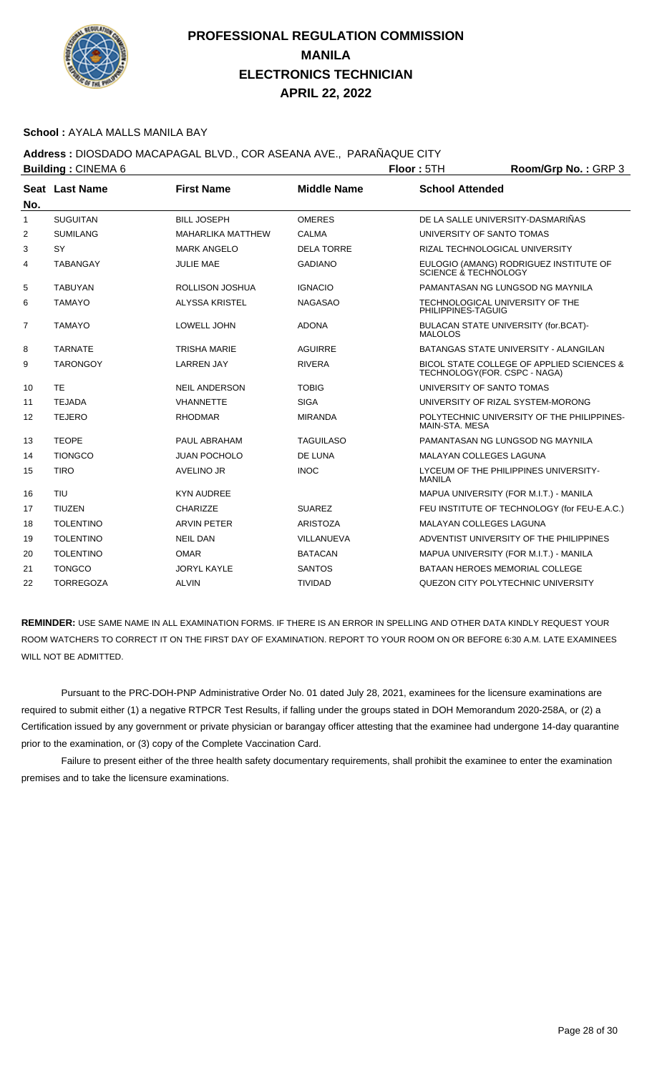

#### **School :** AYALA MALLS MANILA BAY

## **Address :** DIOSDADO MACAPAGAL BLVD., COR ASEANA AVE., PARAÑAQUE CITY

|                | <b>Building: CINEMA 6</b> |                          | Floor: 5TH         | Room/Grp No.: GRP 3            |                                              |
|----------------|---------------------------|--------------------------|--------------------|--------------------------------|----------------------------------------------|
|                | Seat Last Name            | <b>First Name</b>        | <b>Middle Name</b> | <b>School Attended</b>         |                                              |
| No.            |                           |                          |                    |                                |                                              |
| $\mathbf{1}$   | <b>SUGUITAN</b>           | <b>BILL JOSEPH</b>       | <b>OMERES</b>      |                                | DE LA SALLE UNIVERSITY-DASMARIÑAS            |
| 2              | <b>SUMILANG</b>           | <b>MAHARLIKA MATTHEW</b> | CALMA              | UNIVERSITY OF SANTO TOMAS      |                                              |
| 3              | <b>SY</b>                 | <b>MARK ANGELO</b>       | <b>DELA TORRE</b>  |                                | RIZAL TECHNOLOGICAL UNIVERSITY               |
| 4              | <b>TABANGAY</b>           | <b>JULIE MAE</b>         | <b>GADIANO</b>     | SCIENCE & TECHNOLOGY           | EULOGIO (AMANG) RODRIGUEZ INSTITUTE OF       |
| 5              | <b>TABUYAN</b>            | <b>ROLLISON JOSHUA</b>   | <b>IGNACIO</b>     |                                | PAMANTASAN NG LUNGSOD NG MAYNILA             |
| 6              | <b>TAMAYO</b>             | <b>ALYSSA KRISTEL</b>    | <b>NAGASAO</b>     | PHILIPPINES-TAGUIG             | TECHNOLOGICAL UNIVERSITY OF THE              |
| $\overline{7}$ | <b>TAMAYO</b>             | LOWELL JOHN              | <b>ADONA</b>       | <b>MALOLOS</b>                 | BULACAN STATE UNIVERSITY (for.BCAT)-         |
| 8              | <b>TARNATE</b>            | <b>TRISHA MARIE</b>      | <b>AGUIRRE</b>     |                                | BATANGAS STATE UNIVERSITY - ALANGILAN        |
| 9              | <b>TARONGOY</b>           | <b>LARREN JAY</b>        | <b>RIVERA</b>      | TECHNOLOGY(FOR. CSPC - NAGA)   | BICOL STATE COLLEGE OF APPLIED SCIENCES &    |
| 10             | <b>TE</b>                 | <b>NEIL ANDERSON</b>     | <b>TOBIG</b>       | UNIVERSITY OF SANTO TOMAS      |                                              |
| 11             | <b>TEJADA</b>             | <b>VHANNETTE</b>         | <b>SIGA</b>        |                                | UNIVERSITY OF RIZAL SYSTEM-MORONG            |
| 12             | <b>TEJERO</b>             | <b>RHODMAR</b>           | <b>MIRANDA</b>     | MAIN-STA. MESA                 | POLYTECHNIC UNIVERSITY OF THE PHILIPPINES-   |
| 13             | <b>TEOPE</b>              | PAUL ABRAHAM             | <b>TAGUILASO</b>   |                                | PAMANTASAN NG LUNGSOD NG MAYNILA             |
| 14             | <b>TIONGCO</b>            | <b>JUAN POCHOLO</b>      | <b>DE LUNA</b>     | <b>MALAYAN COLLEGES LAGUNA</b> |                                              |
| 15             | <b>TIRO</b>               | <b>AVELINO JR</b>        | <b>INOC</b>        | <b>MANILA</b>                  | LYCEUM OF THE PHILIPPINES UNIVERSITY-        |
| 16             | <b>TIU</b>                | <b>KYN AUDREE</b>        |                    |                                | MAPUA UNIVERSITY (FOR M.I.T.) - MANILA       |
| 17             | <b>TIUZEN</b>             | CHARIZZE                 | <b>SUAREZ</b>      |                                | FEU INSTITUTE OF TECHNOLOGY (for FEU-E.A.C.) |
| 18             | <b>TOLENTINO</b>          | <b>ARVIN PETER</b>       | <b>ARISTOZA</b>    | <b>MALAYAN COLLEGES LAGUNA</b> |                                              |
| 19             | <b>TOLENTINO</b>          | <b>NEIL DAN</b>          | VILLANUEVA         |                                | ADVENTIST UNIVERSITY OF THE PHILIPPINES      |
| 20             | <b>TOLENTINO</b>          | <b>OMAR</b>              | <b>BATACAN</b>     |                                | MAPUA UNIVERSITY (FOR M.I.T.) - MANILA       |
| 21             | <b>TONGCO</b>             | <b>JORYL KAYLE</b>       | <b>SANTOS</b>      |                                | BATAAN HEROES MEMORIAL COLLEGE               |
| 22             | <b>TORREGOZA</b>          | <b>ALVIN</b>             | <b>TIVIDAD</b>     |                                | QUEZON CITY POLYTECHNIC UNIVERSITY           |

**REMINDER:** USE SAME NAME IN ALL EXAMINATION FORMS. IF THERE IS AN ERROR IN SPELLING AND OTHER DATA KINDLY REQUEST YOUR ROOM WATCHERS TO CORRECT IT ON THE FIRST DAY OF EXAMINATION. REPORT TO YOUR ROOM ON OR BEFORE 6:30 A.M. LATE EXAMINEES WILL NOT BE ADMITTED.

 Pursuant to the PRC-DOH-PNP Administrative Order No. 01 dated July 28, 2021, examinees for the licensure examinations are required to submit either (1) a negative RTPCR Test Results, if falling under the groups stated in DOH Memorandum 2020-258A, or (2) a Certification issued by any government or private physician or barangay officer attesting that the examinee had undergone 14-day quarantine prior to the examination, or (3) copy of the Complete Vaccination Card.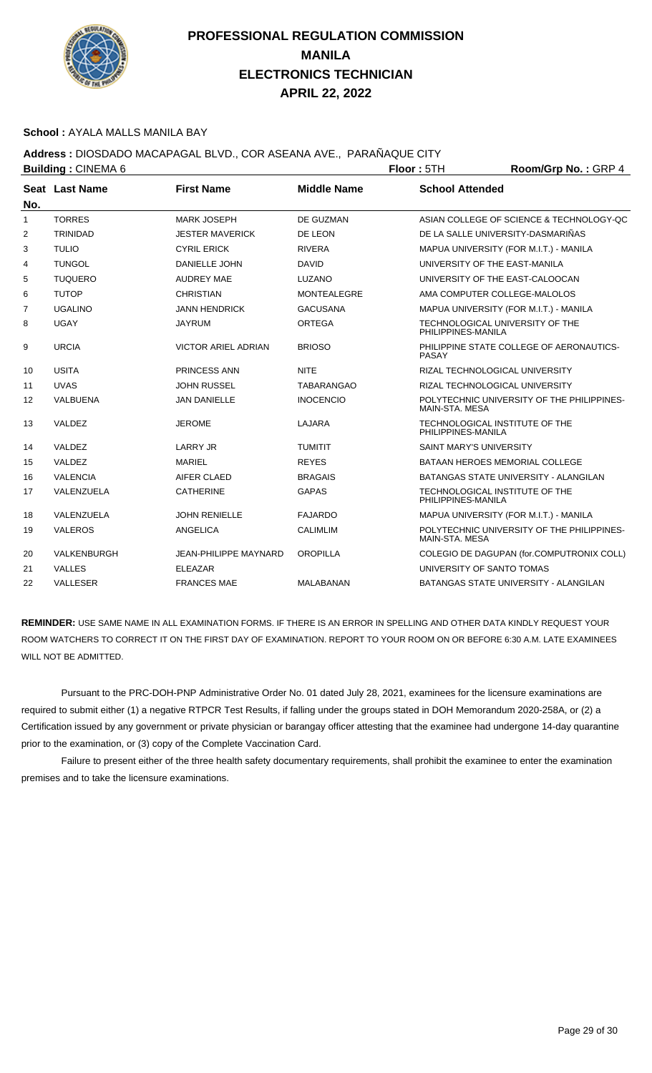

#### **School :** AYALA MALLS MANILA BAY

## **Address :** DIOSDADO MACAPAGAL BLVD., COR ASEANA AVE., PARAÑAQUE CITY

| <b>Building: CINEMA 6</b> |                 |                              |                    | Floor: 5TH                     | Room/Grp No.: GRP 4                          |
|---------------------------|-----------------|------------------------------|--------------------|--------------------------------|----------------------------------------------|
|                           | Seat Last Name  | <b>First Name</b>            | <b>Middle Name</b> | <b>School Attended</b>         |                                              |
| No.                       |                 |                              |                    |                                |                                              |
| $\mathbf{1}$              | <b>TORRES</b>   | <b>MARK JOSEPH</b>           | DE GUZMAN          |                                | ASIAN COLLEGE OF SCIENCE & TECHNOLOGY-QC     |
| 2                         | <b>TRINIDAD</b> | <b>JESTER MAVERICK</b>       | DE LEON            |                                | DE LA SALLE UNIVERSITY-DASMARIÑAS            |
| 3                         | <b>TULIO</b>    | <b>CYRIL ERICK</b>           | <b>RIVERA</b>      |                                | MAPUA UNIVERSITY (FOR M.I.T.) - MANILA       |
| 4                         | <b>TUNGOL</b>   | <b>DANIELLE JOHN</b>         | <b>DAVID</b>       |                                | UNIVERSITY OF THE EAST-MANILA                |
| 5                         | <b>TUQUERO</b>  | <b>AUDREY MAE</b>            | LUZANO             |                                | UNIVERSITY OF THE EAST-CALOOCAN              |
| 6                         | <b>TUTOP</b>    | <b>CHRISTIAN</b>             | <b>MONTEALEGRE</b> |                                | AMA COMPUTER COLLEGE-MALOLOS                 |
| $\overline{7}$            | <b>UGALINO</b>  | <b>JANN HENDRICK</b>         | <b>GACUSANA</b>    |                                | MAPUA UNIVERSITY (FOR M.I.T.) - MANILA       |
| 8                         | <b>UGAY</b>     | <b>JAYRUM</b>                | <b>ORTEGA</b>      | PHILIPPINES-MANILA             | TECHNOLOGICAL UNIVERSITY OF THE              |
| 9                         | <b>URCIA</b>    | <b>VICTOR ARIEL ADRIAN</b>   | <b>BRIOSO</b>      | PASAY                          | PHILIPPINE STATE COLLEGE OF AERONAUTICS-     |
| 10                        | <b>USITA</b>    | PRINCESS ANN                 | <b>NITE</b>        |                                | RIZAL TECHNOLOGICAL UNIVERSITY               |
| 11                        | <b>UVAS</b>     | <b>JOHN RUSSEL</b>           | <b>TABARANGAO</b>  |                                | RIZAL TECHNOLOGICAL UNIVERSITY               |
| 12                        | VALBUENA        | <b>JAN DANIELLE</b>          | <b>INOCENCIO</b>   | MAIN-STA, MESA                 | POLYTECHNIC UNIVERSITY OF THE PHILIPPINES-   |
| 13                        | VALDEZ          | <b>JEROME</b>                | <b>LAJARA</b>      | PHILIPPINES-MANILA             | TECHNOLOGICAL INSTITUTE OF THE               |
| 14                        | VALDEZ          | LARRY JR                     | <b>TUMITIT</b>     | <b>SAINT MARY'S UNIVERSITY</b> |                                              |
| 15                        | VALDEZ          | <b>MARIEL</b>                | <b>REYES</b>       |                                | BATAAN HEROES MEMORIAL COLLEGE               |
| 16                        | <b>VALENCIA</b> | AIFER CLAED                  | <b>BRAGAIS</b>     |                                | BATANGAS STATE UNIVERSITY - ALANGILAN        |
| 17                        | VALENZUELA      | <b>CATHERINE</b>             | <b>GAPAS</b>       | PHILIPPINES-MANILA             | TECHNOLOGICAL INSTITUTE OF THE               |
| 18                        | VALENZUELA      | <b>JOHN RENIELLE</b>         | <b>FAJARDO</b>     |                                | MAPUA UNIVERSITY (FOR M.I.T.) - MANILA       |
| 19                        | <b>VALEROS</b>  | ANGELICA                     | <b>CALIMLIM</b>    | MAIN-STA. MESA                 | POLYTECHNIC UNIVERSITY OF THE PHILIPPINES-   |
| 20                        | VALKENBURGH     | <b>JEAN-PHILIPPE MAYNARD</b> | <b>OROPILLA</b>    |                                | COLEGIO DE DAGUPAN (for.COMPUTRONIX COLL)    |
| 21                        | <b>VALLES</b>   | <b>ELEAZAR</b>               |                    | UNIVERSITY OF SANTO TOMAS      |                                              |
| 22                        | <b>VALLESER</b> | <b>FRANCES MAE</b>           | MALABANAN          |                                | <b>BATANGAS STATE UNIVERSITY - ALANGILAN</b> |

**REMINDER:** USE SAME NAME IN ALL EXAMINATION FORMS. IF THERE IS AN ERROR IN SPELLING AND OTHER DATA KINDLY REQUEST YOUR ROOM WATCHERS TO CORRECT IT ON THE FIRST DAY OF EXAMINATION. REPORT TO YOUR ROOM ON OR BEFORE 6:30 A.M. LATE EXAMINEES WILL NOT BE ADMITTED.

 Pursuant to the PRC-DOH-PNP Administrative Order No. 01 dated July 28, 2021, examinees for the licensure examinations are required to submit either (1) a negative RTPCR Test Results, if falling under the groups stated in DOH Memorandum 2020-258A, or (2) a Certification issued by any government or private physician or barangay officer attesting that the examinee had undergone 14-day quarantine prior to the examination, or (3) copy of the Complete Vaccination Card.